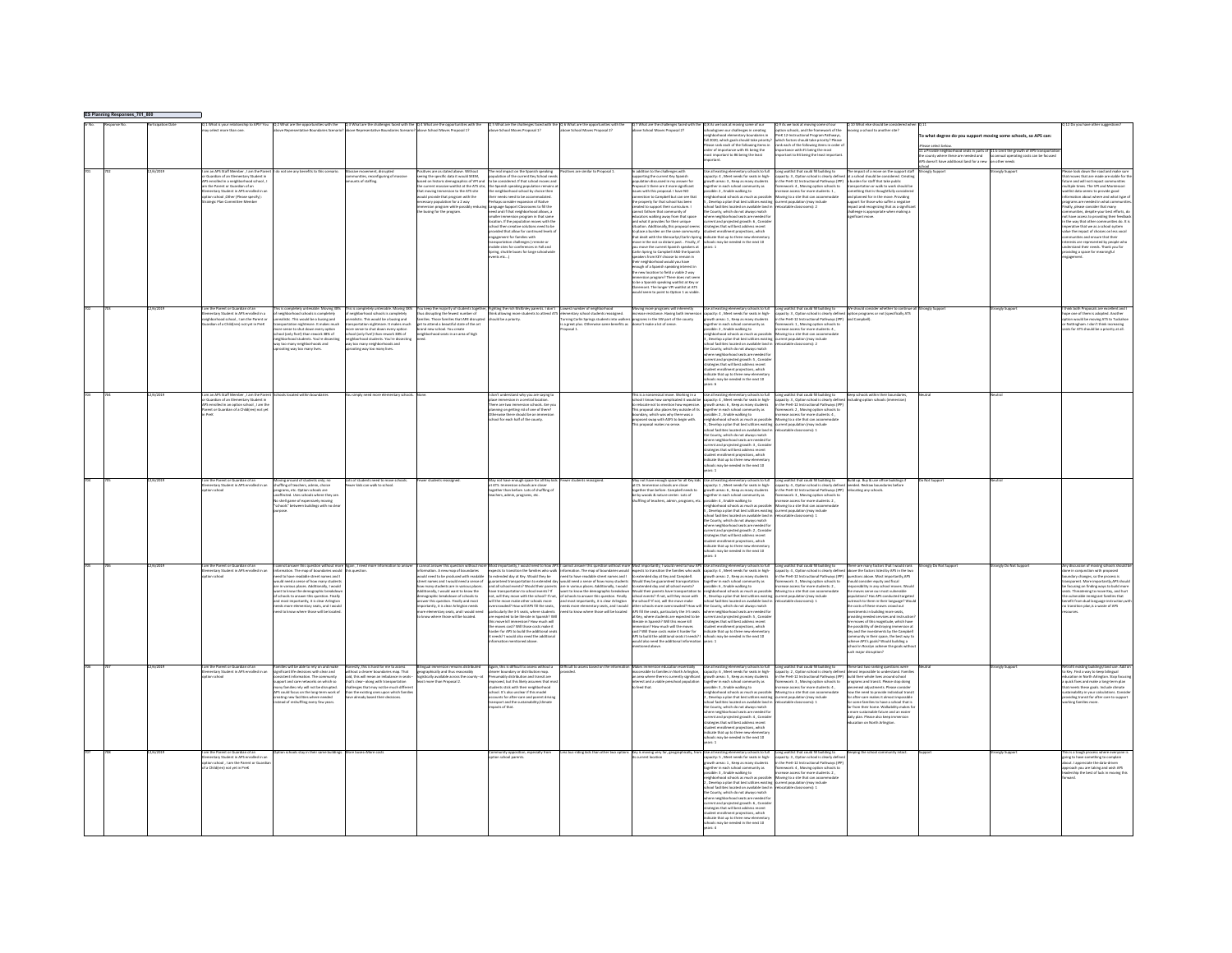| s_701_801 |          |                                                                                                                                                                                                                                                                                                  |                                                                                                                                                                                                                                                                                                                                                                                                                                                                         |                                                                                                                                                                                                                                                                                                                            |                                                                                                                                                                                                                                                                                                                                                                                                                                                                                              |                                                                                                                                                                                                                                                                                                                                                                                                                                                                                                                                                                                                                                                                                                                  |                                                                                                                                                                                                                                                                                                                                                                                                                                                                                                                                                                                         |                                                                                                                                                                                                                                                                                                                                                                                                                                                                                                                                                                                                                                                                                                                                                                                                                                                                                                                                                                                                                                                                                      |                                                                                                                                                                                                                                                                                                                                                                                                                                                                                                                                                                                                                                                                             |                                                                                                                                                                                                                                                                                                                                                                                                                                             |                                                                                                                                                                                                                                                                                                                                                                                                                                                                                                                                                                                                                                                                                                                                                             |                                                                                                                                                                                                 |                                                                                                    |                                                                                                                                                                                                                                                                                                                                                                                                                                                                                                                                                                                                                                                                      |
|-----------|----------|--------------------------------------------------------------------------------------------------------------------------------------------------------------------------------------------------------------------------------------------------------------------------------------------------|-------------------------------------------------------------------------------------------------------------------------------------------------------------------------------------------------------------------------------------------------------------------------------------------------------------------------------------------------------------------------------------------------------------------------------------------------------------------------|----------------------------------------------------------------------------------------------------------------------------------------------------------------------------------------------------------------------------------------------------------------------------------------------------------------------------|----------------------------------------------------------------------------------------------------------------------------------------------------------------------------------------------------------------------------------------------------------------------------------------------------------------------------------------------------------------------------------------------------------------------------------------------------------------------------------------------|------------------------------------------------------------------------------------------------------------------------------------------------------------------------------------------------------------------------------------------------------------------------------------------------------------------------------------------------------------------------------------------------------------------------------------------------------------------------------------------------------------------------------------------------------------------------------------------------------------------------------------------------------------------------------------------------------------------|-----------------------------------------------------------------------------------------------------------------------------------------------------------------------------------------------------------------------------------------------------------------------------------------------------------------------------------------------------------------------------------------------------------------------------------------------------------------------------------------------------------------------------------------------------------------------------------------|--------------------------------------------------------------------------------------------------------------------------------------------------------------------------------------------------------------------------------------------------------------------------------------------------------------------------------------------------------------------------------------------------------------------------------------------------------------------------------------------------------------------------------------------------------------------------------------------------------------------------------------------------------------------------------------------------------------------------------------------------------------------------------------------------------------------------------------------------------------------------------------------------------------------------------------------------------------------------------------------------------------------------------------------------------------------------------------|-----------------------------------------------------------------------------------------------------------------------------------------------------------------------------------------------------------------------------------------------------------------------------------------------------------------------------------------------------------------------------------------------------------------------------------------------------------------------------------------------------------------------------------------------------------------------------------------------------------------------------------------------------------------------------|---------------------------------------------------------------------------------------------------------------------------------------------------------------------------------------------------------------------------------------------------------------------------------------------------------------------------------------------------------------------------------------------------------------------------------------------|-------------------------------------------------------------------------------------------------------------------------------------------------------------------------------------------------------------------------------------------------------------------------------------------------------------------------------------------------------------------------------------------------------------------------------------------------------------------------------------------------------------------------------------------------------------------------------------------------------------------------------------------------------------------------------------------------------------------------------------------------------------|-------------------------------------------------------------------------------------------------------------------------------------------------------------------------------------------------|----------------------------------------------------------------------------------------------------|----------------------------------------------------------------------------------------------------------------------------------------------------------------------------------------------------------------------------------------------------------------------------------------------------------------------------------------------------------------------------------------------------------------------------------------------------------------------------------------------------------------------------------------------------------------------------------------------------------------------------------------------------------------------|
|           |          |                                                                                                                                                                                                                                                                                                  |                                                                                                                                                                                                                                                                                                                                                                                                                                                                         |                                                                                                                                                                                                                                                                                                                            |                                                                                                                                                                                                                                                                                                                                                                                                                                                                                              |                                                                                                                                                                                                                                                                                                                                                                                                                                                                                                                                                                                                                                                                                                                  |                                                                                                                                                                                                                                                                                                                                                                                                                                                                                                                                                                                         |                                                                                                                                                                                                                                                                                                                                                                                                                                                                                                                                                                                                                                                                                                                                                                                                                                                                                                                                                                                                                                                                                      | ghborhood elementary boundaries in<br>fall 2020, which goals should take priority<br>rase rank each of the following items in<br>der of importance with #1 being the<br>st important to #6 being the leas                                                                                                                                                                                                                                                                                                                                                                                                                                                                   | Q 9 As we look at moving some of our<br>option schools, and the framework of the<br>reK 12-Instructional Program Pathways<br>which factors should take priority? Pleas<br>rank each of the following items in order<br>nportance with #1 being the most<br>artant to #4 being the least import                                                                                                                                              | Q 10 What else should be considered with moving a school to another site?                                                                                                                                                                                                                                                                                                                                                                                                                                                                                                                                                                                                                                                                                   | o what degree do you support moving some schools, so APS can:<br>La Provide neighborhood seats in parts of<br>le county where these are needed and<br>PS doesn't have additional land for a new | 11 b Limit the growth of APS transport<br>io annual operating costs can be focus<br>on other needs |                                                                                                                                                                                                                                                                                                                                                                                                                                                                                                                                                                                                                                                                      |
|           |          | m an APS Staff Member , I am the Par<br><b>Quardian of an Elementary Student in</b><br>Senrolled in a neighborhood school,<br>n the Parent or Guardian of an<br>mertary Student in APS enrolled in a<br>tion school ,Other (Please specify) :<br>atesir Plan Committee Member<br>legic Plan Come | not see any benefits to this scenari                                                                                                                                                                                                                                                                                                                                                                                                                                    | iiwi mowiment, disrupted<br>sunities, reconfiguring of massive<br>unts of staffing                                                                                                                                                                                                                                         | itives are as stated above. Withou<br>wing the specific data it would SEEM<br>ed on historic demographics of VPI an<br>e current massive waitlist at the ATS site<br>at moving Immersion to the ATS site<br>cold provide that program with the<br>ecessary population for a 2 way<br>mersion program while possil<br>I busing for the program.                                                                                                                                               | e real impact on the Spanish speaking<br>pulation of the current Key School need<br>be considered. If that school moves and<br>e Spanish speaking population remain<br>e neighborhood school by choice then<br>eir needs need to be accommodated.<br>nsider expansion of Native<br>nguage Support Classrooms to fill the<br>sed and if that neighborhood allows, a<br>aller immersion program in that same<br>ation. If the population moves with th<br>ool then creative solutions need to be<br>vided that allow for continued levels o<br>eagement for families with<br>ensportation challenges (remote or<br>obile sites for conferences in Fall and<br>tring, shuttle buses for large schoolwic<br>nts etc) | es are similar to Proposal 1                                                                                                                                                                                                                                                                                                                                                                                                                                                                                                                                                            | n addition to the challenges with<br>oporting the current Key Spanish<br>opulation discussed in my answer for<br>.<br>poosal 1 there are 2 more similicant<br>space a conce are a more agreement.<br>connection to Campbell but can see that<br>the property for that school has been<br>created to support their curriculum. I<br>cannot fathom that community of<br>educators walking away from that space<br>and what it provides for their unique<br>ation. Additionally, this proposal seems<br>place a burden on the same community<br>hat dealt with the Glencarlyn/Carlin Sprin<br>once<br>and the net so distant past. . Finally, if<br>you move the current Spanish speakers at<br>Carlin Spring to Campbell AND the Spanish<br>akers from KEY choose to remain in<br>their neighborhood would you have<br>enough of a Spanish speaking interest in<br>the new location to field a viable 2 way<br>mmersion program? There does not see<br>to be a Spanish speaking waitlist at Key o<br>remont. The longer VPI waitlist at ATS<br>uld seem to point to Option 1 as viable | all existing elementary schools to full<br>pacity: 4 . Meet needs for seats in high-<br>wth areas: 3, Keep as many students<br>rether in each school community as<br>.<br>sible: 2 , Enable walking to<br>shborhood schools as much as possibl<br>Develop a plan that best utilizes existin<br>ool facilities located on available land i<br>County, which do not always match<br>here neighborhood seats are needed fo<br>urrent and projected erowth: 6. Consid-<br>rategies that will best address recent<br>student enrollment projections, which<br>indicate that up to three new eler<br>hools may be needed in the next 10                                           | Long waitlist that could fill building to<br>capacity: 3 . Option school is clearly defined at a school should be considered. Creatin<br>in the PreK-12 Instructional Pathways (IPP)<br>nework: 4 . Moving option schools to<br>atable classrooms): 2                                                                                                                                                                                       | The impact of a move on the support stal<br>urden for staff that take public<br>sportation or walk to work should be<br>nething that is thoughtfully consider<br>I planned for in the move. Providing<br>ort for those who suffer a negative<br>spact and recognizing that as a signific<br>allenge is appropriate when making a                                                                                                                                                                                                                                                                                                                                                                                                                            | loort<br>nely Suppor                                                                                                                                                                            | <b>Ingly Support</b>                                                                               | ase look down the road and make sur<br>at moves that are made are viable for t<br>ure and will not impact communities<br>tiple times. The VPI and Monte<br>tist data seems to provide good<br>imation about where and what type of<br>rams are needed in what co<br>ally, please consider that many<br>nmunities, despite your best efforts, di<br>t have access to providing their feedbar<br>the way that other communities do. It is<br>rative that we as a school system<br>e the impact of choices on less yocal<br>unities and ensure that their<br>rests are represented by people who<br>erstand their needs. Thank you for<br>riding a space for meaningful |
|           |          | n the Parent or Guardian or an<br>mentary Student in APS enrolled in a<br>ghborhood school , I am the Parent o<br>ardian of a Child(ren) not yet in PreK                                                                                                                                         | neighborhood schools is completely<br>realistic. This would be a busing and<br>sportation nightmare. It makes much<br>ore sense to shut down every option<br>hool (only fivel) than rework 38% of<br>wighborhood students. You're dissecting<br>by too many neighborhoods and<br>octine way too many lives.                                                                                                                                                             | eighborhood schools is completely<br>ealistic. This would be a busing and<br>sportation nightmare. It makes much<br>re sense to shut down every option<br>ool (only fivel) than rework 38% of<br>rhborhood students. You're dissecting<br>too many neighborhoods and<br>ting way too many lives.                           | You losep the majority of students togeth<br>thus disrupting the fewest number of<br>families. Those families that ARE disrupt<br>get to attend a beautiful state of the art<br>brand new school. You create<br>reighborhood seats in an area of high                                                                                                                                                                                                                                        | lighting the rich McKinley parents. I<br>hink allowing more students to atten<br>hould be a priority.                                                                                                                                                                                                                                                                                                                                                                                                                                                                                                                                                                                                            | ber of neighb<br>Experiency school students reassigned.<br>Terring Carlin Springs students into walkers<br>a great plus. Otherwise same benefits as<br>posal 1.                                                                                                                                                                                                                                                                                                                                                                                                                         | Moving more programs will inherently<br>increase resistance. Having both immer<br>programs in the SW part of the county<br>sn't make a lot of sense.                                                                                                                                                                                                                                                                                                                                                                                                                                                                                                                                                                                                                                                                                                                                                                                                                                                                                                                                 | Use all existing elementary schools to full<br>capacity: 4 , Meet needs for seats in high-<br>growth areas: 1 , Keep as many students<br>together in each school community as<br>sible: 2, Enable walking to<br>ool facilities located on available land i<br>e County, which do not always match<br>ere neighborhood seats are needed for<br>rent and projected growth: S , Conside<br>tegies that will best address recent<br>dent enrollment projections, which<br>icate that up to three new elementa<br>tols may be needed in the next 10<br>ars6                                                                                                                      | Long waitlist that could fill building to<br>capacity: 3 , Option school is clearly defin<br>in the PreK-12 Instructional Pathways (IP)<br>framework: 1 , Moving option schools to<br>increase access for more students: 4,<br>catable classrooms): 2                                                                                                                                                                                       | ion programs or not (specifically AT)                                                                                                                                                                                                                                                                                                                                                                                                                                                                                                                                                                                                                                                                                                                       |                                                                                                                                                                                                 |                                                                                                    | nc both Proposas are excellent and<br>e one of them is adopted. Another<br>on would be moving ATS to Tuckah<br>Cottingham. I don't think increasing<br>ts for ATS should be a priority at all                                                                                                                                                                                                                                                                                                                                                                                                                                                                        |
|           |          | n an APS Staff Member . I am the P<br>.<br>Suardian of an Elementary Student is<br>i enrolled in an ootion school . I am t<br>nt or Guardian of a Child(ren) not ye                                                                                                                              |                                                                                                                                                                                                                                                                                                                                                                                                                                                                         |                                                                                                                                                                                                                                                                                                                            |                                                                                                                                                                                                                                                                                                                                                                                                                                                                                              | on't understand why you are saying<br>ce immersi<br>Ire are two<br>n schools Are u<br>re are two immersion schools. Are<br>nning on getting rid of one of themi<br>newise there should be an immersia<br>iool for each half of the county.                                                                                                                                                                                                                                                                                                                                                                                                                                                                       |                                                                                                                                                                                                                                                                                                                                                                                                                                                                                                                                                                                         | ma na mantiénsical move. Working in a<br>chool I know how complicated it would be<br>a relocate not to mention how expensive.<br>his proposal also places Key outside of its<br>cundary, which was why there was a<br>roposed swap with ASFS<br>is proposal makes no sense                                                                                                                                                                                                                                                                                                                                                                                                                                                                                                                                                                                                                                                                                                                                                                                                           | Our all estating dimensions (school als full $\lfloor \log n \rfloor$ winners of monocolonic is charging the capacity 3. Option sized in the pre-<br>(space) as a state of the state in the set of the results of the state of the state of t<br>he County, which do not always match<br>here neighborhood seats are needed for<br>rrent and projected growth: 3 , Conside<br>: segies that will best addres<br>asegues true will best address recent<br>dent enrollment projections, which<br>ficate that up to three new elementa<br>hools may be needed in the next 10                                                                                                   | Long waitlist that could fill building to<br>capacity: 3 , Option school is clearly defin<br>in the PreK-12 Instructional Pathways (IP                                                                                                                                                                                                                                                                                                      | <b>Geo schools within their boundaries</b>                                                                                                                                                                                                                                                                                                                                                                                                                                                                                                                                                                                                                                                                                                                  |                                                                                                                                                                                                 |                                                                                                    |                                                                                                                                                                                                                                                                                                                                                                                                                                                                                                                                                                                                                                                                      |
|           | 1502201  | im the Parent or Guardian of an<br>ventary Student in APS enrolled in a<br>na sebaga                                                                                                                                                                                                             | oving around of students only: n<br>suffling of teachers, admin, choice<br>erams, etc. Option schools are<br>capami, ecc. update distance are<br>inflected. Uses schools where they are<br>is shell game of expensively moving<br>ichools" between buildings with no cle                                                                                                                                                                                                | ots of students need to move sch<br>ver kids can walk to school                                                                                                                                                                                                                                                            | war shudants reassign                                                                                                                                                                                                                                                                                                                                                                                                                                                                        | ay not have enough space for all Key kip<br>at ATS. Immersion schools are closer<br>wther than before. Lots of shuffling of<br>ers, admin, programs, et                                                                                                                                                                                                                                                                                                                                                                                                                                                                                                                                                          | war shudants reassional                                                                                                                                                                                                                                                                                                                                                                                                                                                                                                                                                                 | rether than before. Campbell needs to<br>.<br>In the woods & nature center. Lots of<br>Iuffling of teachers, admin, program                                                                                                                                                                                                                                                                                                                                                                                                                                                                                                                                                                                                                                                                                                                                                                                                                                                                                                                                                          | wth areas: 6 . Keep as many students<br>agether in each school com<br>unity as<br>pether in each school community as<br>sailete: 4, finable walking to<br>ighborhood schools as much as possible:<br>Develop a plan that best utilizes existing<br>hood facilities located on available land in<br>collisting located on availa<br>the County, which do not always match<br>here neighborhood seats are needed fo<br>urrent and projected growth: 2, Consid<br>ategies that will best address recent<br>ident enrollment projections, which<br>dicate that up to three new element<br>hools may be needed in the next 10                                                    | .<br>May not have enough space for all Key bids Use all existing elementary schools to full <b>Cong welt ist</b> that could fill building to <b>the buildings if the most of the state of the state</b> capacity: 1, Meet needs for seats i<br>the PreK-12 Instructional Pathways (IPF<br>.<br>nework: 3, Moving option schools to<br>vase access for more students: 2.<br>oving to a site that can acco<br>current population (may include | cating any schools                                                                                                                                                                                                                                                                                                                                                                                                                                                                                                                                                                                                                                                                                                                                          | Not Sunnot                                                                                                                                                                                      |                                                                                                    |                                                                                                                                                                                                                                                                                                                                                                                                                                                                                                                                                                                                                                                                      |
|           | 2/6/2019 | am the Parent or Guardian of an<br>estary Student in APS enrolled in a<br>on school                                                                                                                                                                                                              | cannot answer this question without more Again , I need more<br>information. The map of boundaries would this question.<br>eed to have readable street names and<br>dd need a sense of how many studer<br>in various places. Additionally, I would<br>nt to know the demographic breakd<br>ichools to answer this question. Fina<br>on Final<br>most importantly, it is clear Arlingto<br>ds more elementary seats, and I woul<br>d to know where those will be located |                                                                                                                                                                                                                                                                                                                            | cannot answer this question without mor<br>nation. A new map of boundaries<br>suld need to be produced with readable<br>eet names and I would need a sense of<br>ow many students are in various place<br>tionally. I would want to know the<br>servative brasistesses of schools to<br>magraphic brewsopown or schools to<br>sover this question. Finally and most<br>sportantly, it is clear Aelington needs<br>ore elementary seats, and I would nee<br>know where those will be located. | uaranteed transportation to extended da<br>nd all school events? Would their parents<br>e transportation to school events? If<br>I. will they move with the school? If not.<br>, will tray move with the schools more<br>rerowded? How will APS fill the seats,<br>rerowded? How will APS fill the seats,<br>ticularly the 3-5 seats, where students<br>are expected to be literate in Spanish? W<br>is move kill immersion? How much will<br>e moves cost? Will those costs make it<br>arder for APS to build the additional sea<br>eeds? I would also need the additional<br>smating mentioned above                                                                                                           | Most importantly, I would need to how APS   cannot animer this question withour more fided inportable to how APS Use all estiting elementary schools to full. Cong weilfist that could fill building to<br>expects to tasetto the<br>uld need a sense of how many students<br>e in various places. Additionally, I would<br>nt to know the demographic breakdow<br>criticuls to ance<br>estion, finally<br>schools to aniwer this question. Finally<br>id most importantly, it is clear Arlington<br>ieds more elementary seats, and I would<br>ied to know where those will be located | Would they be guaranteed transportation<br>to extended day and all school events?<br>to extended only and at Kinotoi events!<br>$\mu$ possible is 0, printle walking to a matrix applies that we also state with a possible their parents have transportation to projection to choose the control of the state of the<br>Iterate in Spanish? Will this move kill<br>immersion? How much will the moves<br>cost? Will those costs make it harder for<br>.<br>APS to build the additional seats it needs? I<br>would also need the additional information<br>tioned above                                                                                                                                                                                                                                                                                                                                                                                                                                                                                                              | .<br>together in each school community as<br>possible: 6 , Enable walking to<br>strategies that will best address recent<br>tudent enrollment projections, which<br>dicate that up to three new elementary<br><b>Break may be needed in the next 10</b><br>. <b>.</b>                                                                                                                                                                                                                                                                                                                                                                                                       | in the PreK-12 Instructional Pathways (IPP)<br>framework: 3 . Moving option schools to<br>rease access for more students: 2.<br>oving to a site that can accommo<br>rrent population (may include                                                                                                                                                                                                                                           | There are many factors that I would rank<br>ove the factors listed by APS in the tw<br>estions above. Most importantly, APS<br>suld consider equity and fiscal<br>onsibility in any school moves. Would<br>stores serve our most volnerable<br>stines? Has APS conducted targets<br>each to them in their language? Wo<br>costs of these moves crowd out<br>estments in building more seats,<br>widing needed services and instruc<br>Are moves of this magnitude, which have<br>the possibility of destroying immersion at<br>iv and the investments by the Campbel<br>y and the arrestorment by the best way to<br>mmunity in their space, the best way to<br>hieve APS's goals? Would building a<br>pol in Rosslyn achieve the goals<br>major disruption | angly Do Not Suppo                                                                                                                                                                              | angly Do Not Suppo                                                                                 | y discussion of moving schools shoul<br>in conjunction with proposed<br>dary changes, so the process is<br>sarent. More importantly APS sho<br>using on finding ways to build mor-                                                                                                                                                                                                                                                                                                                                                                                                                                                                                   |
|           |          | ventary Student in APS enrolled in a<br>on school                                                                                                                                                                                                                                                | ilies will be able to rely on and mak<br>gnificant life decisions with clear and<br>stent information. The community<br>oport and care networks on which so<br>my familias rely will not be discussed<br>uny namoes rely will not be disrupted.<br>PS could focus on the long-term work o<br>eating new facilities where needed<br>stead of reshuffling every few years.                                                                                                | stly, this is hard for me to assess<br>hout a clearer boundaries map. That<br>d. this will mean an imbalance in seats-<br>it's clear-along with transportation<br>at a coun-mong winn componented<br>allenges that may not be much differe<br>an the existing ones upon which familie<br>we already based their decisions. | ilineual imm<br>geographically and thus reasonably<br>tically available across the county-a<br>last more than Proposal 2                                                                                                                                                                                                                                                                                                                                                                     | in, this is difficult to assess without<br>irer boundary or distribution map.<br>mably distribution and transit are<br>oved, but this likely assumes that n<br>prevent, stick with their neighborhood<br>hool. It's also unclear if this model<br>counts for after-care and parent driving<br>port and the sustainability/climate<br>sacts of that                                                                                                                                                                                                                                                                                                                                                               |                                                                                                                                                                                                                                                                                                                                                                                                                                                                                                                                                                                         | ccessible to families in North Arlington,<br>n area where there is currently significant<br>rest and a viable preschool population<br><b>Goard that</b>                                                                                                                                                                                                                                                                                                                                                                                                                                                                                                                                                                                                                                                                                                                                                                                                                                                                                                                              | Use all existing elementary schools to full<br>apacity: 6, Meet needs for seats in high-<br>owth areas: S. Keep as many students<br>arether in each school community as<br>sable: 3 , Enable walking to<br>sible: 3 , Enable walking to<br>lighborhood schools as much as possible<br>Develop a plan that best utilizes existin<br>hool facilities located on available land<br>the County, which do not always match<br>tere neighborhood seats are needed fr<br>rrent and projected growth: 4, Consid<br>rategies that will best address recent<br>udent enrollment projections, which<br>.<br>dicate that up to three new elements<br>hook may he needed in the next 10. | t that could fill building to<br>Long waitlis<br>capacity: 2, Option school is clearly defined<br>in the PreK-12 Instructional Pathways (IPP)<br>nework: 3 . Moving option schools to<br>wasa arress for more students-4<br>wing to a site that can accor<br>wing to a site that can accor<br>atable classrooms): 1                                                                                                                         | These last two ranking questions were<br>tost impossible to understand. Familie<br>suild their whole lives around school<br>programs and transit. Please stop doing<br>neal adjustments - Please roosid<br>piecemeal adjustments. Please consider<br>how the need to provide individual transline<br>for after-care makes it almost impossible<br>for some families to have a school that is<br>far from their home. Walkability makes fo<br>a more sust<br>daily plan. Please also keep immersion<br>education on North Arlington.                                                                                                                                                                                                                         |                                                                                                                                                                                                 |                                                                                                    | Key. Find a way to keep bilingual<br>ation in North Arlineton, Stop focu<br>puick fixes and make a long-term plan<br>meets these goals. Include climate<br>inets undergoes, include conductions<br>inability in your calculations. Considing transit for after care to suppo<br>ting families more.                                                                                                                                                                                                                                                                                                                                                                  |
|           |          | n the Parent or Guardian of an<br>mentary Student in APS enrolled in an<br>tion school, I am the Parent or Guardi<br>Child(ren) not yet in Pref                                                                                                                                                  |                                                                                                                                                                                                                                                                                                                                                                                                                                                                         |                                                                                                                                                                                                                                                                                                                            |                                                                                                                                                                                                                                                                                                                                                                                                                                                                                              | tion school parents                                                                                                                                                                                                                                                                                                                                                                                                                                                                                                                                                                                                                                                                                              |                                                                                                                                                                                                                                                                                                                                                                                                                                                                                                                                                                                         | Key is moving very far, geo<br>grent location                                                                                                                                                                                                                                                                                                                                                                                                                                                                                                                                                                                                                                                                                                                                                                                                                                                                                                                                                                                                                                        | pacity: 5, Meet needs for seats in high-<br>owth areas: 1, Keep as many students<br>gether in each school community as<br>sible: 3 . Enable walking to<br>ighborhood schools as much as nossibly<br>Develop a plan that hast utiliz<br>Develop a pain that best utilizes existing<br>col facilities located on available land<br>i County, which do not always match<br>ere neighborhood seats are needed for<br>rent and projected growth: 6 , Consid<br>tegies that will best address recent<br>tudent enrollment projections, which<br>dicate that up to three new eleme<br>ools may be needed in the next 10<br>o a                                                     | Long waitlist that could fill building to<br>capacity: 3, Option school is clearly defin<br>in the PreK-12 Instructional Pathways (IPF<br>nework: 4, Moving option schools to<br>rease access for more students: 2.<br>oving to a site that can accommo<br>court executation from leature                                                                                                                                                   |                                                                                                                                                                                                                                                                                                                                                                                                                                                                                                                                                                                                                                                                                                                                                             |                                                                                                                                                                                                 |                                                                                                    | is a tough process where ever<br>ing to have something to complain<br>out. I appreciate the data-driven<br>roach you are taking and wish APS<br>dership the best of luck in moving this                                                                                                                                                                                                                                                                                                                                                                                                                                                                              |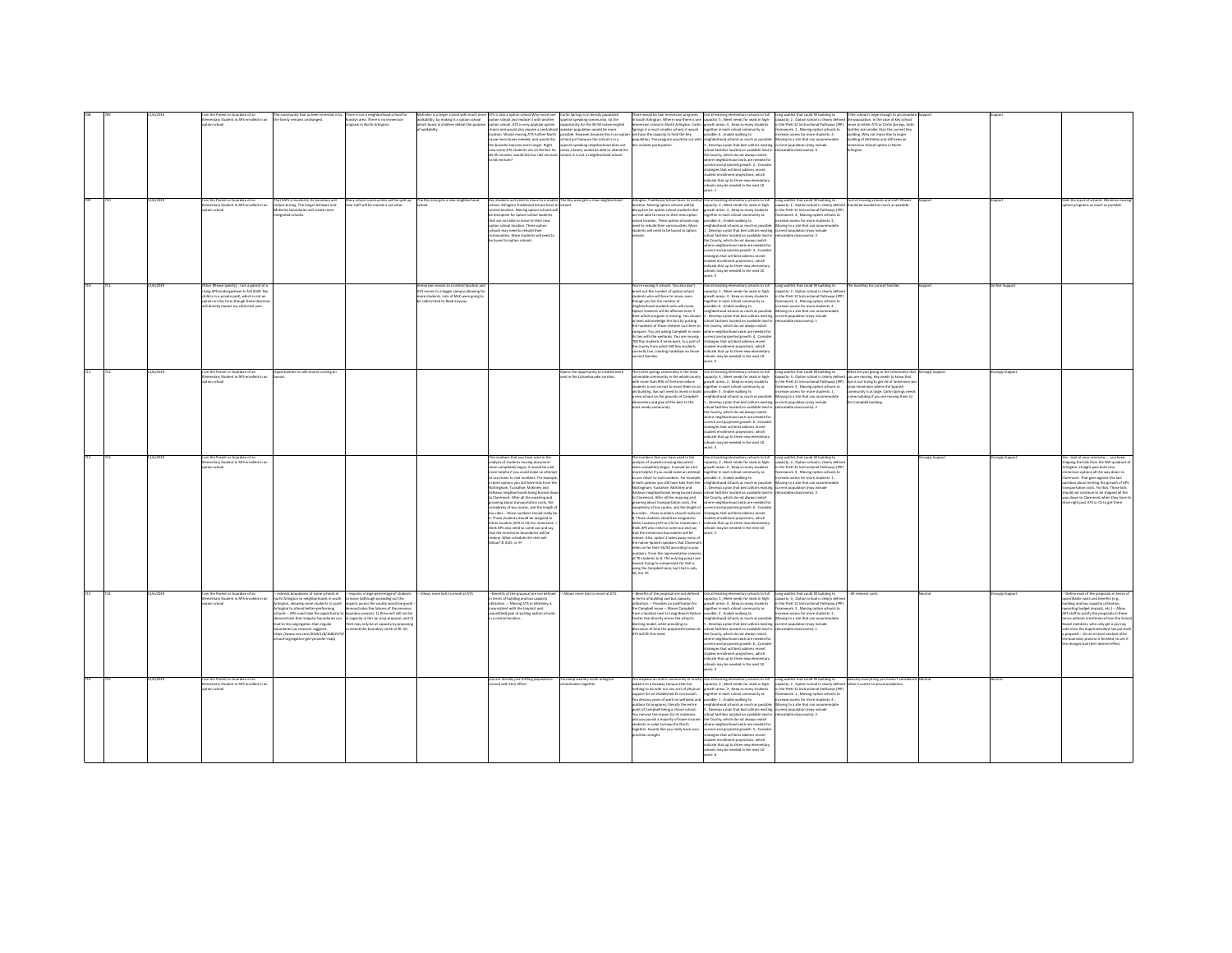|  |           | Parant or Guardian of an<br>entary Student in APS enrolled in an<br>ion schoo<br>im the Parent or Guardian of an<br>nentary Student in APS enrolled in a<br>nn sebaat                                             | ity that as be<br>the family remains unchanged.<br>at ASFS is located in its boundary will<br>duce busing. The longer Ashlawn and<br>Cintey boundaries will create more<br>erated schools.                                                                                                                                                                                                             | yn area. There is no immersion<br>ogram in North Arlington.<br>w staff will be moved is not clear.                                                                                                                                                                                                                                                                                      | walkabitiy, by making it a option school<br>which buses in children defeat the purpos<br>of walkabity.<br>y school communities will be split up. The Key area gets a new neighborhoo | tion school and replace it with another<br>tion school. ATS is very poplalar option<br>choice and would also require a centralized spie<br>location. Would moving ATS further North po<br>cause more buses needed, and would the sci<br>the busrides become even longer. Right<br>w some ATS students are no the hos for<br>45-45 minutes, would the bus ride increas<br>Saudnim 03 of<br>Key students will need to move to a smaller The Key area gets a new neighborhood<br>school. Arlington Traditional School loses its school.<br>central location. Moving option schools wi<br>be disruptive for option school students<br>that are not able to move to their new<br>ion school location. These ootion<br>ools may need to rebuild their<br>nmunities. More students will need to<br>bused to option schools. | anish speaking community. So the<br>sportunity for the 50-50 native-english<br>seaker population would be more<br>volbia Hrvanova haransa Kavis an r<br>ool just because the school is in a<br>anish speaking neighborhood does not<br>ean a family would be able to attend th<br>hool. It is not a neighborhood school. | Springs is a much smaller school, it would<br>t have the capacity to hold the Key<br>opulation. The program would be cut with<br>iss student particoation<br>Arlington Traditional School loses its centr<br>location. Moving option schools will be<br>disruptive for option school students that<br>are not able to move to their new option<br>school location. These option schools may<br>eed to rebuild their communities. More<br>udents will need to be bused to option                                                                                                                                                                                                                                                                                                                                                                                                                                                                                                                                                                           | .<br>South Arlington: Where now there is one capacity: 5 , Meet needs for seats in high-<br>nmersion school in North Arlington. Carlin growth areas: 4 , Keep as many students<br>together in each school community as<br>possible: 6 , Enable walking to<br>wighborhood schools as much as possi<br>3. Develop a plan that best utilizes existing<br>oratori no available land in<br>ed fari<br>e County, which do not always match<br>where neighborhood seats are needed for<br>urrent and projected growth: 2 , Conside<br>trategies that will best address recent<br>tudent enrollment projections, which<br>idicate that up to three new elementar<br>sols may be needed in the next 10<br>ers: 1<br>ise all existing elementary schools to full<br>apacity: 2 , Meet needs for seats in high-<br>owth areas: 3 . Keep as many students<br>together in each school community as<br>possible: 6 , Enable walking to<br>eighborhood schools as much as possible<br>, Develop a plan that best utilizes existing current population (may include<br>ool facilities located on available land in<br>e County, which do not always match<br>where neighborhood seats are needed for<br>urrent and projected growth: 4 , Conside<br>trategies that will best address recent<br>tudent enrollment projections, which<br>ndicate that up to three new elementary<br>a needed in the next 10 | capacity: 2, Option school is clearly defined<br>in the PreK-12 Instructional Pathways (IPP)<br>framework: 1, Moving option schools to<br>F - Jonates for more students to<br>Moving to a site that can accommodate<br>sturrent population (may include<br>atable classrooms): 4<br>Long waitlist that could fill building to<br>capacity: 1, Option school is clearly define<br>in the PreK-12 Instructional Pathways (IPF<br>framework: 4, Moving option schools to<br>ncrease access for more students: 2,<br>Moving to a site that can accome<br>catable classrooms): 3 | population. In the case of Key school<br>ove to either ATS or Carlin Springs, both<br>ilities are smaller than the current Key<br>idine. Why not move Key to larger<br>ilding of McKinley and still keep an<br>ersion School option in North<br>Cost of moving schools and staff. Moves<br>uld be avoided as much as possible |                         |               | leek the input of schools. Minimize mc<br>tion programs as much as possible                                                                                                                                                                                                                                                                                                                                                                                                    |
|--|-----------|-------------------------------------------------------------------------------------------------------------------------------------------------------------------------------------------------------------------|--------------------------------------------------------------------------------------------------------------------------------------------------------------------------------------------------------------------------------------------------------------------------------------------------------------------------------------------------------------------------------------------------------|-----------------------------------------------------------------------------------------------------------------------------------------------------------------------------------------------------------------------------------------------------------------------------------------------------------------------------------------------------------------------------------------|--------------------------------------------------------------------------------------------------------------------------------------------------------------------------------------|----------------------------------------------------------------------------------------------------------------------------------------------------------------------------------------------------------------------------------------------------------------------------------------------------------------------------------------------------------------------------------------------------------------------------------------------------------------------------------------------------------------------------------------------------------------------------------------------------------------------------------------------------------------------------------------------------------------------------------------------------------------------------------------------------------------------|--------------------------------------------------------------------------------------------------------------------------------------------------------------------------------------------------------------------------------------------------------------------------------------------------------------------------|-----------------------------------------------------------------------------------------------------------------------------------------------------------------------------------------------------------------------------------------------------------------------------------------------------------------------------------------------------------------------------------------------------------------------------------------------------------------------------------------------------------------------------------------------------------------------------------------------------------------------------------------------------------------------------------------------------------------------------------------------------------------------------------------------------------------------------------------------------------------------------------------------------------------------------------------------------------------------------------------------------------------------------------------------------------|-------------------------------------------------------------------------------------------------------------------------------------------------------------------------------------------------------------------------------------------------------------------------------------------------------------------------------------------------------------------------------------------------------------------------------------------------------------------------------------------------------------------------------------------------------------------------------------------------------------------------------------------------------------------------------------------------------------------------------------------------------------------------------------------------------------------------------------------------------------------------------------------------------------------------------------------------------------------------------------------------------------------------------------------------------------------------------------------------------------------------------------------------------------------------------------------------------------------------------------------------------------------------------------------------------------------------------------------------------------------------------------------|-----------------------------------------------------------------------------------------------------------------------------------------------------------------------------------------------------------------------------------------------------------------------------------------------------------------------------------------------------------------------------------------------------------------------------------------------------------------------------------------------------------------------------------------------------------------------------|-------------------------------------------------------------------------------------------------------------------------------------------------------------------------------------------------------------------------------------------------------------------------------------------------------------------------------|-------------------------|---------------|--------------------------------------------------------------------------------------------------------------------------------------------------------------------------------------------------------------------------------------------------------------------------------------------------------------------------------------------------------------------------------------------------------------------------------------------------------------------------------|
|  |           | ther (Please specify) : I am a parent of a<br>sing APS kindergartener in fall 2020. My<br>lild is in a private preK, which is not an<br>tion on this form though these dec<br>I directly impact my child next yea |                                                                                                                                                                                                                                                                                                                                                                                                        |                                                                                                                                                                                                                                                                                                                                                                                         | moves to a careral location<br>districted to Reed anywa                                                                                                                              |                                                                                                                                                                                                                                                                                                                                                                                                                                                                                                                                                                                                                                                                                                                                                                                                                      |                                                                                                                                                                                                                                                                                                                          | fou're moving 4 schools. You also don't<br>preak out the number of option school<br>tudents who will have to move, even<br>though you list the number of<br>neighborhood students who will move.<br>Option students will be affected even if<br>least acknowledge this fact by putting<br>the numbers of those children out there to the County, which do not always match<br>ties with the wetlands. You are moving<br>700 Key students 4 miles west, to a part of<br>the county from which NO Key students<br>rrently live, creating hardships on those<br>unt families                                                                                                                                                                                                                                                                                                                                                                                                                                                                                 | he all existing elementary schools to full<br>apacity: 1 , Meet needs for seats in high-<br>owth areas: 3 . Keep as many students<br>ether in each school comm<br>ssible: 6 , Enable walking to<br>nunity as<br>neighborhood schools as much as possible: Moving to a site that can accommodate<br>heir whole program is moving. You should 2, Develop a plan that best utilizes existing current population (may include<br>school facilities located on available land in<br>mpare. You are asking Campbell to sever subere neighborhood seats are needed for<br>current and projected growth: 4, Conside<br>strategies that will best address recent<br>student enrollment projections, which<br>indicate that up to three new elementar<br>thools may be needed in the next 10<br>ars: 5                                                                                                                                                                                                                                                                                                                                                                                                                                                                                                                                                                                              | Long waitlist that could fill building to<br>capacity: 2 , Option school is clearly defin<br>in the PreK-12 Instructional Pathways (IPF<br>nework: 3 , Moving option schools to<br>ease access for more students: 4 ,<br>catable classrooms): 1                                                                                                                                                                                                                                                                                                                             |                                                                                                                                                                                                                                                                                                                               |                         | Net Suser     |                                                                                                                                                                                                                                                                                                                                                                                                                                                                                |
|  | 12/6/2019 | am the Parent or Guardian of an<br>mentary Student in APS enrolled in an<br>on school                                                                                                                             | pportunities to safe money cutting on                                                                                                                                                                                                                                                                                                                                                                  |                                                                                                                                                                                                                                                                                                                                                                                         |                                                                                                                                                                                      |                                                                                                                                                                                                                                                                                                                                                                                                                                                                                                                                                                                                                                                                                                                                                                                                                      | pens the opportunity to created more<br>at in the Columbia pike corridor.                                                                                                                                                                                                                                                | The Carlin springs community is the most<br>vulnerable community in the whole county<br>th more than 90% of free and reduce<br>dents. Is not correct to move them to an<br>old building. Ags will need to invest in build possible: 5 . Enable walking to<br>new school on the grounds of Campbell<br>elementary and give all the best to the<br>most needy community                                                                                                                                                                                                                                                                                                                                                                                                                                                                                                                                                                                                                                                                                     | Use all existing elementary schools to full<br>capacity: 4 , Meet needs for seats in high-<br>growth areas: 2 , Keep as many students<br>together in each school community as<br>mighborhood schools as much as possible: Moving to a site that can accommodate<br>1. Develop a plan that best utilizes existing current population (may include<br>chool facilities located on available land in relocatable classrooms): 2<br>e County, which do not always match<br>tere neighborhood seats are needed fo<br>urrent and projected erowth: 6. Conside<br>trategies that will best address recent<br>dent enrollment projections, which<br>indicate that up to three new elementary<br>o needed in the next 10<br>ers:3                                                                                                                                                                                                                                                                                                                                                                                                                                                                                                                                                                                                                                                                  | Long waitlist that could fill building to<br>capacity: 4 , Option school is clearly defined<br>in the PreK-12 Instructional Pathways (IPP)<br>framework: 3 , Moving option schools to<br>wase access for more students: 1.                                                                                                                                                                                                                                                                                                                                                  | What are you giving to the community that<br>you are moving. Key needs to know that<br>Aps is not trying to get rid of imme<br>immersion where the Spanish<br>munity is at large. Carlin Sorings need<br>a new building if you are moving them to<br>the Campbell building.                                                   | <b>Strongly Support</b> | onely Support |                                                                                                                                                                                                                                                                                                                                                                                                                                                                                |
|  |           | n the Parent or Guardian of an<br>mentary Student in APS enrolled in an<br>loorlas noit                                                                                                                           |                                                                                                                                                                                                                                                                                                                                                                                                        |                                                                                                                                                                                                                                                                                                                                                                                         |                                                                                                                                                                                      | alysis of students moving document<br>eem completely bogus. It would be a bit<br>sore helpful if you could make an attempt<br>b use closer to real numbers. For example<br>both options you still have kids from the<br>tingham, Tuckahoe, McKinley and<br>Mawn neighborhoods being bussed do<br>Claremont. After all the moaning and<br>baning about transportation costs, the<br>mplexity of bus routes, and the length o<br>us rides those numbers should really be<br>Those students should be assigned to<br>either location (ATS or CS) for immersion.<br>think APS also need to come out and say<br>that the immersion boundaries will be<br>wdone. What schedule the sites will<br>ollow? 8, 8:25, or 9?                                                                                                     |                                                                                                                                                                                                                                                                                                                          | inalysis of students moving document<br>.<br>seem completely bogus. It would be a bit<br>more helpful if you could make an attempt<br>buse closer to real numbers. For example, possible: 4, Enable walking to<br>Vottingham, Tuckahoe, McKinley and<br>Nahlawn neighborhoods being bussed down<br>to Claremont. After all the moaning and $\qquad$ the County, which do not always match growing about transportation costs, the $\qquad$ where neighborhood seats are needed for complexity of the increase, and the length of compl<br>Those students should be assigned to<br>either location (ATS or CS) for immersion. I<br>think APS also need to come out and say<br>that the immersion boundaries will be<br>redone. Also, option 2 takes away many of<br>the native-Spanish speakers that Claremor<br>lies on for their 50/50 according to you<br>sumbers. From the representative scenari<br>of 70 students to 0. The only big jump I se<br>toward trying to compensate for that is<br>using the Campbell zone, but that is only<br>0. not 70. | Use all existing elementary schools to full<br>capacity: 2 , Meet needs for seats in high-<br>growth areas: 3, Keep as many students<br>ogether in each school cor<br>munity as<br>in both options you still have kids from the energhborhood schools as much as possible:<br>Nottingham, Tuckahoe, McKinley and 1, Develop a plan that best utilizes existing<br>school facilities located on available land in<br>student enrollment projections, which<br>indicate that up to three new elementary<br>schools may be needed in the next 10<br><b>Draw</b>                                                                                                                                                                                                                                                                                                                                                                                                                                                                                                                                                                                                                                                                                                                                                                                                                              | Long waitlist that could fill building to<br>capacity: 2, Option school is clearly defin<br>in the PreK-12 Instructional Pathways (IPP)<br>nework: 4, Moving option schools to<br>ease access for more students: 1,<br>Movine to a site that can accommodate<br>v include<br>catable classrooms): 3                                                                                                                                                                                                                                                                         |                                                                                                                                                                                                                                                                                                                               |                         |               | is - look at your scenariosyou keep<br>ipping the kids from the NW quadrant o<br>lington, straight past both new<br>nersion options all the way down to<br>remont. That goes against this last<br>stion about limiting the growth of AP3<br>rtation costs. Fix that, Those kids<br>ould not continue to be shipped all the<br>vay down to Claremont when they have!<br>re right past ATS or CS to get there                                                                    |
|  |           | l am the Parent or Guardian of an<br>:lementary Student in APS enrolled in an<br>loorlas noi                                                                                                                      | extends boundaries of some schools in<br>torth Arlington to neighborhoods in south<br>ineton, allowing some students in south<br>ington to attend better-performing<br>iools -- APS could take the opportunity<br>nonstrate that irregular boundaries car<br>lead to less segregation than regular<br>boundaries (as research suggests:<br>ps://www.yox.com/2018/1/8/1682231<br>l-segregation-gerryman | -- requires a large percentage of studer<br>to move (although spreading out the<br>pacts across the county would be good<br>constrates the County would be good<br>costrates the failures of the previous<br>dary process: 1) Drew will still not be<br>capacity in this (or any) proposal, and 2<br>leet may only be at capacity by proposin<br>o extend the boundary north of Rt. 50. | <b>Nows more kids to erroll at ATS.</b>                                                                                                                                              | Benefits of the proposal are not defined<br>terms of building and bus capacity<br>ization. -- Moving ATS to McKinky is<br>nsistent with the (implicit and<br>stified) goal of putting option sch<br>a central location                                                                                                                                                                                                                                                                                                                                                                                                                                                                                                                                                                                               | Allows more kids to enroll at ATS.                                                                                                                                                                                                                                                                                       | tilization. - Provides no justification for<br>the Campbell move -- Moves Campbell<br>from a location next to Long Branch Nature<br>Center that directly serves the school's<br>learning model, while providing no<br>ssion of how the proposed locatic<br>Sean zidt fill this need.                                                                                                                                                                                                                                                                                                                                                                                                                                                                                                                                                                                                                                                                                                                                                                      | - Benefits of the proposal are not defined Use all existing elementary schools to full "Long weitlist that could fill building to<br>n terms of building and bus capacity "capacity: 1 , Meet needs for seats in high-"capacity:<br>rrowth areas: 4 . Keep as many students<br>powth areas. w, weep as mery community as<br>ogether in each school community as<br>possible: 2 , Enable walking to<br>neighborhood schools as much as possible: Moving to a site that can accommodate<br>. Develop a plan that best utilizes existing current population (may include<br>hool facilities located on available land in<br>the County, which do not always match<br>tere neigh<br>orhood seats are needed for<br>rrent and projected growth: 6, Conside<br>trategies that will best address recent<br>dent enrolment projections, which<br>dicate that up to three new elementary<br>02 tools may be needed in the next 10<br>ars: 3                                                                                                                                                                                                                                                                                                                                                                                                                                                        | in the PreK-12 Instructional Pathways (IPF<br>framework: 3, Moving option schools to<br>increase access for more students: 2,<br>catable classrooms): 1                                                                                                                                                                                                                                                                                                                                                                                                                     |                                                                                                                                                                                                                                                                                                                               |                         | ingly Suppo   | .<br>Nefine each of the proposals in terms<br>antifiable costs and benefits (e.g.,<br>ilding and bus capacity utilization.<br>erating budget impacts, etc.) — Allow<br>IS staff to justify the proposals in these<br>rms without interference from the Scho<br>:<br>and members, who only get a yay-nay<br>ste once the Superintendent has put fo<br>sroposal - Do an ex-post analysis after<br>boundary process is finished, to see if<br>e changes had their desired effect. |
|  | 12/6/2019 | im the Parent or Guardian of an<br>nentary Student in APS enrolled in a<br>on school                                                                                                                              |                                                                                                                                                                                                                                                                                                                                                                                                        |                                                                                                                                                                                                                                                                                                                                                                                         |                                                                                                                                                                                      | you are literally just shifting populations.<br>und with zero effect                                                                                                                                                                                                                                                                                                                                                                                                                                                                                                                                                                                                                                                                                                                                                 | ou keep wealthy north arlinaton                                                                                                                                                                                                                                                                                          | sothing to do with nor any sort of physical<br>upport for an established EL curriculum.<br>ou destroy wars of work on wetlands and possible: 1 . Enable walking to<br>sutdoor Ed programs, literally the entire<br>point of Campbell being a choice school.<br>fou remove the reason for its existence<br>and you punish a majority of lower income<br>udents in order to keep the North<br>together. Sounds like you really have your<br>ities straight.                                                                                                                                                                                                                                                                                                                                                                                                                                                                                                                                                                                                 | growth areas: 3, Keep as many students<br>together in each school community as<br>neighborhood schools as much as possible: Moving to a site that can accomm<br>4, Develop a plan that best utilizes existing current population (may include<br>school facilities located on available land in refocatable classrooms): 3<br>he County, which do not always match<br>where neighborhood seats are needed fo<br>ment and noniarted enneth- 5. Consider<br>ategies that will best address recent<br>udent enrollment projections, which<br>vicate that un to three new elementary<br>cols may be needed in the next 10<br>are 6                                                                                                                                                                                                                                                                                                                                                                                                                                                                                                                                                                                                                                                                                                                                                            | You displace an entire community of mostly Use all existing elementary schools to full Long waitlist that could fill building to<br>walkers to a faraway campus that has capacity: 2, Meet needs for seats in high-capacity: 2, O<br>in the PreK-12 Instructional Pathways (IPP<br>framework: 1 , Moving option schools to<br>crease access for more students: 4 .<br>foving to a site that can accommodate                                                                                                                                                                 | basically everything you haven't consi-<br>hen it comes to actual academics                                                                                                                                                                                                                                                   | eutral                  |               |                                                                                                                                                                                                                                                                                                                                                                                                                                                                                |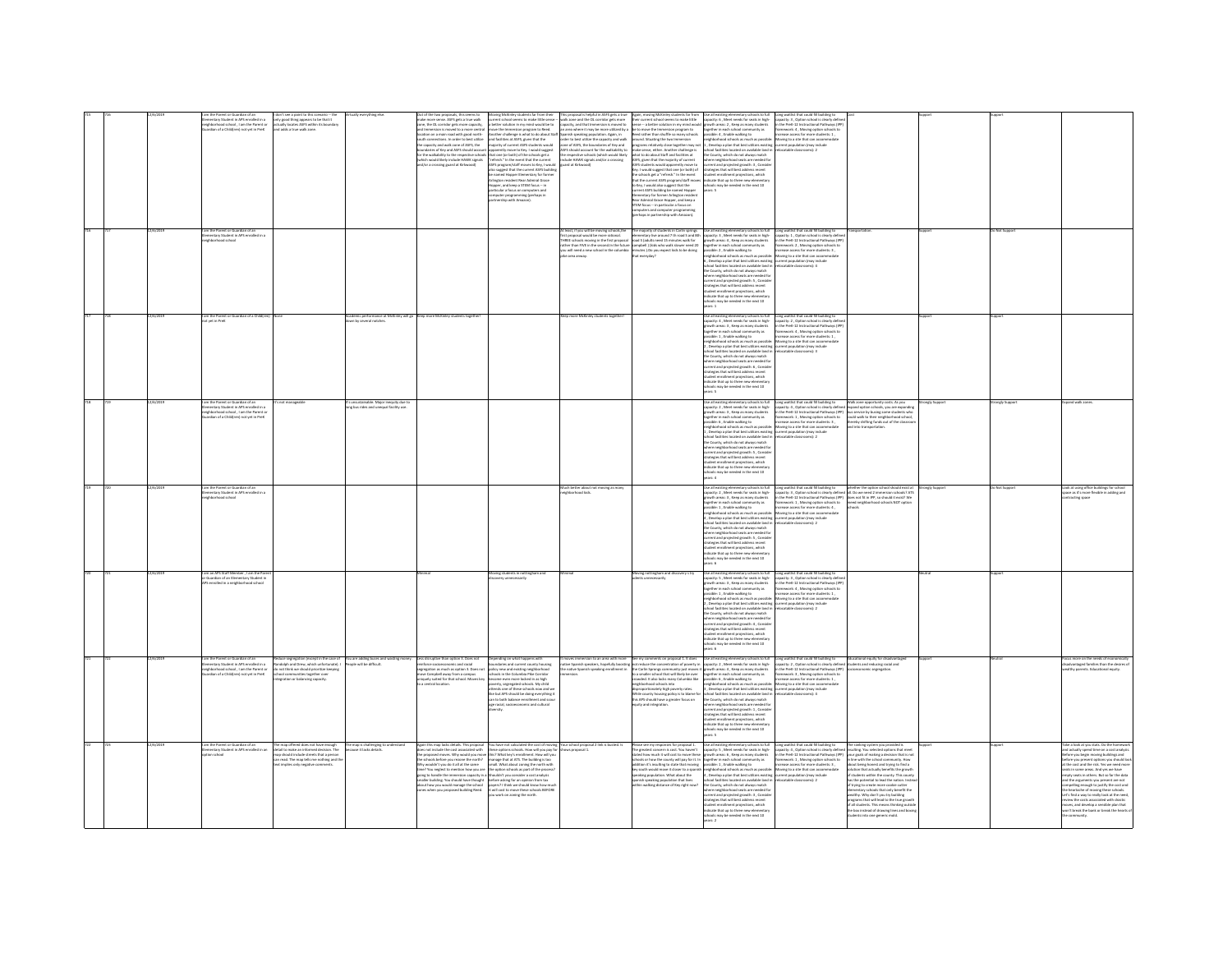|  | 12/6/2019 | one rankin or dual user or all<br>histricod school , I am the Parent or<br>dian of a Child(ren) not yet in PreK<br>am the Parent or Guardian of an    | l don't see a point to this scenario -- the<br>only good thing appears to be that it<br>actually locates ASFS within its boundary<br>d adds a true walk zone.                                                           |                                                                                  | make more sense. ASFS gets a true walk<br>zone, the OL corridor gets more capacity,<br>and Immersion is moved to a more central<br>location on a main road with good north-<br>suth connections. In order to best utilize<br>the capacity and walk zone of ASFS, the<br>daries of Key and ASFS should acco-<br>once the stability to the respective schools<br>thich would likely include HAWK signals<br>d/or a crossing guard at Kirkwood)                     | and facilities at ASFS, given that the<br>parently move to Key, I would suggest<br>s that one (or both) of the schools get a<br>Trefresh." In the event that the current<br>ASPS program/staff moves to Key, I would<br>also suggest that the current ASPS building<br>e named Hopper Elementary for forme<br>rlington resident Rear Admiral Grace<br>pper, and keep a STEM focus - in<br>ticular a focus on computers and<br>mputer programming (perhaps in<br>irtnership with Amazon). | Aboving McDiviey students for from their — This proposal is helpful in ASFS gets a true<br>survent school seems to make this leads — walk contact by the contribution is myrelial would be to — walk on the helpful contact be i<br>ASFS should account for the walkability to<br>An a small account to the wandeling to<br>the respective schools (which would likely<br>include HAWK signals and/or a crossing<br>guard at Kirkwood) | be to move the Immersion program to<br>Reed rather than shuffle so many schools<br>round. Situating the two Immersion<br>hat to do about Staff and facilities at<br>what to do about Staff and facilities at<br>ASPS, given that the majority of current<br>ASPS students would apparently move to<br>Key. I would suggest that one (or both) of<br>the schools get a "refresh." In the event<br>that the current<br>to Key, I would also suggest that the<br>rrent ASFS building be named Hopper<br>mentary for former Arlinaton resident<br>ear Admiral Grace Hopper, and keep a<br>TEM focus -- in particular a focus on<br>em rocus -- in particular a rocus on<br>mputers and computer programming<br>erhaps in partnership with Amazon). | Again, moving McKinley students far from " Use all existing elementary schools to full<br>their current school seems to make little " capacity: 6 , Meet needs for seats in high-<br>sense -- a better solution in my mind would gro<br>together in each school community as<br>possible: 4, Enable walking to<br>possible: 4, Enable walking to<br>mighborhood schools as much as possible: Moving to a site that can accommodate<br>rograms relatively close together may not 1, Develop a plan that best utilizes existing current population (may include<br>sake sense, either. Another challenge is school facilities located on available land in relocatable cl<br>school taciities locates on avanumu sara is<br>the County, which do not always match<br>where neighborhood seats are needed for<br>current and projected growth: 3 , Conside<br>strategies that will best address recent<br>strategies that w<br>student enrollment projections, which<br>indicate that up to three new elementary<br>schools may be needed in the next 10<br>years: 5 | Long waitlist that could fill building to<br>capacity: 3 , Option school is clearly defin<br>in the PreK-12 Instructional Pathways (IPI<br>framework: 4 , Moving option schools to<br>increase access for more students: 1 ,                                                                                                                                                                                                                                                                | ransportation.                                                                                                                                                                                                                                                                                                                                                                                                                                                                                                                                                                                                                                                                                                                   | thogg       | o Not Support |                                                                                                                                                                                                                                                                                                                                                                                                                                                                                                                                                                                                                           |
|--|-----------|-------------------------------------------------------------------------------------------------------------------------------------------------------|-------------------------------------------------------------------------------------------------------------------------------------------------------------------------------------------------------------------------|----------------------------------------------------------------------------------|------------------------------------------------------------------------------------------------------------------------------------------------------------------------------------------------------------------------------------------------------------------------------------------------------------------------------------------------------------------------------------------------------------------------------------------------------------------|------------------------------------------------------------------------------------------------------------------------------------------------------------------------------------------------------------------------------------------------------------------------------------------------------------------------------------------------------------------------------------------------------------------------------------------------------------------------------------------|----------------------------------------------------------------------------------------------------------------------------------------------------------------------------------------------------------------------------------------------------------------------------------------------------------------------------------------------------------------------------------------------------------------------------------------|------------------------------------------------------------------------------------------------------------------------------------------------------------------------------------------------------------------------------------------------------------------------------------------------------------------------------------------------------------------------------------------------------------------------------------------------------------------------------------------------------------------------------------------------------------------------------------------------------------------------------------------------------------------------------------------------------------------------------------------------|-------------------------------------------------------------------------------------------------------------------------------------------------------------------------------------------------------------------------------------------------------------------------------------------------------------------------------------------------------------------------------------------------------------------------------------------------------------------------------------------------------------------------------------------------------------------------------------------------------------------------------------------------------------------------------------------------------------------------------------------------------------------------------------------------------------------------------------------------------------------------------------------------------------------------------------------------------------------------------------------------------------------------------------------------------------------|---------------------------------------------------------------------------------------------------------------------------------------------------------------------------------------------------------------------------------------------------------------------------------------------------------------------------------------------------------------------------------------------------------------------------------------------------------------------------------------------|----------------------------------------------------------------------------------------------------------------------------------------------------------------------------------------------------------------------------------------------------------------------------------------------------------------------------------------------------------------------------------------------------------------------------------------------------------------------------------------------------------------------------------------------------------------------------------------------------------------------------------------------------------------------------------------------------------------------------------|-------------|---------------|---------------------------------------------------------------------------------------------------------------------------------------------------------------------------------------------------------------------------------------------------------------------------------------------------------------------------------------------------------------------------------------------------------------------------------------------------------------------------------------------------------------------------------------------------------------------------------------------------------------------------|
|  |           | mentary Student in APS enrolled in a<br>hborhood school                                                                                               |                                                                                                                                                                                                                         |                                                                                  |                                                                                                                                                                                                                                                                                                                                                                                                                                                                  |                                                                                                                                                                                                                                                                                                                                                                                                                                                                                          | At least, if you will be moving schools,the<br>first proposal would be more rational.<br>HREE schools moving in the first proposal<br>rather than FIVE in the second.In the future<br>you will need a new school in the columbia<br>ike area anway.                                                                                                                                                                                    | The majority of students in Carlin springs Use all existing elementary schools to full Long waitlist that could fill building to<br>elementary live around 2 th noud S and Bth Capacky. 3, Meet needs for seats in high- Capacky:<br>ampbell ) (kids who walk slower need 20<br>ninutes ).Do you expect kids to be doing<br>hat everyday?                                                                                                                                                                                                                                                                                                                                                                                                      | $\label{thm:main} \begin{minipage}[t]{.5\textwidth} \begin{tabular}{p{0.8cm}} \textbf{g} & \textbf{with} \begin{tabular}{p{0.8cm}} \textbf{g} & \textbf{with} \begin{tabular}{p{0.8cm}} \textbf{g} & \textbf{with} \begin{tabular}{p{0.8cm}} \textbf{g} & \textbf{with} \begin{tabular}{p{0.8cm}} \textbf{g} & \textbf{with} \begin{tabular}{p{0.8cm}} \textbf{g} & \textbf{with} \begin{tabular}{p{0.8cm}} \textbf{g} & \textbf{with} \begin{tabular}{p{0.8cm}} \text$<br>the County, which do not always match<br>where neighborhood seats are needed for<br>current and projected erowth: 5 . Conside<br>trategies that will best address recent<br>itudent enrollment projections, which<br>ndicate that up to three new elem<br>$\begin{array}{c} \ldots \to_{r} \varpi \text{ or tree new element} \\ \text{sttools may be needed in the next 10} \\ \text{max: } 1 \end{array}$                                                                                                                                                                            | -<br>framework: 2, Moving option schools to<br>increase access for more students: 3.                                                                                                                                                                                                                                                                                                                                                                                                        |                                                                                                                                                                                                                                                                                                                                                                                                                                                                                                                                                                                                                                                                                                                                  |             |               |                                                                                                                                                                                                                                                                                                                                                                                                                                                                                                                                                                                                                           |
|  |           | st yet in PreK                                                                                                                                        |                                                                                                                                                                                                                         | emic performance at Mc<br>wn by several notches                                  | more Mc                                                                                                                                                                                                                                                                                                                                                                                                                                                          |                                                                                                                                                                                                                                                                                                                                                                                                                                                                                          |                                                                                                                                                                                                                                                                                                                                                                                                                                        |                                                                                                                                                                                                                                                                                                                                                                                                                                                                                                                                                                                                                                                                                                                                                | tary schools to full<br>capacity: 4, Meet needs for seats in high-<br>rowth areas: 3, Keep as many students<br>together in each school community as<br>ssible: 1, Enable walking to<br>possible: 1, Emble walking to<br>mighborhood schools as much as possible:<br>2, Develop a plan that best utilizes existing<br>school facilities located on available land in<br>the County, which do not always match<br>where neighborhood s<br>current and projected growth: 6, Consid-<br>strategies that will best address recent<br>student enrollment projections, which<br>ndicate that up to three new elem<br>ools may be needed in the next 10<br>ears: S                                                                                                                                                                                                                                                                                                                                                                                                        | Long waitlist that could fill building to<br>capacity: 2 , Option school is clearly define<br>in the PreK-12 Instructional Pathways (IPF<br>framework: 4, Moving option schools to<br>crease access for more students: 1.<br>Moving to a site that can accomm<br>current population (may include<br>relocatable classrooms): 3                                                                                                                                                              |                                                                                                                                                                                                                                                                                                                                                                                                                                                                                                                                                                                                                                                                                                                                  |             |               |                                                                                                                                                                                                                                                                                                                                                                                                                                                                                                                                                                                                                           |
|  |           | entary Student in APS enrolled in a<br>reighborhood school , I am the Parent or<br>Suardian of a Child(ren) not yet in PreK                           |                                                                                                                                                                                                                         | s unsustainable. Major inequity due ti<br>ng bus rides and unequal facility use. |                                                                                                                                                                                                                                                                                                                                                                                                                                                                  |                                                                                                                                                                                                                                                                                                                                                                                                                                                                                          |                                                                                                                                                                                                                                                                                                                                                                                                                                        |                                                                                                                                                                                                                                                                                                                                                                                                                                                                                                                                                                                                                                                                                                                                                | Use all existing elementary schools to full<br>capacity: 2 , Meet needs for seats in high-<br>growth areas: 3, Keep as many students<br>together in each school community as<br>ssible: 6 . Enable walking to<br>ichool facilities located on available land i<br>the County, which do not always match<br>where neighborhood seats are needed for<br>current and projected growth: S , Conside<br>strategies that will best address recent<br>student enrollment projections, which<br>indicate that up to three new elementary<br>hools may be needed in the next 10<br>awe 4                                                                                                                                                                                                                                                                                                                                                                                                                                                                                   | Long waitlist that could fill building to $Muk$ zone opportunity costs. As your expanding<br>capacity: 4., Option school is clearly defined in panel option schools, you are expanding<br>in the Preti-12 Instructional Pathways (PP                                                                                                                                                                                                                                                        | ed into transportation                                                                                                                                                                                                                                                                                                                                                                                                                                                                                                                                                                                                                                                                                                           | angly Suppo | angly Suppe   |                                                                                                                                                                                                                                                                                                                                                                                                                                                                                                                                                                                                                           |
|  |           | i the Parent or Guardian of an<br>nentary Student in APS enroll<br>rhood schoo                                                                        |                                                                                                                                                                                                                         |                                                                                  |                                                                                                                                                                                                                                                                                                                                                                                                                                                                  |                                                                                                                                                                                                                                                                                                                                                                                                                                                                                          | ch better about not moving as ma<br>hood kids                                                                                                                                                                                                                                                                                                                                                                                          |                                                                                                                                                                                                                                                                                                                                                                                                                                                                                                                                                                                                                                                                                                                                                | Use all existing elementary schools to full<br>capacity: 2 , Meet needs for seats in high-<br>growth areas: 3 , Keep as many students<br>together in each school community as<br>. Develop a plan that best utilizes existing current population (may include<br>hool facilities located on available land in<br>he County, which do not always match<br>the County, which as not aways match<br>where neighborhood seats are needed for<br>current and projected growth: S , Consid<br>strategies that will best address recent<br>hood seats are needed for<br>tudent enrollment projections, which<br>indicate that up to three new elementar<br>hools may be needed in the next 10<br>ears: 6                                                                                                                                                                                                                                                                                                                                                                 | Long weitlist that could fill building to<br>capacity: 3 , Option school is clearly diffined all. Do we need 2 immersion school? ATS:<br>an the Pret-12 Instructional Pathways (IPP) does not fit in IPP, so should it exist? We<br>fra<br>onsible: 1 , Enable walking to https://www.increase.access.for.more.students: 4 ,<br>wighborhood schools as much as possible: Moving to a site that can accommodate<br>nratable rlassmoms): 2                                                    | ools                                                                                                                                                                                                                                                                                                                                                                                                                                                                                                                                                                                                                                                                                                                             | ngly Suppo  | Not Supp      | ick at using office buildings for school<br>iace as it's more flexible in adding and<br>acting space                                                                                                                                                                                                                                                                                                                                                                                                                                                                                                                      |
|  |           | an APS Staff Member . I am th<br>ות אותו השונייה והשונייה והוא הגולם<br>Guardian of an Elementary Student<br>S enrolled in a neighborhood school      |                                                                                                                                                                                                                         |                                                                                  |                                                                                                                                                                                                                                                                                                                                                                                                                                                                  |                                                                                                                                                                                                                                                                                                                                                                                                                                                                                          |                                                                                                                                                                                                                                                                                                                                                                                                                                        | ving nottingham and disc<br>-                                                                                                                                                                                                                                                                                                                                                                                                                                                                                                                                                                                                                                                                                                                  | Ow as externg elementary schools to full<br>capacity: 5 , Meet needs for seats in high-<br>growth areas: 3 , Keep as many students<br>together in each school community as<br>.<br>possible: 1 , Enable walking to<br>reighborhood schools as much as possible:<br>, Develop a plan that best utilizes existing current population (may include<br>hool facilities located on available land i<br>the County, which do not always match<br>the County, which do ond almays match<br>where neighborhood seats are needed for<br>where neighborhood seats are needed for<br>strategies that will best address recent<br>strategies that will best address recent<br>strategies that w<br>ears: 6                                                                                                                                                                                                                                                                                                                                                                    | Long waitlist that could fill building to<br>capacity: 3 , Option school is clearly defin<br>in the PreK-12 Instructional Pathways (IP)<br>framework: 4 , Moving option schools to<br>increase access for more students: 1 ,<br>Moving to a site that can accommodate<br>catable classrooms): 2                                                                                                                                                                                             |                                                                                                                                                                                                                                                                                                                                                                                                                                                                                                                                                                                                                                                                                                                                  |             |               |                                                                                                                                                                                                                                                                                                                                                                                                                                                                                                                                                                                                                           |
|  |           | m the Parent or Guardian of an<br>entary Student in APS enrolled in a<br>iborhood school , I am the Parent or<br>dian of a Child(ren) not yet in PreK | tion (except in the case o<br>duce segregation (except in the case<br>ndolph and Drew, which unfortunate)<br>not think we should prioritize keepin<br>rool communities together over<br>egration or balancing capacity. | ou are adding buses and wasting<br>vople will be difficult.                      | disruptive than option 3. Does not<br>is anrupove trian operan a. Loeis not<br>efforce socioeconomic and racial<br>gregation as much as option 3. Does not<br>we Campbell away from a campus<br>iquely suited for that school. Moves key<br>a central location.                                                                                                                                                                                                  | spending on what happens with<br>sundaries and current county housing<br>slicy niew and existing neighborhood<br>hools in the Columbia Pike Corridor<br>come even more locked in as high<br>bordy, segregated schools. My child<br>Tendy near of<br>tends one of these schools now and we<br>a but APS should be doing everything it<br>an to both balance enrollment and scou<br>e racial, socioeconomic and cultural<br>versity.                                                       | rsion to an area with<br>ative Spanish speakers, hopefully bo<br>se native Spanish speaking enrollme                                                                                                                                                                                                                                                                                                                                   | ents on proposal 1. It does<br>the reduce the concentration of poverty in<br>it reduce the concentration of poverty in<br>a smaller school that will likely be over<br>rowded. It also locks many Columbia like<br>reighborhood schools into<br>disproportionately high poverty rates.<br>While county housing policy is to blame for<br>this APS should have a greater focus on<br>ity and integration                                                                                                                                                                                                                                                                                                                                        | One all existing elementary uchosis to full $^{\circ}$ cong wouldnt that could it is uniquely a $^{\circ}$ represented by the spectra $\mathcal{H}_0$ . After the existing of the spectra $\mathcal{H}_0$ is the spectra of the spectra of the sp<br>the County, which do not always match<br>the Courty, which do ond almays match<br>where neighborhood seats are needed for<br>current and projected growth: 1, Consider<br>strategies that will best address recent<br>strategies that will best address recent<br>strategies that we b<br>ears: 5                                                                                                                                                                                                                                                                                                                                                                                                                                                                                                            | Long waitlist that could fill building to<br>capacity: 2 , Option school is clearly defini<br>in the PreK-12 Instructional Pathways (IPF<br>framework: 3 , Moving option schools to                                                                                                                                                                                                                                                                                                         | onal equity for disady<br>dents and reducing racial an                                                                                                                                                                                                                                                                                                                                                                                                                                                                                                                                                                                                                                                                           |             |               | ore on the needs of ec<br>taged families than the desir                                                                                                                                                                                                                                                                                                                                                                                                                                                                                                                                                                   |
|  | 16/3019   | am the Parent or Guardian of an<br>nentary Student in APS enrolled in a<br>on school                                                                  | e map offered does not have enough<br>tail to make an informed decision. The<br>should include streets that a person<br>read. The map tells me nothing and ti<br>t implies only negative comments.                      | The map is challenging to understand<br>nse it larks details                     | is not include the cost associated with<br>proposed moves. Why would you move<br>chools before you rezone the north?<br>wouldn't you do it all at the same<br>? You neglect to mention how you are the<br>going to handle the immersion capacity in a Shouldn't you consider a cost analysis<br>smaller building. You should have thought before asking for an opinion from tax<br>about how you would manage the school<br>nes when you proposed building Reed. | Again this map lacks details. This proposal Vou have not calculated the cost of moving Your school proposal 2 link is busted. Is<br>ese actions schools. How will you pay for<br>this? What key's enrollment. How will you<br>manage that at ATS. The building is too<br>small. What about zoning the north with<br>the option schools as part of the process<br>payers? I think we should know how much<br>it will cost to move these schools BEFORE<br>work on zoning the north.       | T fazernen zu                                                                                                                                                                                                                                                                                                                                                                                                                          | fease see my responses for proposal 1.<br>he greatest concern is cost. You haven't<br>tated how much it will cost to move these<br>hook or how that it will can comprehense<br>hook or how the county will pay for it. In<br>dition it's insulting to state that moving<br>y south would move it closer to a spanish<br>eaking population. What about the<br>nish speaking population that lives<br>hin walking distance of Key right now?                                                                                                                                                                                                                                                                                                     | where neighborhood seats are needed for<br>current and projected erowth: 3 . Consid-<br>communicated process and clear and clear that will best address recent<br>thadent enrollment projections, which<br>naicate that up to three new elementar<br>ichools may be needed in the next 10                                                                                                                                                                                                                                                                                                                                                                                                                                                                                                                                                                                                                                                                                                                                                                         | Use all existing elementary schools to full Long waitlist that could fill building to<br>capacity: 5 , Meet needs for seats in high- capacity: 4 , Option school is clearly define<br>growth areas: 6 , Keep as many students in the<br>Use all ensinter derivatives<br>the first comparison that is considered to the distinguishing the space<br>of the spacetic $\alpha$ , where means the season<br>is the spacetive $\alpha$ , considered in the spacetive of<br>the spacetive spaceti | The ranking system you provided is<br>The ranking system you provided is<br>multing. You selected options that meet<br>rour goals of making a decision that is not<br>n line with the school community. How<br>bout being honest and trying to find a<br>clution that actually ben<br>f students within the county. This county<br>us the potential to lead the nation. Instea<br>of trying to create more cookie cutter<br>entary schools that only benefit the<br>ealthy. Why don't you try building<br>exagrams that will lead to the true growth<br>oragrams that will lead to the true growth<br>of all students. This means thinking outsid<br>he box instead of drawing lines and boxin<br>tudents into one generic mold. |             |               | ake a look at you stats. Do the homews<br>and actually spend time on a cost analys<br>re you begin moving buildings and<br>before you present options you should lose<br>of the cost and the risk. Yes we need more<br>leats in some areas. And yes we have<br>empty seats in others. But so far the data<br>and the arguments you present are not<br>mpelling enough to justify the cost and<br>the heartache of moving these schools.<br>Let's find a way to really look at the need,<br>date the roots accordated with drastic<br>:<br>wes, and develop a sensible plan that<br>in't break the bank or break the heart |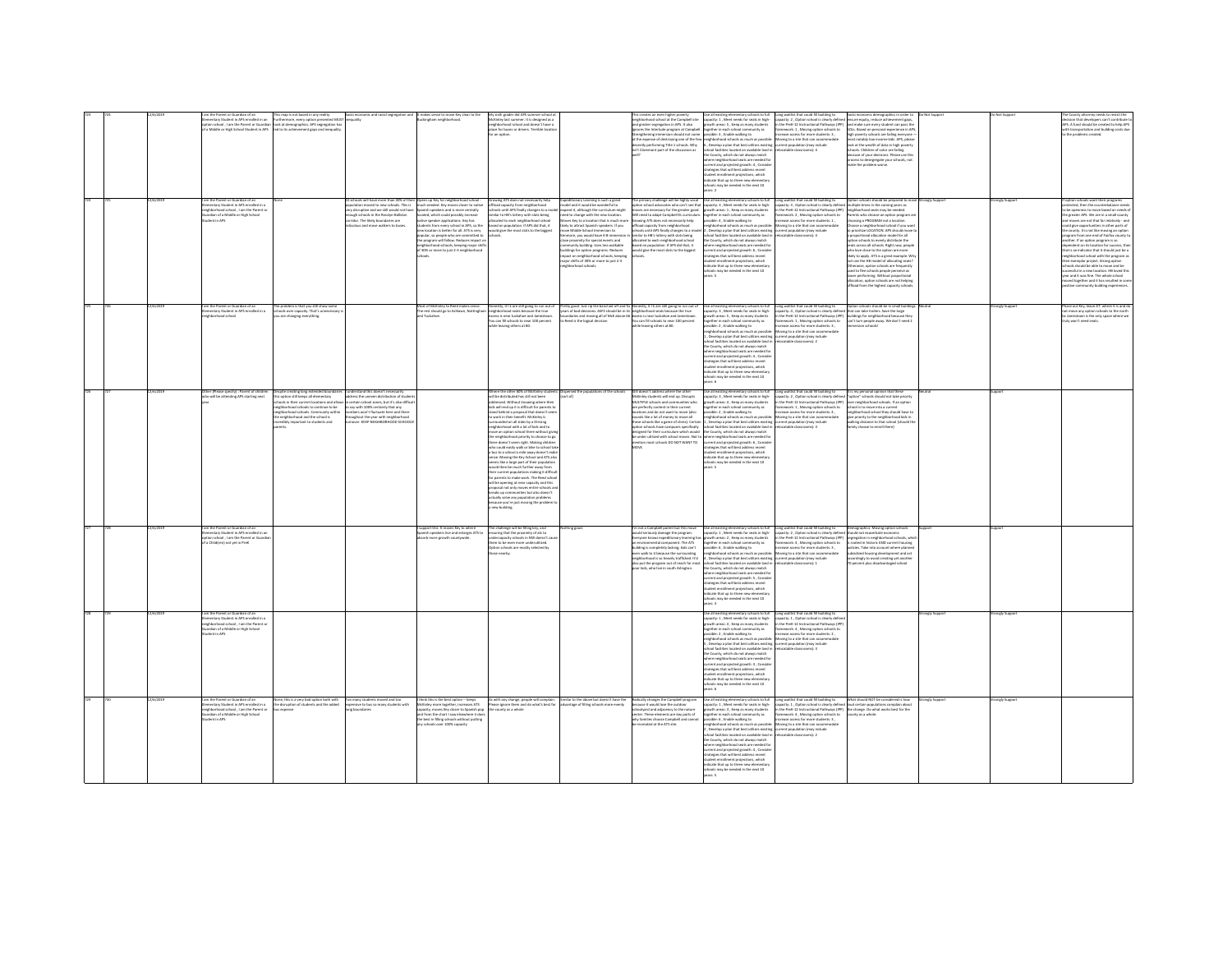|  |          |                                                                                                                                                                       |                                                                                                                                                                                                                                                                                                                           |                                                                                                                                                                                                                                                                                   | c and racial segregation and It makes sense to move Key clear to the                                                                                                                                                                                                                                                                                                                                                                                                                                                                                                              |                                                                                                                                                                                                                                                                                                                                                                                                                                                                                                                                                                                                                                                                                                                                                                                                                                                                                                                                                                                                                                                |                                                                                                                                                                                                                                                                                                                                                                                                                                                                                                                                                                                                                                                                                                     |                                                                                                                                                                                                                                                                                                                                                                                               | nok to full                                                                                                                                                                                                                                                                                                                                                                                                                                                                                                                                                                                                                                                                                                                                                                                             |                                                                                                                                                                                                                                                                                                                                                                                                                                                   |                                                                                                                                                                                                                                                                                                                                                                                                                                                                                                                                                                                                                                                                                   |               |              |                                                                                                                                                                                                                                                                                                                                                                                                                                                                                                                                                                                                                                                                                                                                                                                        |
|--|----------|-----------------------------------------------------------------------------------------------------------------------------------------------------------------------|---------------------------------------------------------------------------------------------------------------------------------------------------------------------------------------------------------------------------------------------------------------------------------------------------------------------------|-----------------------------------------------------------------------------------------------------------------------------------------------------------------------------------------------------------------------------------------------------------------------------------|-----------------------------------------------------------------------------------------------------------------------------------------------------------------------------------------------------------------------------------------------------------------------------------------------------------------------------------------------------------------------------------------------------------------------------------------------------------------------------------------------------------------------------------------------------------------------------------|------------------------------------------------------------------------------------------------------------------------------------------------------------------------------------------------------------------------------------------------------------------------------------------------------------------------------------------------------------------------------------------------------------------------------------------------------------------------------------------------------------------------------------------------------------------------------------------------------------------------------------------------------------------------------------------------------------------------------------------------------------------------------------------------------------------------------------------------------------------------------------------------------------------------------------------------------------------------------------------------------------------------------------------------|-----------------------------------------------------------------------------------------------------------------------------------------------------------------------------------------------------------------------------------------------------------------------------------------------------------------------------------------------------------------------------------------------------------------------------------------------------------------------------------------------------------------------------------------------------------------------------------------------------------------------------------------------------------------------------------------------------|-----------------------------------------------------------------------------------------------------------------------------------------------------------------------------------------------------------------------------------------------------------------------------------------------------------------------------------------------------------------------------------------------|---------------------------------------------------------------------------------------------------------------------------------------------------------------------------------------------------------------------------------------------------------------------------------------------------------------------------------------------------------------------------------------------------------------------------------------------------------------------------------------------------------------------------------------------------------------------------------------------------------------------------------------------------------------------------------------------------------------------------------------------------------------------------------------------------------|---------------------------------------------------------------------------------------------------------------------------------------------------------------------------------------------------------------------------------------------------------------------------------------------------------------------------------------------------------------------------------------------------------------------------------------------------|-----------------------------------------------------------------------------------------------------------------------------------------------------------------------------------------------------------------------------------------------------------------------------------------------------------------------------------------------------------------------------------------------------------------------------------------------------------------------------------------------------------------------------------------------------------------------------------------------------------------------------------------------------------------------------------|---------------|--------------|----------------------------------------------------------------------------------------------------------------------------------------------------------------------------------------------------------------------------------------------------------------------------------------------------------------------------------------------------------------------------------------------------------------------------------------------------------------------------------------------------------------------------------------------------------------------------------------------------------------------------------------------------------------------------------------------------------------------------------------------------------------------------------------|
|  |          |                                                                                                                                                                       | m the Parent or Guardian of an III (Inis map is not based in any reality.<br>Imentary Student in APS enrolled in an Insurbermore, every option presented MUST<br>tion school , I am the Parent or Guardian Took at demographics. APS<br>a Middle or High School Student in APS led to its achievement gaps and inequality | nequality<br>ools will have more than 30% of the                                                                                                                                                                                                                                  | kingham neighborhood.                                                                                                                                                                                                                                                                                                                                                                                                                                                                                                                                                             | My sixth grader did APS summer school a<br>McKinley last summer. It is designed as a<br>neighborhood school and doesn't have a<br>place for buses or drivers. Terrible locatic<br>wing ATS does not necessarily help                                                                                                                                                                                                                                                                                                                                                                                                                                                                                                                                                                                                                                                                                                                                                                                                                           |                                                                                                                                                                                                                                                                                                                                                                                                                                                                                                                                                                                                                                                                                                     | his creates an even higher poverty<br>reighborhood school at the Campbell site<br>and greater segregation in APS. It also<br>nores the Interlude program at Campbell. together in each school community as<br>renathering immersion should not come<br>t the expense of destroying one of the few<br>cently performing Title 1 schools. Why<br>n't Claremont part of the discussion as        | capacity: 1, Meet needs for seats in high-<br>growth areas: 5, Keep as many students<br>possible: 3 . Enable walking to<br>eighborhood schools as much as possible<br>6, Develop a plan that best utilizes existing<br>school facilities located on available land in<br>he County, which do not always match<br>where neighborhood seats are needed for<br>current and projected growth: 4, Consider<br>strategies that will best address recent<br>udent enrollment projections, which<br>dicate that up to three new elementar<br>ools may be needed in the next 10<br>pare 2                                                                                                                                                                                                                        | Long waitlist that could fill building to Socio economic demographics in order to capacity: 2, Option school is clearly defined ensure equity, reduce achievement gaps,<br>In the PreK-12 Instructional Pathways (IPP) and make s<br>ramework: 1 . Moving option schools to<br>rease access for more students: 3.<br>oving to a site that can accommodate<br>rent population (may include<br>locatable classrooms): 4                             | SOLs, Based on personal experience in APS<br>high powerty schools are failing everyone<br>nost notably low income kids. APS, please<br>look at the wealth of data in high poverty<br>schools. Children of color are failing<br>secause of your decisions. Please use this<br>process to desegregate your schools, not<br>make the problem worse.                                                                                                                                                                                                                                                                                                                                  |               | angly Suppo  | Secision that developers can't contribute t<br>APS. A fund should be created to help APS<br>vith transportation and building costs due<br>the problems created.                                                                                                                                                                                                                                                                                                                                                                                                                                                                                                                                                                                                                        |
|  |          | m the Parent or Guardian of an<br>imentary Student in APS enrolled in a<br>eighborhood school . I am the Parent or<br>rdian of a Middle or High School<br>dent in APS |                                                                                                                                                                                                                                                                                                                           | lation moved to new schools. This is<br>sugh schools in the Rosslyn-Ballston<br>ridor. The likely boundaries are<br>culous and move walkers to buses.                                                                                                                             | Opens up Key for neighborhood school -<br>much needed. Key moves closer to native<br>ry disruptive and we still would not have Spanish speakers and is more centrally<br>located, which could possibly increase<br>native speaker applications. Key has<br>tudents from every school in APS, so the<br>ew location is better for all. ATS is very<br>new location is better for all. ATS is very<br>popular, so people who are committed to<br>the program will follow. Reduces impact o<br>neighborhood schools, keeping major shifts<br>of 30% or more to just 2-3 neighborhood | load capacity from neighborhood<br>ilar to HB's lottery with slots being<br>scated to each neighborhood school<br>ed on population. If APS did that, it<br>uld give the most slots to the bigges                                                                                                                                                                                                                                                                                                                                                                                                                                                                                                                                                                                                                                                                                                                                                                                                                                               | peditionary Learning is such a great<br>odel and it would be wonderful to<br>ools until APS finally changes to a model expand it, although the curriculum might<br>spense in, animously will curriculum might<br>red to change with the new location.<br>Loves Key to a location that is much mor<br>likely to attract Spanish speakers. If you<br>nue Middle School Immercing to<br>seve music screen minimizer to<br>Jenmore, you would have K-8 immersi<br>Jose proximity for special events and<br>nmunity building, Uses less walkable<br>uildings for option programs. Reduces<br>.<br>mpact on neighborhood schools, keepin<br>najor shifts of 30% or more to just 2-3<br>ahborhood schools. | oves are necessary for the greater good.<br>Vill need to adapt Campbell EL curriculum.<br>Irowing ATS does not necessarily help<br>ffload capacity from neighborhood<br>chools until APS finally changes to a model<br>imilar to HB's lottery with slots being<br>cated to each neighborhood school<br>based on population. If APS did that, it<br>culd give the most slots to the biggest    | he primary challenge will be highly vocal . Use all existing elementary schools to full<br>ption school advocates who can't see that capacity: 3 , Meet needs for seats in high-<br>growth areas: 1 . Keep as many students<br>together in each school community as<br>together in each school community as<br>possible: 4 , Enable walking to<br>neighborhood schools as much as possibl<br>. Develop a plan that best utilizes existing<br>school facilities located on available land in<br>the County, which do not always match<br>where neighborhood seats are needed for<br>current and projected growth: 6, Conside<br>ategies that will best address recent<br>dent enrollment projections, which<br>indicate that up to three new elementary<br>ools may be needed in the next 10<br>vears: 5 | Long waitlist that could fill building to Coption schools should be prepared to<br>capacity: 3 , Option school is clearly defined multiple times in the coming years as<br>n the PreK-12 Instructional Pathways (IPP) Ineighborhood seats may be needed.<br>mework: 2 , Moving option schools to<br>rease access for more students: 1 ,<br>loving to a site that can accommodate<br>rent population (may include<br>>catable classrooms): 4       | ents who choose an option program a<br>osing a PROGRAM not a location.<br>Choose a neighborhood school if you want<br>relative LOCATION APS should move to<br>promise cookings or a shows more<br>reportional allocation model for all<br>tion schools to everly distribute the<br>leats across all schools. Right now, people<br>who love close to the option are more<br>likely to apply. ATS is a great example. When the HB model of allocating seats?<br>therwise, option schools are frequently<br>used to flee schools people perceive as<br>lower performing. Without proportional<br>allocation, option schools are not helping<br>mod from the highest capacity schools |               |              | ption schools want their programs<br>rtected, then the counterbalance needs<br>o be openness to move based on needs o<br>he greater APS. We are in a small county<br>ind moves are not that far relatively - and<br>uld give opportunities in other parts of<br>e county. It is not like moving an option<br>ogram from one end of Fairfax county ti<br>other. If an option program is so<br>roendent on its location for success, the<br>at is an indicator that it should just be a<br>eighborhood school with the program as<br>seir exemplar project. Strong option<br>hools should be able to move and be<br>social in a new location. HR lowed this<br>ar and it was fine. The whole school<br>oved together and it has resulted in sor<br>sitive community building experiences |
|  |          | am the Parent or Guardian of an<br>nentary Student in APS enrolled in a                                                                                               | he problem is that you still show some<br>-<br>hools over capacity. That's unnecessary<br>ou are changing everything.                                                                                                                                                                                                     |                                                                                                                                                                                                                                                                                   | fost of McKinley to Reed makes sense.<br>The rest should go to Ashlawn, Nottingham                                                                                                                                                                                                                                                                                                                                                                                                                                                                                                | Honestly, it I k are still point to run out of<br>nonnuy, it is an auxiliary and the true<br>excess is near tuckaboe and Jamestown.<br>You can fill schools to near 100 percent<br>while leaving others at 80.                                                                                                                                                                                                                                                                                                                                                                                                                                                                                                                                                                                                                                                                                                                                                                                                                                 | Free power assessment was a main that interest the team of the transport of the decisions. ASPS should be in its neighborhood seats because the true<br>boundaries and moving all of McK above 66 excess is mear tuckahoe and Jam                                                                                                                                                                                                                                                                                                                                                                                                                                                                   | Pretty epod. Just rip the band aid off and fix Honestly, it I k are still going to run out of<br>thile leaving others at 80.                                                                                                                                                                                                                                                                  | Use all existing elementary schools to full<br>capacity: 3 , Meet needs for seats in high-<br>growth areas: 5 , Keep as many students<br>ogether in each school community as<br>ssible: 2 . Enable walking to<br>eighborhood schools as much as possible<br>Develop a plan that best utilizes existing<br>hool facilities located on available land in<br>the County, which do not always match<br>re neighborhood seats are needed for<br>current and projected growth: 4, Conside<br>strategies that will best address recent<br>udent enrollment projections, which<br>ndicate that up to three new element<br>ichools may be needed in the next 10<br>dars: 6                                                                                                                                       | one waitlist that could fill building to<br>org.winning.tomation in District Community of the Case of the Case of the Press, Sever the large<br>http://winnipediate.com/2012/2012/2012 and the Press, Sever the large<br>ramework: 1, Moving option schools to and turn people<br>crease access for more students: 3.<br>oving to a site that can accomm<br>ent population (may include<br>ocatable classrooms): 2                                | Option schools should be in small building<br>nersion schools!                                                                                                                                                                                                                                                                                                                                                                                                                                                                                                                                                                                                                    |               | onely Suppor | hase out Key, leave AT: where it is and di<br>ot move any option schools to the north<br>c Jamestown is the only space where we<br>ulv won't need seats                                                                                                                                                                                                                                                                                                                                                                                                                                                                                                                                                                                                                                |
|  |          | Mer (Please specify) : Parent of childre<br>rho will be attending APS starting next                                                                                   | Despite creating long extended boundaries<br>this option still loeeps all elementary<br>schools in their current locations and allow<br>ed of sunitmos of ideoris boorhodrisis<br>.<br>ghborhood schools. Community within<br>neighborhood and the school is<br>edibly important to students and                          | dress the uneven distribution of studer<br>dress the uneven distribution of studer<br>certain school zones, but it's also diffici<br>say with 100% certainty that any<br>bers won't fluctuate here and ther<br>ughout the year with neighborhoot<br>Ver. KEEP NEIGHBORHOOD SCHOOL |                                                                                                                                                                                                                                                                                                                                                                                                                                                                                                                                                                                   | Where the other 60% of McKinley student<br>will be distributed has still not been<br>addressed. Without knowing where their<br>kids will end up it is difficult for parents to<br>and behind a proposal that doesn't se<br>work in their benefit. McKinley is<br>rrounded on all sides by a thriving<br>ishborhood with a lot of kids and to<br>move an option school there without giving<br>the neighborhood priority to choose to go<br>there doesn't seem right. Making children<br>the could easily walk or bike to school tak<br>i<br>bus to a school a mile away doesn't mal<br>ense. Moving the Key School and ATS als<br>seems like a large part of their population<br>sidd than ha much further away from<br>eir current populations making it difficul<br>for parents to make work. The Reed school<br>will be coening at near capacity and this<br>call not only moves entire schools are<br>eaks up communities but also doesn't<br>tually solve any population problems<br>cause you're just moving the problem<br>ew building. | Nspersed the populations of the sche<br>sort of}                                                                                                                                                                                                                                                                                                                                                                                                                                                                                                                                                                                                                                                    | Still doesn't address where the other<br>McKinley students will end up. Disrupts<br>MULTIPLE schools and communities who<br>re perfectly content in their current<br>cations and do not want to move (also<br>ounds like a lot of money to move all<br>hese schools like a game of chess). Certain<br>ption schools have campuses specifically<br>esigned for their curriculum which would    | Use all existing elementary schools to full<br>capacity: 3 , Meet needs for seats in high-<br>growth areas: 4 , Keep as many students<br>together in each school community as<br>possible: 2 , Enable walking to<br>neighborhood schools as much as possible<br>, Develop a plan that best utilizes existing<br>irbool farilities located on available land in<br>the County, which do not always matc<br>stern enrollment projections, which<br>dicate that up to three new elementar<br>hools may be needed in the next 10<br>awe K                                                                                                                                                                                                                                                                   | crease access for more students: 4,<br>crease access for more students: 4,<br>oving to a site that can accommodate<br>rent population (may include<br>F Commentation obdetor                                                                                                                                                                                                                                                                      | neighborhood school they should have to<br>give priority to the neighborhood kids in<br>valking distance to that school (should th<br>forest lines of specifical                                                                                                                                                                                                                                                                                                                                                                                                                                                                                                                  |               |              |                                                                                                                                                                                                                                                                                                                                                                                                                                                                                                                                                                                                                                                                                                                                                                                        |
|  | 2/6/2019 | m the Parent or Guardian of an<br>entary Student in APS enrolled in an<br>ion school, I am the Parent or Guardia<br>Childiren) not yet in Pre                         |                                                                                                                                                                                                                                                                                                                           |                                                                                                                                                                                                                                                                                   | upport this. It moves Key to where<br>ish speakers live and enlarges ATS to<br>sorb more growth countywide.                                                                                                                                                                                                                                                                                                                                                                                                                                                                       | The challenge will be filling long, and<br>uring that the proximity of ats to<br>ercapacity schools in NW doesn't c<br>em to be even more underutilized.<br>ion schools are mostly selected by<br>e nearby.                                                                                                                                                                                                                                                                                                                                                                                                                                                                                                                                                                                                                                                                                                                                                                                                                                    | thing good.                                                                                                                                                                                                                                                                                                                                                                                                                                                                                                                                                                                                                                                                                         | m not a Campbell parent but this move<br>ould seriously damage the program.<br>Everyone knows expeditionary learning has<br>an environmental component. The ATS<br>ilding is completely lacking; kids can't<br>even walk to it because the surrounding<br>neighborhood is so heavily trafficked. It'd<br>lso put the program out of reach for most<br>soor kids, who live in south Arlington. | growth areas: 2, Keep as many students<br>together in each school community as<br>ssible: 6, Enable walking to<br>.<br>neighborhood schools as much as possible: Moving to a site that can accomm<br>4 , Develop a plan that best utilizes existing current population (may include<br>chool facilities located on available land in relocatable classrooms): 1<br>the County, which do not always match<br>ere neighborhood seats are needed fo<br>current and projected growth: S, Conside<br>trategies that will best address recent<br>subseques ones will be as assesses receive<br>tudent enrollment projections, which<br>chools may be needed in the next 10<br>mars: 3                                                                                                                         | Use all existing elementary schools to full Long waitlist that could fill building to Demographics. Moving option schools<br>capacity: 1, Meet needs for seats in high- capacity: 2, Option school is clearly defined should not<br>n the PreK-12 Instructional Pathways (IPP) segregation in neighborhood schools, whic<br>ramework: 4 . Moving option schools to<br>rease access for more students: 3 .<br>oving to a site that can accommodate | rooted in historic AND current housing<br>cies. Take into account where planne<br>bsidized housing development and act<br>cordingly to avoid creating yet another<br>percent plus disadvantaged school.                                                                                                                                                                                                                                                                                                                                                                                                                                                                           |               |              |                                                                                                                                                                                                                                                                                                                                                                                                                                                                                                                                                                                                                                                                                                                                                                                        |
|  |          | m the Parent or Guardian of a<br>mentary Student in APS enrolled in a<br>ishborhood school . I am the Parent or<br>dian of a Middle or High School<br>lent in APS     |                                                                                                                                                                                                                                                                                                                           |                                                                                                                                                                                                                                                                                   |                                                                                                                                                                                                                                                                                                                                                                                                                                                                                                                                                                                   |                                                                                                                                                                                                                                                                                                                                                                                                                                                                                                                                                                                                                                                                                                                                                                                                                                                                                                                                                                                                                                                |                                                                                                                                                                                                                                                                                                                                                                                                                                                                                                                                                                                                                                                                                                     |                                                                                                                                                                                                                                                                                                                                                                                               | Se all existing elementary schools to full<br>spacity: 1, Meet needs for seats in high-<br>growth areas: 4, Keep as many students<br>together in each school community as<br>possible: 2, Enable walking to<br>neighborhood schools as much as possible:<br>. Develop a plan that best utilizes existing<br>chool facilities located on available land in<br>the County, which do not always match<br>here neighborhood seats are needed for<br>rrent and projected erowth: 3 . Conside<br>annen and projected growth: a , comm<br>trategies that will best address recent<br>tudent enrollment projections, which<br>indicate that up to three new elementary<br>hools may be needed in the next 10<br>are 6                                                                                           | Long waitlist that could fill building to<br>apacity: 1, Option school is clearly defi<br>the Dreft-12 Instructional Dathways (ID)<br>rework: 4, Moving option schools to<br>ease access for more students: 2,<br>loving to a site that can accome<br>rrent oopulation (may include<br>catable classrooms): 3                                                                                                                                     |                                                                                                                                                                                                                                                                                                                                                                                                                                                                                                                                                                                                                                                                                   | ongly Suppor  | ongly Supp   |                                                                                                                                                                                                                                                                                                                                                                                                                                                                                                                                                                                                                                                                                                                                                                                        |
|  |          | am the Parent or Guardian of an<br>nentary Student in APS enrolled in a<br>of school I am the Darent or<br>dian of a Middle or High School<br>dent in APS             | lone, this is a very bad option both with<br>the disruption of students and the added                                                                                                                                                                                                                                     | oo many students moved and too<br>ensive to bus so many students with                                                                                                                                                                                                             | think this is the best option -- keeps<br>McKinley more together, increases ATS<br>Capacity, moves Key closer to Spanish pop<br>and from the chart I saw elsewhere it does<br>the best in filling schools without putting<br>ny schools over 100% capacity                                                                                                                                                                                                                                                                                                                        | As with any change, people will complain. Similar to the above but doesn't have the<br>Please ignore them and do what's best for<br>the county as a whole                                                                                                                                                                                                                                                                                                                                                                                                                                                                                                                                                                                                                                                                                                                                                                                                                                                                                      | Ivantage of filling schools more evenly                                                                                                                                                                                                                                                                                                                                                                                                                                                                                                                                                                                                                                                             | Radically changes the Campbell program<br>ecause it would lose the outdoor<br>choolyard and adjacency to the nature<br>nter. These elements are key parts of<br>why families choose Campbell and cannot<br>be recreated at the ATS site.                                                                                                                                                      | Use all existing elementary schools to full<br>spacity: 1 , Meet needs for seats in high-<br>powth areas: 3 , Keep as many students<br>ogether in each school community as<br>cossible: 6 . Enable walking to<br>wighborhood schools as much as possible<br>Develop a plan that best utilizes existing<br>ool facilities located on available land in<br>the County, which do not always match<br>exheet seats are needed for<br>re neighb<br>current and projected growth: 4, Consider<br>strategies that will best address recent<br>tudent enrollment projections, which<br>ndicate that up to three new elementary<br>ools may be needed in the next 10<br>wars: 5                                                                                                                                  | Long waitlist that could fill building to<br>apacity: 1 , Option school is clearly defined foud certain populations complain about<br>the PreK-12 Instructional Pathways (PP) the change. Do what works best for the<br>ramework: 4 , Moving option schools to county as a whole.<br>crease access for more students: 3 .<br>oving to a site that can accomm<br>ent population (may include<br>catable classrooms): 2                             | What should NOT be considered is how                                                                                                                                                                                                                                                                                                                                                                                                                                                                                                                                                                                                                                              | rangly Suppor | ongly Suppor |                                                                                                                                                                                                                                                                                                                                                                                                                                                                                                                                                                                                                                                                                                                                                                                        |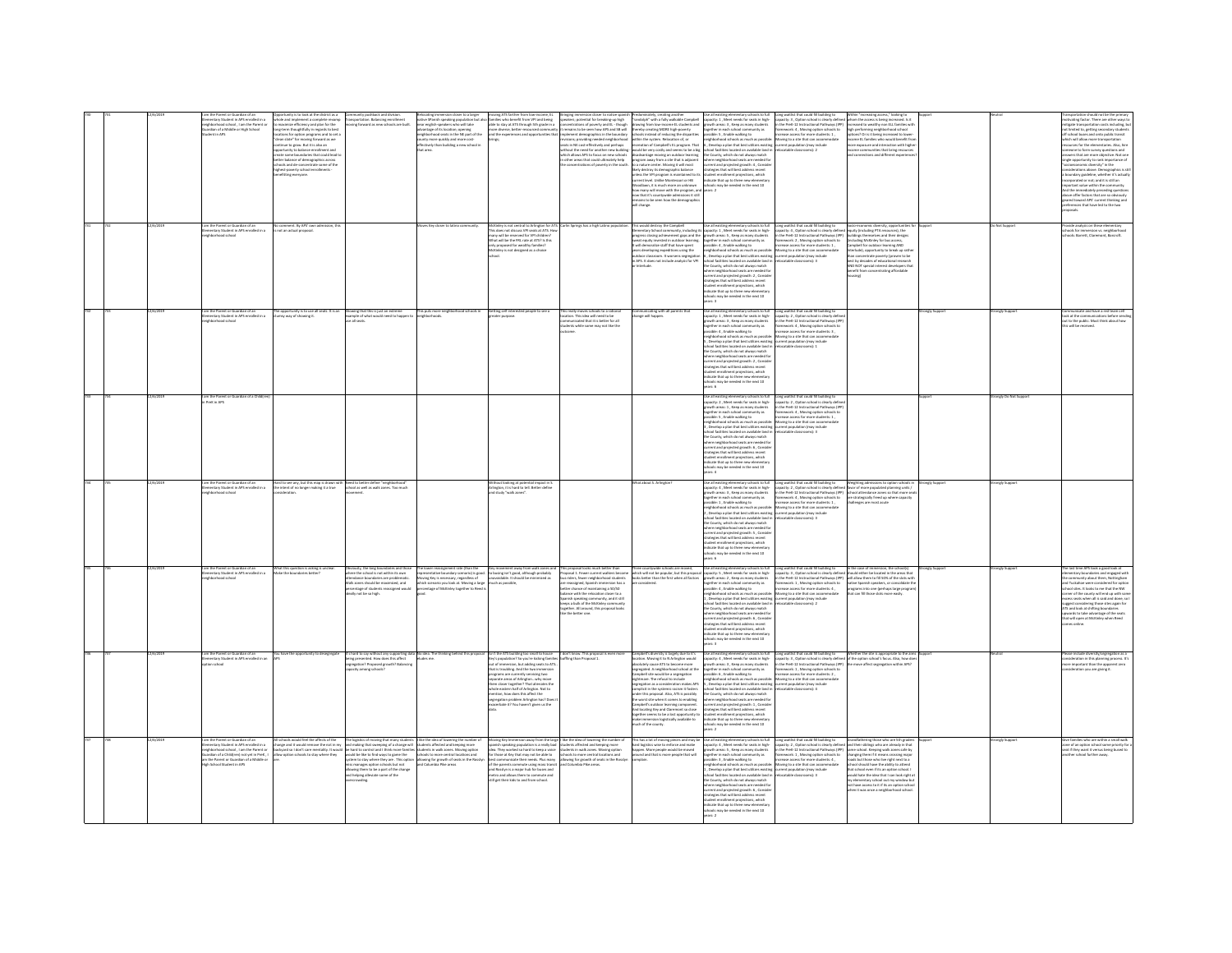|  |          | Contrary Student in APS enrolled in a<br>hborhood school , I am the Parent or<br>rdian of a Middle or High School                                                                                                                    | look at the district as a<br>cle and implement a complete revamp<br>maximize efficiency and plan for the<br>g-term thoughtfully in regards to best<br>ations for option programs and to set a<br>ean slate" for moving forward as we<br>tinue to grow. But it is also an<br>rtunity to balance enrollment and<br>ate some boundaries that could lead t<br>er balance of demographics across<br>sols and de-concentrate some of the<br>est-paverty school en<br>itting everyone. | portation. Balancing enrollment<br>ng forward as new schools are built.                                                                                                                                                                                                                                                                                                                              | mative SPanish speaking population but also<br>near english-speaking population but also<br>advantage of its location; opening<br>neighborhood seats in the NE part of the<br>bunty more quickly and more cost-<br>effectively than building a new school in<br>ut area.                               | moving State benefit from VPI and being<br>able to stay at ATS through Sth grade in a<br>more diverse, better-resourced communit<br>and the experiences and opportunities the                                                                                                                                                                                                                                                                                     | reprogramment south to heroe spanner<br>restrations of powerty and EL - though<br>restrations of powerty and EL - though<br>emains to be seen how APS and SB will<br>showerd downerables in the best spanner<br>lement demographics in the boundary<br>ions; providing needed neighborhood<br>ats in NE cost-effectively and perhaps<br>thout the need for another new building -<br>hich allows APS to focus on new schools<br>other areas that could ultimately help<br>e concentrations of poverty in the south. | womanizers, was a grand and a standard and olph" with a fully walkable Campbell<br>rawing from low-income EL students and<br>sereby creating MORE high-poverty<br>hoots instead of reducing the disparities<br>vithin the system. Relocation of, or<br>recreation of Campbell's EL program. That<br>would be very costly and seems to be a big<br>- mouss our very consult and out-mouse of the district of the district propriation and the state that is adjacent to a nature center. Mostep if will most<br>to a state the center of the state of the state of the state of the<br><br>loodlawn, it is much more an unknown<br>ow many will move with the program, and<br>ow that it's countywide admis<br>ions it still<br>mains to be seen how the demographic<br>Il channe. | ou as secure we meets for seats in high-<br>powth areas: 3 , Keep as many students<br>ogether in each school community as<br>ossible: 5 , Enable walking to<br>eighborhood schools as much as possible<br>i , Develop a plan that best utilizes existing current population (may include<br>chool facilities located on available land in refocatable classrooms): 2<br>the County, which do not always match<br>e soung, wiser so all always match<br>nere neighborhood seats are needed for<br>rent and projected growth: 4 , Consider<br>ategies that will best address recent<br>student enrollment projections, which<br>indicate that up to three new elementary<br>schools may be needed in the next 10<br>ears: 2                                                                      | Long weitlist that could fill building to<br>capacity: 3, Option school is clearly defined<br>in the PreK-12 Instructional Pathways (IPP)<br>framework: 4, Moving option schools to<br>increase access for more students: 1,<br>Moving to a site that can accommodate                                                                                                                                                                                                                                                                                     | hom the access is being increased. Is it<br>creased to wealthy non ELL families with<br>high performing neighborhood school<br>options? Or is it being increased to low<br>come EL families who would benefit fro<br>nore exposure and interaction with higher<br>scome communities that bring resources<br>connections and different experient                                                                                                                                                             |               |                      | d not be the o<br>ting factor. There are other ways t<br>itigate transportation costs including,<br>it limited to, getting secondary studen<br>Fschool buses and onto public transit<br>hich will allow more transportation<br>sources for the elementaries. Also, hire<br>neone to form survey questions and<br>wers that are more objective. Not one<br>ingle opportunity to rank importance of<br>Socioeconomic diversity" in the<br>onsiderations above. Demographics is st<br>boundary guideline, whether it's actually<br>corporated or not; and it is still an<br>portant value within the community<br>nd the immediately preceding question<br>bove offer factors that are so obviously<br>ared toward APS' current thinking and<br>veferences that have led to the two |
|--|----------|--------------------------------------------------------------------------------------------------------------------------------------------------------------------------------------------------------------------------------------|---------------------------------------------------------------------------------------------------------------------------------------------------------------------------------------------------------------------------------------------------------------------------------------------------------------------------------------------------------------------------------------------------------------------------------------------------------------------------------|------------------------------------------------------------------------------------------------------------------------------------------------------------------------------------------------------------------------------------------------------------------------------------------------------------------------------------------------------------------------------------------------------|--------------------------------------------------------------------------------------------------------------------------------------------------------------------------------------------------------------------------------------------------------------------------------------------------------|-------------------------------------------------------------------------------------------------------------------------------------------------------------------------------------------------------------------------------------------------------------------------------------------------------------------------------------------------------------------------------------------------------------------------------------------------------------------|---------------------------------------------------------------------------------------------------------------------------------------------------------------------------------------------------------------------------------------------------------------------------------------------------------------------------------------------------------------------------------------------------------------------------------------------------------------------------------------------------------------------|-----------------------------------------------------------------------------------------------------------------------------------------------------------------------------------------------------------------------------------------------------------------------------------------------------------------------------------------------------------------------------------------------------------------------------------------------------------------------------------------------------------------------------------------------------------------------------------------------------------------------------------------------------------------------------------------------------------------------------------------------------------------------------------|------------------------------------------------------------------------------------------------------------------------------------------------------------------------------------------------------------------------------------------------------------------------------------------------------------------------------------------------------------------------------------------------------------------------------------------------------------------------------------------------------------------------------------------------------------------------------------------------------------------------------------------------------------------------------------------------------------------------------------------------------------------------------------------------|-----------------------------------------------------------------------------------------------------------------------------------------------------------------------------------------------------------------------------------------------------------------------------------------------------------------------------------------------------------------------------------------------------------------------------------------------------------------------------------------------------------------------------------------------------------|-------------------------------------------------------------------------------------------------------------------------------------------------------------------------------------------------------------------------------------------------------------------------------------------------------------------------------------------------------------------------------------------------------------------------------------------------------------------------------------------------------------|---------------|----------------------|----------------------------------------------------------------------------------------------------------------------------------------------------------------------------------------------------------------------------------------------------------------------------------------------------------------------------------------------------------------------------------------------------------------------------------------------------------------------------------------------------------------------------------------------------------------------------------------------------------------------------------------------------------------------------------------------------------------------------------------------------------------------------------|
|  | 2/6/2019 | am the Parent or Guardian of an<br>mentary Student in APS enrolled in a<br>chborhood school                                                                                                                                          | comment. By APS' own admiss<br>not an actual proposal                                                                                                                                                                                                                                                                                                                                                                                                                           |                                                                                                                                                                                                                                                                                                                                                                                                      | es Key closer to latino community                                                                                                                                                                                                                                                                      | Sinley is not central to Arlington for ATS. Carlin Springs has a high Latino populat<br>is does not discuss VPI seats at ATS. How<br>any will be reserved for VPI children<br>What will be the FRL rate at ATS? Is this<br>ly proposed for wealthy families<br>cKinley is not designed as a choic                                                                                                                                                                 |                                                                                                                                                                                                                                                                                                                                                                                                                                                                                                                     | This would destroy the Campbell<br>mentary School community, including its<br>rogress closing achievement gaps and the<br>east enviro invested in nutrinor learning<br>swear equity mented in outdoor learning.<br>It will democalize staff that have spent<br>years developing expeditions using the<br>outdoor classroom. It worsens segregation<br>in APS. It does not include analysis for VPI                                                                                                                                                                                                                                                                                                                                                                                | Use all existing elementary schools to full<br>apacity: 1 , Meet needs for seats in high-<br>rowth areas: 5 , Keep as many students<br>ether in each school community as<br>gener in excits community as<br>sighter 4 , finalle walking to a linghoothood schools as much as possible:<br>lightorhood schools as much as possible:<br>Develop a plan that best utilizes existing contract for the state of the stat<br>e County, which do not always match<br>ere neighborhood seats are needed for<br>rrent and projected erowth: 2. Consid<br>atent and projected growth. 2, common<br>otent enrollment projections, which<br>dicate that up to three new elementar<br>ools may be needed in the next 10<br>ears: 3                                                                          | Long waitlist that could fill building to<br>apacity: 4 , Option school is clearly defined<br>n the PreK-12 Instructional Pathways (IPP)<br>Famework: 2, Moving option schools to<br>ncrease access for more students: 1,<br>Moving to a site that can accommodate<br>current population (may include<br>relocatable classrooms): 3                                                                                                                                                                                                                       | Socio-economic diversity, opportunities<br>d equity (including PTA resources), the<br>ildings themselves and their designs<br>including McKinley for bus access,<br>lampbell for outdoor learning AND<br>sterlude], opportunity to break up rath<br>than concentrate poverty (proven to be<br>best by decades of educational research<br>AND NOT special interest developers tha<br>nefit from concentrating affordable                                                                                     |               | Not Support          | ovide analysis on these elementary<br>hools for immersion vs. neighborhood<br>ools: Barrett, Claremont, Barcroft.                                                                                                                                                                                                                                                                                                                                                                                                                                                                                                                                                                                                                                                                |
|  | 37673010 | am the Parent or Guardian of an<br>mentary Student in APS enrolled in a<br>Numbered school                                                                                                                                           | he opportunity is to use all seats. It is an<br>to way of showing it.                                                                                                                                                                                                                                                                                                                                                                                                           | .<br>Showing that this is just an extreme<br>example of what would need to happen to<br>all seats                                                                                                                                                                                                                                                                                                    | This puts more neighborhood schools in                                                                                                                                                                                                                                                                 | Getting self interested people to see a<br>ereater ouroose.                                                                                                                                                                                                                                                                                                                                                                                                       | s really moves schools to a ration.<br>ation. This idea will need to be<br>inizated that it is hetter for all<br>dents while some may not like                                                                                                                                                                                                                                                                                                                                                                      | nunicating with all parents that<br>anna will hanner                                                                                                                                                                                                                                                                                                                                                                                                                                                                                                                                                                                                                                                                                                                              | tie all existing elementary schools to full<br>acity: 1 . Meet needs for seats in high-<br>wth areas: 3, Keep as many students<br>in areas: a , weip as many students<br>ther in each school community as<br>ible: 4 , Enable walking to<br>hborhood schools as much as possibl<br>Develop a plan that best utilizes existing eurrent population (may include<br>hool facilities located on available land in relocatable classrooms): 1<br>he County, which do not always match<br>ere neighborhood seats are needed for<br>rent and projected growth: 2 , Consider<br>tegies that will best address<br>dent enrollment projections, which<br>icate that up to three new elementa<br>ools may be needed in the next 10<br>rs6                                                                 | Long waitlist that could fill building to<br>capacity: 2 , Option school is clearly define<br>in the PreK-12 Instructional Pathways (IPF<br>Nework: 4, Moving option schools<br>ease access for more students: 3<br>Moving to a site that can accor                                                                                                                                                                                                                                                                                                       |                                                                                                                                                                                                                                                                                                                                                                                                                                                                                                             | onaly Support | onely Support        | ricate and have a red team cell<br>ok at the come<br>unications hafora sandi<br>d to the nublic. Must think about how                                                                                                                                                                                                                                                                                                                                                                                                                                                                                                                                                                                                                                                            |
|  |          | m the Parent or <sub>!</sub><br>PreK in APS                                                                                                                                                                                          |                                                                                                                                                                                                                                                                                                                                                                                                                                                                                 |                                                                                                                                                                                                                                                                                                                                                                                                      |                                                                                                                                                                                                                                                                                                        |                                                                                                                                                                                                                                                                                                                                                                                                                                                                   |                                                                                                                                                                                                                                                                                                                                                                                                                                                                                                                     |                                                                                                                                                                                                                                                                                                                                                                                                                                                                                                                                                                                                                                                                                                                                                                                   | all existing elementary schools to full<br>city: 2 , Meet needs for seats in high-<br>why, z , were measure and students<br>wth areas: 1 , Keep as many students<br>wher in each school community as<br>sible: 5 , Enable walking to<br>phborhood schools as much as possibl<br>Develop a plan that best utilizes existing exprent population (may include<br>ol faciliti<br>s located on available land in<br>e County, which do not always match<br>re neight<br>rhood seats are needed for<br>www.ww.gov.nova.usu.com<br>strategies that will best address recent<br>strategies that will best address recent<br>student enrollment projections, which<br>indicate that up to three new elementary<br>chools may be needed in the next 10<br>arc 4                                          | Long waitlist that could fill building to<br>capacity: 2 , Option school is clearly defin<br>the Prett-12 Instructional Pa<br>Nework: 4, Moving option schools to<br>ease access for more students: 1,<br>Moving to a site that can accommodat<br>ocatable classrooms): 3                                                                                                                                                                                                                                                                                 |                                                                                                                                                                                                                                                                                                                                                                                                                                                                                                             |               |                      |                                                                                                                                                                                                                                                                                                                                                                                                                                                                                                                                                                                                                                                                                                                                                                                  |
|  | 3/6/3010 | am the Parent or Guardian of an<br>lamentary Student in APS enrolled in a<br>hood schoo                                                                                                                                              | ard to see any, but this map is drawn with Need to better define "neighborhood"<br>he intent of no longer making it a true school as well as walk zones. Too much                                                                                                                                                                                                                                                                                                               |                                                                                                                                                                                                                                                                                                                                                                                                      |                                                                                                                                                                                                                                                                                                        | thout looking at potential impact in S.<br>Ington, it is hard to tell. Better define<br>d study "walk zones".                                                                                                                                                                                                                                                                                                                                                     |                                                                                                                                                                                                                                                                                                                                                                                                                                                                                                                     | That about S. Arlineton                                                                                                                                                                                                                                                                                                                                                                                                                                                                                                                                                                                                                                                                                                                                                           | ise all existing elementary schools to full<br>apacity: 4 , Meet needs for seats in high-<br>ucky: 4 , week needs for seats in high<br>wth areas: 3 , Keep as many student<br>yther in each school community as<br>sible: 1 , Enable waiking to<br>eighborhood schools as much as possible: Moving to a site that can accom<br>, Develop a plan that best utilizes existing current population (may include<br>pol facilities located on available land in<br>County, which do not always match<br>the County, which do not always match<br>where neighborhood siats are needed for<br>current and projected growth: 5 , Consider<br>strategies that will best address recent<br>student enrollment projections, which<br>indicate that up to th<br>ools may be needed in the next 10<br>er 6. | $\begin{tabular}{ll} \textbf{large weights} & \textbf{total} & \textbf{B} & \textbf{W}{\textbf{begin}} \\ \textbf{begin} & \textbf{total} \\ \textbf{M} \\ \textbf{M} \\ \textbf{M} \\ \textbf{M} \\ \textbf{M} \\ \textbf{M} \\ \textbf{M} \\ \textbf{M} \\ \textbf{M} \\ \textbf{M} \\ \textbf{M} \\ \textbf{M} \\ \textbf{M} \\ \textbf{M} \\ \textbf{M} \\ \textbf{M} \\ \textbf{M} \\ \textbf{M} \\ \textbf{M} \\ \textbf{M} \\ \textbf{M} \\ \textbf{M} \\ \textbf{M} \\ \text$<br>Moving to a site that can accommodate<br>pratable classrooms): 3 |                                                                                                                                                                                                                                                                                                                                                                                                                                                                                                             |               | ongly Suppor         |                                                                                                                                                                                                                                                                                                                                                                                                                                                                                                                                                                                                                                                                                                                                                                                  |
|  |          | the Parent or Guardian of an<br>entary Student in APS o<br>rhood school                                                                                                                                                              | t this question is asking is unclear<br>n the becombined better?                                                                                                                                                                                                                                                                                                                                                                                                                | ously, the long boundaries and those<br>re the school is not within its own<br>ttendance boundaries are problematic.<br>Nik zones should be maximized, and<br>ercentage of students reassigned would<br>eally not be so high.                                                                                                                                                                        | sent rate (than the<br>boundary scenario) is good<br>ving Key is necessary, regardless of<br>ich scenario you look at. Moving a large<br>entage of McKinley together to Ree                                                                                                                            | nont association waterrows and<br>busing isn't good, although probably<br>oidable. It should be minimized as<br>1 as possible,                                                                                                                                                                                                                                                                                                                                    | progressi longs much hetter than<br>osal 1. Fewer current walkers<br>riders, fewer neighborhood students<br>reassigned, Spanish immersion has a<br>tter chance of maintaining a 50/50<br>lance with the relocation closer to a<br>rish speaking community, and it still<br>ans a holk of the McKinley r<br>ther. All around, this proposal look<br>the better one.                                                                                                                                                  | hardy are aboutes afterwhite an<br>rew countywide scribbs are moved,<br>hich will not be popular, but this proposities<br>his better than the first when all factors                                                                                                                                                                                                                                                                                                                                                                                                                                                                                                                                                                                                              | ie all'evistino ele<br>thany schools to full<br>at existing elementary schools to full<br>lacity: S , Meet needs for seats in high-<br>wth areas: 2 , Keep as many students<br>ther in each school community as<br>sible: 4, Enable walking to<br>ighborhood schools as much as possible:<br>, Develop a plan that best utilizes existing<br>nol fariliti<br>s located on available land is<br>crock racistics because on available match<br>there maghbarhood seats are needed for<br>there maghbarhood seats are needed for<br>urrent and projected growth: 6 , Consider<br>trategies that will best address recent<br>dent enrollment projections, which<br>dicate that up to three new elementar<br>ools may be needed in the next 10<br>k                                                 | Long waitlist that could fill building to<br>capacity: 3 , Option school is clearly defined<br>in the PreK-12 Instructional Pathways (PP)<br>framework: 1 , Moving option schools to<br>rease access for more students: 4<br>Moving to a site that can accommodate<br>currant nonsiation (may include<br>ratable classrooms): 2                                                                                                                                                                                                                           | s the case of ime<br>ing the relativity<br>in the case of immersion, the schools)<br>should either be located in the areas that<br>will allow them to fill 50% of the slots with<br>native Spanish speakers, or conso<br>programs into one (perhaps large program<br>that can fill those slots more easily                                                                                                                                                                                                  |               | <b>Ingly Support</b> | e last time APS took a good look at<br>ine was unre APS took a good rook as<br>literatury boundaries and engaged with<br>and Tuckahoe were considered for option<br>hool sites. It looks to me that the NW<br>arner of the county will end up with son<br>ors seats when all is said and done, so<br>east considering those sites again for<br>uggest consoeing mose sites again to<br>ATS and look at shifting boundaries<br>spwards to take advantage of the seats<br>that will open at McKinley when Reed<br>es online.                                                                                                                                                                                                                                                       |
|  | 15022019 | m the Parent or Guardian of an<br>ementary Student in APS enrolled<br>on school                                                                                                                                                      | ave the opportunity to desegregat                                                                                                                                                                                                                                                                                                                                                                                                                                               | t's hard to say without any supporting dat<br>seing presented. How does this affect<br>gregation? Proposed growth? Balanci<br>ty among schools                                                                                                                                                                                                                                                       | a No idea. The thinking behind this propo<br>i me.                                                                                                                                                                                                                                                     | Isn't the ATS building too small to house<br>'s population? So you're kicking fa<br>out of immersion, but adding seats to ATS<br>that is troubling. And the two immersic<br>roarams are currently servicine two<br>rate areas of Arlinaton why move<br>m closer together? That alienates th<br>whole eastern half of Arlington. Not to<br>mention, how does this affect the<br>segregation problem Arlington has? Does<br>exacerbate it? You haven't given us the | I don't know. This proposal is even<br>s baffling than Proposal 1.                                                                                                                                                                                                                                                                                                                                                                                                                                                  | Campbell's diversity is largely due to it's<br>location. Moving it to N Arlington would<br>slutely cause ATS to become more<br>agregated. A neighborhood school at the<br>mobel site would be a segregation<br>ehtmare. The refusal to include<br>agregation as a consideration makes APS<br>omplicit in the systemic racism it fosters<br>inder this proposal. Also, ATS is possibly<br>the worst site when it comes to enabling<br>Campbell's outdoor learning component.<br>And locating Key and Claremont so close<br>ogether seems to be a lost opportunity to<br>ake immersion logistically available to<br>ruch of the county.                                                                                                                                             | ie all existing elementary schools to full<br>pacity: 4 , Meet needs for seats in high-<br>wth areas: 3, Keep as many students<br>gether in each school community as<br>ssible: 6 . Enable walking to<br>.<br>ghborhood schools as much as possible<br>Develop a plan that best utilizes existing<br>hool facilities located on available land in<br>e County, which do not always match<br>here neighborhood seats are needed for<br>urrent and projected growth: 1 , Conside<br>rategies that will best address recent<br>tudent enrollment projections, which<br>.<br>dicate that up to three new elementar<br>hools may be needed in the next 10<br>$\sim$                                                                                                                                 | Long waitlist that could fill building to<br>capacity: 3 , Option school is clearly define<br>n the PreK-12 Instructional Pathways (IPP<br>sework: 1, Moving option schools to<br>crease access for more students: 2.<br>oving to a site that can accomm<br>catable classrooms): 4                                                                                                                                                                                                                                                                        | thether the site is appropriate to the ai<br>I the option school's focus. Also, how d<br>move affect segregation within APS                                                                                                                                                                                                                                                                                                                                                                                 |               |                      | ie include diversity/segregation as a<br>eration in this planning process. It'<br>ore important than the apparent zero<br>ation you are giving it                                                                                                                                                                                                                                                                                                                                                                                                                                                                                                                                                                                                                                |
|  |          | im the Parent or Guardian of a<br>ventary Student in APS enrolled in a<br>eighborhood school, I am the Parent or<br>ardian of a Child(ren) not yet in PreK,<br>n the Parent or Guardian of a Middle or<br>lich School Student in APS | mold feel the affects of the<br>ange and it would remove the not in my                                                                                                                                                                                                                                                                                                                                                                                                          | he logistics of moving that many stu<br>and making that sweeping of a change will<br>.<br>kyard so I don't care mentality. It would be hard to control and I think more families students in walk zones. Moving option<br>w option schools to stay where they would be like to find ways to game the schools to more cent<br>ring them to be a part of the change<br>d helping alleviate some of the | ike the idea of lowering the num<br>dents affected and keeping more<br>udd be like to find ways to game the schools to more central locations and<br>tem to stay where they are . This option allowing for growth of seats in the Itosale<br>is manages option schools but not and Columbia Pike areas | rving Key Immersion away from the large Il like the idea of lowering the numbe<br>ish speaking population is a really bad<br>idea. They worked so hard to keep a voice<br>for those at Key that may not be able to<br>communicate their needs. Plus many<br>of the parents commute using mass transi<br>Rosslyn is a major hub for buses and<br>itro and allows them to commute and<br>I get their kids to and from school.                                       | dents affected and keeping more<br>udents in walk zones. Moving option<br>hools to more central locations and<br>owing for growth of seats in the Rosslyi<br>d Columbia Pilor areas.                                                                                                                                                                                                                                                                                                                                | has a lot of moving pieces and may<br>ard logistics wise to enforce and make<br>appen. More people would be moved<br>ound and that is more people that will                                                                                                                                                                                                                                                                                                                                                                                                                                                                                                                                                                                                                       | all existing elementary schools to full<br>sacity: 4 , Meet needs for seats in high-<br>wth areas: 5, Keep as many students<br>gether in each school community as<br>sible: 3 . Enable walking to<br>shborhood schools as much as possibly<br>Develop a plan that best utilizes existing<br>, werever # pain triat best utilizes existin<br>hool facilities located on available land i<br># County, which do not always match<br>where neighborhood seats are needed for<br>urrent and projected growth: 6 , Conside<br>trategies that will best address recent<br>udent enrollment projections, which<br>.<br>Scate that up to three new element<br>hools may be needed in the next 10                                                                                                       | Long waitlist that could fill building to<br>capacity: 2 , Option school is clearly defined<br>in the PreK-12 Instructional Pathways (IPP) same school. Keeping walk zones safe by<br>ramework: 1, Moving option schools to<br>rease access for more students: 4.<br>oving to a site that can accomm<br>.<br>rrent population (may include<br>focatable classrooms): 3                                                                                                                                                                                    | Grandfathering those who are 5th grade<br>I and their siblings who are already in that<br>changing them if it means crossing majo<br>sads but those who live right next to a<br>thool should have the ability to attent<br>stress amount were used to an option school. I<br>that school even if its an option school. I<br>would hate the idea that I can look right at<br>my elementary school out my window but<br>not have access to it if its an option school<br>en it was once a neighborhood school |               | angly Sup            | lies who are within a small wal<br>one of an option school some priority fo<br>eat if they want it versus being bused to<br>ther school further away                                                                                                                                                                                                                                                                                                                                                                                                                                                                                                                                                                                                                             |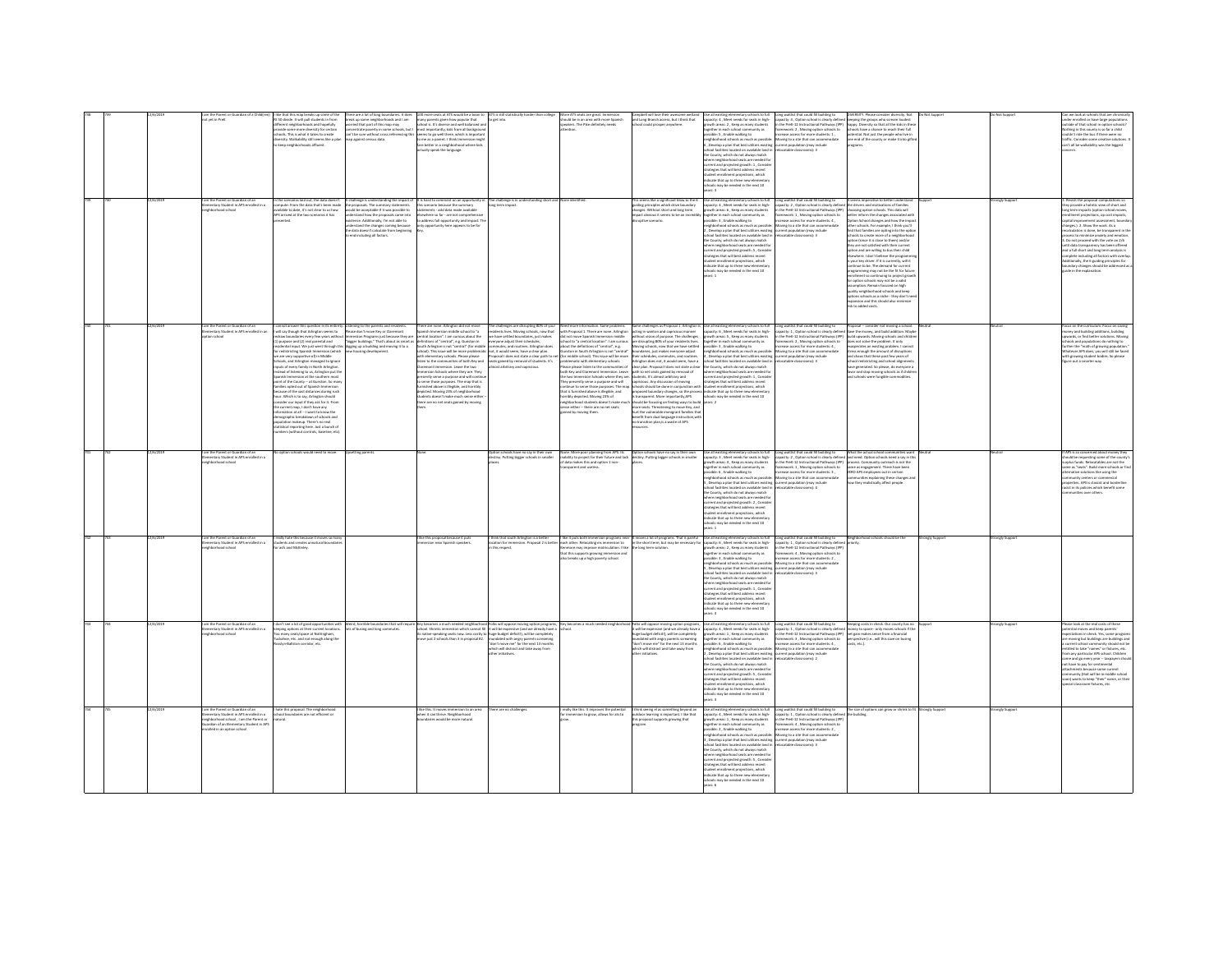|  |           | n the Parent or Guardian of a Chili                                                                                                                    | that this map breaks up some of th                                                                                                                                                                                                                                                                                                                                                                                                                                                                                                                                                                                                                                                                                                                                                                                                                                                                                               | ere are a lot of long boundaries. It does                                                                                                                                                                                                                                                                                            | more seats at ATS would be a boon to                                                                                                                                                                                                                                                                                                                                                                                                                                                                                                                                                                                                                                                    | ATS is still statistically harder than                                                                                                                                                                                                        | ore ATS seats are great. Immersio                                                                                                                                                                                                                                                                                                                                                                                                                                                                                                                                                                                                         |                                                                                                                                                                                                                                                                                                                                                                                                                                                                                                        | Jse all existing elementary schools to ful                                                                                                                                                                                                                                                                                                                                                                                                                                                                                                                                                                                                                                                                                                                                                                                                                                                                                                                                                                                                                                                                                                                                                                             | ong waitlist that could fill building to                                                                                                                                                                                                                                                                                                                                                                                                              | ERSITY. Please consider diversity. No                                                                                                                                                                                                                                                                                                                                                                                                                                                                                                                                                                                                                                                                                                                                                                                            |               |                         | ools that are che<br>n we look at sch                                                                                                                                                                                                                                                                                                                                                                                                                                                                                                                                                                 |
|--|-----------|--------------------------------------------------------------------------------------------------------------------------------------------------------|----------------------------------------------------------------------------------------------------------------------------------------------------------------------------------------------------------------------------------------------------------------------------------------------------------------------------------------------------------------------------------------------------------------------------------------------------------------------------------------------------------------------------------------------------------------------------------------------------------------------------------------------------------------------------------------------------------------------------------------------------------------------------------------------------------------------------------------------------------------------------------------------------------------------------------|--------------------------------------------------------------------------------------------------------------------------------------------------------------------------------------------------------------------------------------------------------------------------------------------------------------------------------------|-----------------------------------------------------------------------------------------------------------------------------------------------------------------------------------------------------------------------------------------------------------------------------------------------------------------------------------------------------------------------------------------------------------------------------------------------------------------------------------------------------------------------------------------------------------------------------------------------------------------------------------------------------------------------------------------|-----------------------------------------------------------------------------------------------------------------------------------------------------------------------------------------------------------------------------------------------|-------------------------------------------------------------------------------------------------------------------------------------------------------------------------------------------------------------------------------------------------------------------------------------------------------------------------------------------------------------------------------------------------------------------------------------------------------------------------------------------------------------------------------------------------------------------------------------------------------------------------------------------|--------------------------------------------------------------------------------------------------------------------------------------------------------------------------------------------------------------------------------------------------------------------------------------------------------------------------------------------------------------------------------------------------------------------------------------------------------------------------------------------------------|------------------------------------------------------------------------------------------------------------------------------------------------------------------------------------------------------------------------------------------------------------------------------------------------------------------------------------------------------------------------------------------------------------------------------------------------------------------------------------------------------------------------------------------------------------------------------------------------------------------------------------------------------------------------------------------------------------------------------------------------------------------------------------------------------------------------------------------------------------------------------------------------------------------------------------------------------------------------------------------------------------------------------------------------------------------------------------------------------------------------------------------------------------------------------------------------------------------------|-------------------------------------------------------------------------------------------------------------------------------------------------------------------------------------------------------------------------------------------------------------------------------------------------------------------------------------------------------------------------------------------------------------------------------------------------------|----------------------------------------------------------------------------------------------------------------------------------------------------------------------------------------------------------------------------------------------------------------------------------------------------------------------------------------------------------------------------------------------------------------------------------------------------------------------------------------------------------------------------------------------------------------------------------------------------------------------------------------------------------------------------------------------------------------------------------------------------------------------------------------------------------------------------------|---------------|-------------------------|-------------------------------------------------------------------------------------------------------------------------------------------------------------------------------------------------------------------------------------------------------------------------------------------------------------------------------------------------------------------------------------------------------------------------------------------------------------------------------------------------------------------------------------------------------------------------------------------------------|
|  |           | ot yet in PreK                                                                                                                                         | t 50 divide. It will pull students in from<br>Herent neighborhoods and hopefully<br>vide some more diversity for certain<br>cols. This is what it takes to create<br>ersity. Walkability still seems like a pla<br>eep neighborhoods affluent.                                                                                                                                                                                                                                                                                                                                                                                                                                                                                                                                                                                                                                                                                   | heak up some neighborhoods and I am<br>orried that part of this map may<br>sip against census data.                                                                                                                                                                                                                                  | many parents given how popular that<br>school is. It's diverse and well balanced and<br>encentrate poverty in some schools, but I woost importantly, kids from all backgroun<br>in't be sure without cross referencing this seems to go well there, which is importan<br>me as a parent. I think Immersion might<br>fare better in a neighborhood where kids<br>tually speak the language                                                                                                                                                                                                                                                                                               | to get into.                                                                                                                                                                                                                                  | should be in an area with more Spanish<br>speakers. The Pike definitely needs<br>enting                                                                                                                                                                                                                                                                                                                                                                                                                                                                                                                                                   | and Long Branch access, but I think that<br>hool could prosper anywhere.                                                                                                                                                                                                                                                                                                                                                                                                                               | capacity: 4, Meet needs for seats in high-<br>growth areas: 2, Keep as many student<br>meether in each orbord community as<br>sible: 5 . Enable walking to<br>borhood schools as much as possib<br>5, Develop a plan that best utilizes existing<br>ool facilities located on available land i<br>he County, which do not always match<br>where neighborhood seats are needed fo<br>current and projected growth: 1 , Conside<br>strategies that will best address recent<br>substitute that we have access received<br>indicate that up to three new elementary<br>chools may be needed in the next 10                                                                                                                                                                                                                                                                                                                                                                                                                                                                                                                                                                                                                | capacity: 4, Option school is clearly defined keeping the groups who scream loudest<br>the PreK-12 Instructional Pathways (IPP)<br>nework: 2, Moving option schools to<br>rease access for more students: 1.<br>ving to a site that can accommodate<br>ent population (may include<br>catable classrooms): 3                                                                                                                                          | happy. Diversity so that all the kids in thes<br>schools have a chance to reach their full<br>potential. Not just the people who live in<br>one end of the county or make it into gifts<br>orrams.                                                                                                                                                                                                                                                                                                                                                                                                                                                                                                                                                                                                                               |               |                         | under enrolled or have large population<br>utside of that school in option schools<br>Nothing in this county is so far a child<br>couldn't ride the bus if there were no<br>affic. Consider some creative solutions<br>can't all be walkability was the biggest                                                                                                                                                                                                                                                                                                                                       |
|  |           | m the Parent or Guardian of an<br>ementary Student in APS enrolled in a<br>rhood school                                                                | the scenarios laid out, the data doesn't<br>mpute: from the data that's been made<br>allable to date, it's not clear to us how<br>PS arrived at the two scenarios it has                                                                                                                                                                                                                                                                                                                                                                                                                                                                                                                                                                                                                                                                                                                                                         | , challenge is understanding the impact of<br>he proposals. The summary statements<br>rould be acceptable if it was possible to<br>nderstand how the proposals came into<br>xistence. Additionally, I'm not able to<br>nderstand the changes coming because<br>he data doesn't calculate from beginning<br>nd including all factors. | It is hard to comment on an opportu<br>this scenario because the summary<br>ments - add data made available<br>elsewhere so far - are not comprehens<br>to address full opportunity and impact. T<br>y opportunity here appears to be fo                                                                                                                                                                                                                                                                                                                                                                                                                                                | e challenge is in un<br>g term impact.                                                                                                                                                                                                        |                                                                                                                                                                                                                                                                                                                                                                                                                                                                                                                                                                                                                                           | This seems like a significant blow to the<br>guiding principles which drive boundary<br>changes. Without short and long term<br>moact obvious it seems to be an incredibly<br>uptive scenario.                                                                                                                                                                                                                                                                                                         | ise all existing elementary schools to full<br>spacity: 4 , Meet needs for seats in high-<br>outh areas: 6, Keep as many students<br>together in each school community as<br>ssible: 3 . Enable walking to<br>pussion: 3, Lisson washing to<br>heighborhood schools as much as possible:<br>2 , Develop a plan that best utilizes existing<br>school facilities located on available land in<br>the County, which do not always match<br>where neighborhood seats are needed for<br>current and projected growth: 5 , Conside<br>strategies that will best address recent<br>udent enrolment projections, which<br>dicate that up to three new elementary<br>ools may be needed in the next 10                                                                                                                                                                                                                                                                                                                                                                                                                                                                                                                         | .<br>Long waitlist that could fill building to the serms imperative to better understanding 2 , Option school is clearly defined the drivers and motivations of families<br>in the PreK-12 Instructional Pathways (IPP) dhoosing opt<br>mework: 1. Moving option schools to<br>ease access for more students: 4 .<br>ving to a site that can accomm<br>rent population (may include<br>>catable classrooms): 3                                        | better inform the changes associated with<br>Option School changes and how the impa<br>other schools. For example, I think you'll<br>find that families are opting into the optio<br>schools to create more of a neighborhor<br>otion (since it is close to them) and/or<br>they are not satisfied with their current<br>option and are willing to bus their child<br>elsewhere. I don't believe the programm<br>is your lory driver. If it is currently, will it<br>tinue to be. The demand for current<br>orgramming may not be the fit for future<br>inrollment so continuing to project grow<br>or option schools may not be a valid<br>motion. Remain focused on high<br>ality neighborhood schools and keep<br>tions schools as a niche - they don't ne<br>expansion and this should also minimize<br>risk to added costs. |               |                         | Revisit the proposal computations so<br>ey provide a holistic view of short and<br>ong term impacts (option school mover<br>rollment projections, op cost impacts<br>inital immu<br>ranges.). 2. Show the work. As a<br>culation is done, be transparent in th<br>cess to minimize anxiety and emotion<br>Do not proceed with the vote on 2/6<br>until data transparency has been offere<br>and a full short and long term analysis is<br>omplete including all factors with overla<br>Additionally, the 6 guiding principles for<br>undary changes should be addressed as<br>ide in the explanation. |
|  |           | im the Parent or Guardian of an<br>mentary Student in APS enrolled in an<br>on school                                                                  | annot answer this question in its entirety<br>will say though that Arlington seems to<br>traw boundaries every few years withou<br>purpose and (2) real parental and<br>idential input. We just went through thi<br>redistricting Spanish Immersion (which<br>e are very supportive of) in Middle<br>hooks, and Arlington managed to ignore<br>puts of every family in North Arlington.<br>ead of listening to us. Arlinaton put th<br>nish Immersion at the southern most<br>int of the County — at Gunston, So man<br>milles opted out of Spanish Immersion<br>ause of the vast distances during rush<br>ur. Which is to say. Arlinaton should<br>ider our input if they ask for it. From<br>current map, I don't have any<br>emation at all -- I want to know the<br>ographic breakdown of schools and<br>lation makeup. There's no real<br>istical reporting here. Just a bunch of<br>bers (without controls, baseline, etc. | Listening to the parents and residents<br>Please don't move Key or Claremont<br>meers con timote way or caremony<br>mmersion Programs just because they are<br>bigger buildings." That's about as smart a<br>digging up a building and moving it to a<br>new housing development.                                                    | here are none. Arlington did not move<br>spanish Immersion middle school to "a<br>ntral location". I am curious about the<br>,<br>definitions of "central", e.g. Gurston in<br>South Arlington is not "central" (for midd<br>chool). This issue will be more problemat<br>with elementary schools. Please please<br>sten to the communities of both Key and<br>nont Immersion. Leave the two<br>mersion Schools where they are. They<br>ently serve a purpose and will cont<br>erve those purposes. The map that is<br>sished above is illegible, and horribly<br>epicted. Moving 23% of neighborhood<br>tudents doesn't make much sense eithe<br>ere are no net seats gained by moving | he challenges are disrupting 80% of your<br>idents lives. Moving schools, now that<br>have settled boundaries, just makes<br>eryone adjust their schedules,<br>mmutes, and routines. Arlington does<br>not, it would seem, have a clear plan. | Need more information. Same problems<br>with Proposal 1. There are none. Arlinaton<br>did not move Spanish Immersion middle<br>school to "a central location". I am curious<br>about the definitions of "central", e.g.<br>Sunston in South Arlinaton is not "central"<br>both Key and Claremont Immersion, Leave<br>e two Immersion Schools where they are<br>They presently serve a purpose and will<br>continue to serve those purposes. The ma<br>that is furnished above is illegible, and<br>horribly depicted. Moving 23% of<br>sighborhood students doesn't make mu<br>se either -- there are no net seats<br>ined by moving them | acting in wanton and capricious manner<br>without vision of purpose. The challenges<br>are disrupting 80% of your residents lives.<br>Moving schools, now that we have settled<br>oundaries, just makes everyone adjust<br>, a whole annu, more come paint. Successive and the come of the come of the come of the come of the come of the<br>Stylend by removal of the come of the come of the come of the come of the come of the computer, and routing t<br><br>o transition plan is a waste of APS | .<br>Same challenges as Proposal 1. Arlington is Use all existing elementary schools to full<br>acting in wanton and capricious manner capacity: 6 , Meet needs for seats in high-<br>growth areas: S, Keep as many students<br>together in each school community as<br>possible: 3 , Enable walking to<br>neighborhood schools as much as possible<br>A , Develop a plan that best utilizes existing<br>school facilities located on available land in<br>the County, which do not always match<br>$\label{eq:1} \begin{minipage}{0.9\textwidth} \begin{minipage}{0.9\textwidth} \begin{tabular}{ c c } \hline & non-adiation of model & non-adiation of model & non-adiation of model & non-adiation of model & non-adiation of model & non-adiation of model & non-adiation of model & non-adiation of model & non-adiation of model & non-adiation of model & non-adiation of model & non-adiation of model & non-adiation of model & non-adiation of model & non-adiation of model & non-adiation of model & non-adiation of model & non-adiation of model & non-adiation of model & non-adiation of model & non-adiation of model & non-adiation of model & non-adiation of model & non-adiation of model & non$ | Long waitlist that could fill building to<br>the PreK-12 Instructional Pathways (IPP) build upwards. Moving schools and childre<br>ework: 2, Moving option schools to<br>hase access for more students: 4,<br>foving to a site that can accommodate<br>rrent population (may include<br>locatable classrooms): 3                                                                                                                                      | Proposal - consider not moving a school.<br>apacity: 1 . Option school is clearly defined Save the money, and build addition. Maybe<br>does not solve the problem. It only<br>iperates an existing problem. I canni<br>stress enough the amount of disruptions<br>and chaos that these past few years of<br>and chaos that these past few years of<br>school redistricting and school alignments<br>have generated. So please, do everyone a<br>favor and stop moving schools as if children<br>nd schools were funzible commodities                                                                                                                                                                                                                                                                                             |               |                         | ocus on the curriculum: Focus on saving<br>oney and building additions, building<br>ants or find hetter solutions Movi-<br>chools and populations do nothing to<br>urther the "math of growing population<br>Mhatever APS does, you will still be faced<br>with growing student bodies. So please<br>ligure out a smarter way.                                                                                                                                                                                                                                                                        |
|  |           | am the Parent or Guardian of an<br>Hementary Student in APS enrolled in a<br>loorload school                                                           | option schools would need to move.                                                                                                                                                                                                                                                                                                                                                                                                                                                                                                                                                                                                                                                                                                                                                                                                                                                                                               | etting pa                                                                                                                                                                                                                                                                                                                            |                                                                                                                                                                                                                                                                                                                                                                                                                                                                                                                                                                                                                                                                                         | Option schools have no say in their own<br>destiny. Putting bigger schools in smaller                                                                                                                                                         | data makes this and option 1 non-<br>parent and useles                                                                                                                                                                                                                                                                                                                                                                                                                                                                                                                                                                                    | None. More poor planning from APS. Its Dation schools have no say in their own<br>inability to project for their future and lack destiny. Putting bigger schools in smaller                                                                                                                                                                                                                                                                                                                            | Use all existing elementary schools to full<br>capacity: 3, Meet needs for seats in high-<br>suth areas: 4, Keep as many students<br>together in each school community as<br>uble: 6 . Enable walking to<br>wighborhood schools as much as possible<br>5, Develop a plan that best utilizes existing<br>hool facilities located on available land in<br>the County, which do not always match<br>where neighborhood seats are needed for<br>current and projected growth: 2 , Conside<br>strategies that will best address recent<br>dent enrollment projections, which<br>dicate that up to three new elem<br>ools may be needed in the next 10                                                                                                                                                                                                                                                                                                                                                                                                                                                                                                                                                                       | Long waitlist that could fill building to What the actual school communities want<br>capacity: 2, Option school is clearly defined and need. Option schools need a say in thi<br>the PreK-12 Instructional Pathways (IPP) process. Community outreach is not the<br>mework: 1, Moving option schools to<br>F - Johannes Gor Morra Students &<br>oving to a site that can accommodate<br>current population (may include<br>relocatable classrooms): 4 | same as engagement. There have been<br>ZERO APS employees out in certain<br>munities explaining these changes a<br>how they realistically affect people                                                                                                                                                                                                                                                                                                                                                                                                                                                                                                                                                                                                                                                                          |               |                         | APS is so concerned about money they<br>hould be requesting some of the county'<br>urplus funds. Relocatables are not the<br>me as "seats". Build more schools or fin<br>tive solutions like using the<br>unity centers or commercial<br>properties. APS is classist and borderlin<br>acist in its policies which benefit some<br>Ties near others                                                                                                                                                                                                                                                    |
|  | 12/6/2010 | l am the Parent or Guardian of an<br>Elementary Student in APS enrolled<br>.<br>Maria de Ar<br>rhood school                                            | really hate this because it moves so man<br>asfs and McKinley.                                                                                                                                                                                                                                                                                                                                                                                                                                                                                                                                                                                                                                                                                                                                                                                                                                                                   |                                                                                                                                                                                                                                                                                                                                      | like this proposal because it puts<br>was released and financial construct                                                                                                                                                                                                                                                                                                                                                                                                                                                                                                                                                                                                              | hink that south Arlington is a better<br>cation for immersion. Proposal 2 is bette<br>his respect.                                                                                                                                            | i otner, neidcating ms immersion to<br>nore may improve matriculation. I like<br>that this supports growing immersion and<br>o breaks up a high powerty school                                                                                                                                                                                                                                                                                                                                                                                                                                                                            | I like it puts both immersion programs near It moves a lot of programs. That is painful<br>er each other. Relocating ms immersion to in the short term, but may be necessary for<br>e long term solution.                                                                                                                                                                                                                                                                                              | Use all existing elementary schools to full<br>r capacity: 6 , Meet needs for seats in high-<br>wth areas: 2, Keep as many students<br>together in each school community as<br>sible: 3 . Enable walking to<br>possese: , Listen waking to:<br>neighborhood schools as much as possible:<br>5 , Develop a plan that best utilizes existing<br>school facilities located on available land in<br>the County, which do not always match<br>ere neighborhood seats are needed for<br>current and projected growth: 1, Consid<br>strategies that will best address recent<br>lent enrollment projections, which<br>ndicate that up to three new elementary<br>als may be needed in the next 10                                                                                                                                                                                                                                                                                                                                                                                                                                                                                                                             | ong waitlist that could fill building to<br>apacity: 1 , Option school is clearly define<br>1 the PreK-12 Instructional Pathways (IPF<br>mework: 4 . Moving option schools to<br>ease access for more students: 2<br>oving to a site that can accomment population (may include<br>rent population (may include<br>locatable classrooms): 3                                                                                                           | Neighborhood schools should be the                                                                                                                                                                                                                                                                                                                                                                                                                                                                                                                                                                                                                                                                                                                                                                                               | analy Support | ongly Suppor            |                                                                                                                                                                                                                                                                                                                                                                                                                                                                                                                                                                                                       |
|  | 12/6/2019 | am the Parent or Guardian of an<br>nentary Student in APS o<br>sentiari in a<br>borhood schoo                                                          | mary seats/space at Nottingham,<br>ahoe, etc. and not enough along the<br>slyn-Ballston corridor, etc.                                                                                                                                                                                                                                                                                                                                                                                                                                                                                                                                                                                                                                                                                                                                                                                                                           |                                                                                                                                                                                                                                                                                                                                      | on't see also depotuaties with News, have in the News of the Manuscullum and needer digitantical felse and process may expect and needer neighborhood folls will be expected and the second in the second standard in the seco<br>native-speaking seats now. Less costly to<br>we just 2 schools than 3 in proposal #2.                                                                                                                                                                                                                                                                                                                                                                 | uge budget deficit(), will be completely<br>tundated with angry parents screaming<br>lon't move me" for the next 13 month<br>which will distract and take away from                                                                           |                                                                                                                                                                                                                                                                                                                                                                                                                                                                                                                                                                                                                                           | uge budget deficit!), will be completely<br>nundated with angry parents screaming<br>don't move me" for the next 13 months<br>hirk will district and take away from                                                                                                                                                                                                                                                                                                                                    | Use all existing elementary schools to full<br>capacity: 4 , Meet needs for seats in high-<br>growth areas: 1, Keep as many students<br>together in each school community as<br>ssible: 6, Enable walking to<br>wightwheel scheds as much as needble<br>Develop a plan that best utilizes existin<br>pol facilities located on available land is<br>the County, which do not always match<br>where neighborhood seats are needed for<br>surrent and projected growth: 5 , Conside<br>trategies that will best address recent<br>student enrollment projections, which<br>indicate that up to three new elementary<br>ools may be needed in the next 10<br>$1 - \infty$                                                                                                                                                                                                                                                                                                                                                                                                                                                                                                                                                 | Long waitlist that could fill building to <b>1</b> 6<br>capacity: 1 . Option school is clearly defined<br>the PreK-12 Instructional Pathways (IPP)<br>imework: 3 , Moving option schools to<br>rease access for more students: 4,<br>mine to a site that can accommodate<br>catable classrooms): 2                                                                                                                                                    | Keeping costs in check. Our county has no<br>money to spare- only moyes schools if the<br>net gain makes sense from a financial<br>perspective (i.e., will this save on busing<br>costs, etc.).                                                                                                                                                                                                                                                                                                                                                                                                                                                                                                                                                                                                                                  | frogo         | <b>Strongly Support</b> | lease look at the real costs of these<br>ential moves and keep parent<br>nour moves and seep person.<br>Institutions in check. Yes, some program<br>moving but buildings are buildings and<br>turrent school community should not be<br>that to take "names" or fistures, etc.<br>n any particular APS school. Children<br>me and go every year -- taxpayers sho<br>tot have to pay for sentimental<br>ttachments because some current<br>wordty (that will be in middle school<br>n) wants to keep "their" name, or their<br>cial classroom fotures, etc.                                            |
|  |           | mentary Student in APS enrolled in a<br>intendery automatic an AP-a embreo in a<br>ghborhood school , I am the Parent or<br>celled in an option school | ate this proposal. The neigh-<br>thool boundaries are not efficient or                                                                                                                                                                                                                                                                                                                                                                                                                                                                                                                                                                                                                                                                                                                                                                                                                                                           |                                                                                                                                                                                                                                                                                                                                      | ke this. It moves immersion to an ar<br>hen it can thrive. Neighborhood                                                                                                                                                                                                                                                                                                                                                                                                                                                                                                                                                                                                                 | are no challeness                                                                                                                                                                                                                             | rally like this. It improves the pots<br>immersion to arow, allows for ats to                                                                                                                                                                                                                                                                                                                                                                                                                                                                                                                                                             | hink seeing el as something beyond a<br>tdoor learning is important. I like that<br>is proposal supports growing that                                                                                                                                                                                                                                                                                                                                                                                  | apacity: 4 . Meet needs for seats in high-<br>packy. 4, annua news tor sease in region<br>gether in each school community as<br>saible: 2 , Enable walking to<br>neighborhood schools as much as possibly<br>3. Develop a plan that best utilizes existing<br>school facilities located on available land in<br>the County, which do not always match<br>where neighborhood seats are needed for<br>urrent and projected growth: 5, Conside<br>trategies that will best address recent<br>dent enrollment projections, which<br>indicate that up to three new elementary<br>schools may be needed in the next 10<br>ears: 6                                                                                                                                                                                                                                                                                                                                                                                                                                                                                                                                                                                            | one waitlist that could fill building to<br>pacity: 1. Option school is clearly defined the building.<br>the Dreft, 12 Instructional Dathways (IDE<br>work: 4, Moving option schools t<br>use access for more students: 2,<br>oving to a site that can accommodate<br>rrant non<br>lation (may include<br>catable classrooms): 3                                                                                                                      | The size of options can erow or shrink to f                                                                                                                                                                                                                                                                                                                                                                                                                                                                                                                                                                                                                                                                                                                                                                                      | analy Support | onely Suppor            |                                                                                                                                                                                                                                                                                                                                                                                                                                                                                                                                                                                                       |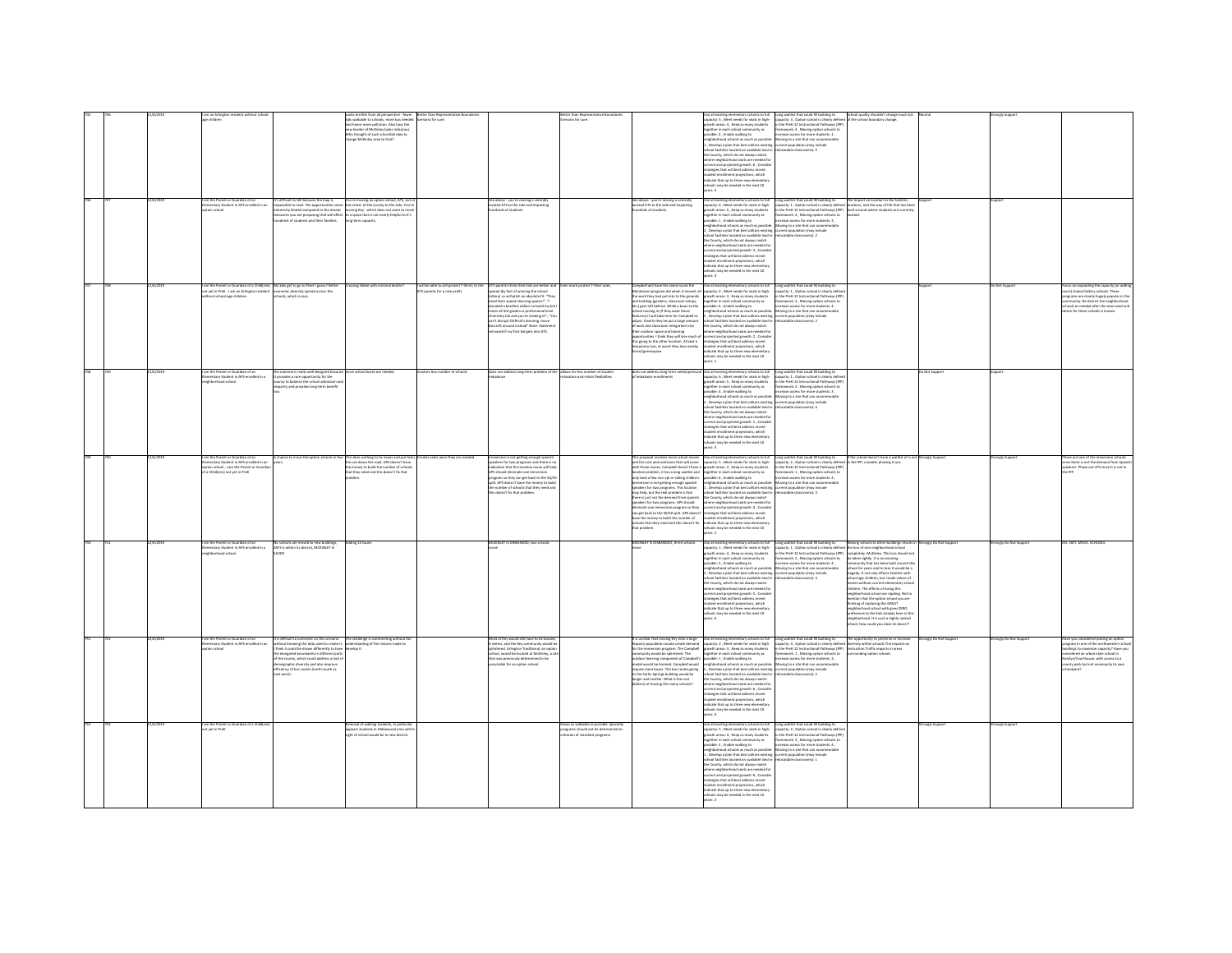|  |           | n the Parent or Guardian of an<br>mentary Student in APS enrolled in an                                                                 |                                                                                                                                                                                                                                                                                                                                                                                 | sks terrible from all perspective - fewer<br>s walkable to schools; more bus needed<br>d hence more pollution. Also how the<br>sario for sure.<br>ew border of McKinley looks ridiculous<br>ho thought of such a horrible idea to<br>ange McKinley area to that?<br>'s difficult to tell because the map is <b>You're moving an option school, ATS, out</b><br>npossible to read. The opportunities seem the center of the county to the side. You'r | ario for sun<br>See above - you're moving a centrally<br>located ATS to the side and impacting                                                                                                                                                                                                                                                                                                                                                                                                                                                                            | See above - you're moving a centrally<br>located ATS to the side and impacting                                                                                                                                                                                                                                                                                                                                                                                                                                                                                                                                                             | wik to full<br>ie as existing elementary schools to full<br>pacity: S , Meet needs for seats in high-<br>owth areas: 4 , Keep as many students<br>together in each school community as<br>possible: 2 , Enable walking to<br>eighborhood schools as much as possible: Moving to a site that can accommodate<br>.<br>Develop a plan that best utilizes existing current population (may include<br>hool facilities located on available land in refocatable classrooms): 2<br>e County, which do not always match<br>where neighborhood seats are needed for<br>rrent and projected growth: 6, Conside<br>trategies that will best address recent<br>subject one will be a sources received<br>subject enrollment projections, which<br>chools may be needed in the next 10<br>ars: 3<br>r all existing elementary schools to full<br>lacity: 6 , Meet needs for seats in high-<br>wth areas: 5 , Keep as many students                                                                              | Long weitlist that could fill building to<br>capacity: 3, Option school is clearly defined<br>in the PreK-12 Instructional Pathways (PP)<br>framework: 4, Moving option schools to<br>increase access for more students: 1,                                                                                                                                                                                                              | he school boundary change.                                                                                                                                                                                                                                                                                                                                                                                                                                                                                                                                                                                                                                                                                                                         |                                         |                                        |                                                                                                                                                                                                                                                                    |
|--|-----------|-----------------------------------------------------------------------------------------------------------------------------------------|---------------------------------------------------------------------------------------------------------------------------------------------------------------------------------------------------------------------------------------------------------------------------------------------------------------------------------------------------------------------------------|------------------------------------------------------------------------------------------------------------------------------------------------------------------------------------------------------------------------------------------------------------------------------------------------------------------------------------------------------------------------------------------------------------------------------------------------------|---------------------------------------------------------------------------------------------------------------------------------------------------------------------------------------------------------------------------------------------------------------------------------------------------------------------------------------------------------------------------------------------------------------------------------------------------------------------------------------------------------------------------------------------------------------------------|--------------------------------------------------------------------------------------------------------------------------------------------------------------------------------------------------------------------------------------------------------------------------------------------------------------------------------------------------------------------------------------------------------------------------------------------------------------------------------------------------------------------------------------------------------------------------------------------------------------------------------------------|-----------------------------------------------------------------------------------------------------------------------------------------------------------------------------------------------------------------------------------------------------------------------------------------------------------------------------------------------------------------------------------------------------------------------------------------------------------------------------------------------------------------------------------------------------------------------------------------------------------------------------------------------------------------------------------------------------------------------------------------------------------------------------------------------------------------------------------------------------------------------------------------------------------------------------------------------------------------------------------------------------|------------------------------------------------------------------------------------------------------------------------------------------------------------------------------------------------------------------------------------------------------------------------------------------------------------------------------------------------------------------------------------------------------------------------------------------|----------------------------------------------------------------------------------------------------------------------------------------------------------------------------------------------------------------------------------------------------------------------------------------------------------------------------------------------------------------------------------------------------------------------------------------------------------------------------------------------------------------------------------------------------------------------------------------------------------------------------------------------------------------------------------------------------------------------------------------------------|-----------------------------------------|----------------------------------------|--------------------------------------------------------------------------------------------------------------------------------------------------------------------------------------------------------------------------------------------------------------------|
|  |           | on school                                                                                                                               | nely limited compared to the drastic                                                                                                                                                                                                                                                                                                                                            | ing Key - which does not want to m                                                                                                                                                                                                                                                                                                                                                                                                                   | dreds of students<br>en more protest T-Shirt sales.                                                                                                                                                                                                                                                                                                                                                                                                                                                                                                                       |                                                                                                                                                                                                                                                                                                                                                                                                                                                                                                                                                                                                                                            | agether in each school community as<br>ossible: 1 , Enable walking to<br>eighborhood schools as much as possible: Moving to a site that can accommodate<br>.<br>"Develop a plan that best utilizes existing exerent population (may include<br>chool facilities located on available land in refocatable classrooms): 2<br>he County, which do not always match<br>where neighborhood seats are needed for<br>urrent and projected growth: 3, Conside<br>trategies that will best address recent<br>tudent enrollment projections, which<br>source encourant projection, which<br>chools may be needed in the next 10<br>rs: 4                                                                                                                                                                                                                                                                                                                                                                      | Long waitlist that could fit building to the impact on location to the families, capacity. 1, Option school is clearly defined (eachers, and the way of fife that has been in the Prefi. 12. Intructional Pathways (DP) built                                                                                                                                                                                                            |                                                                                                                                                                                                                                                                                                                                                                                                                                                                                                                                                                                                                                                                                                                                                    |                                         |                                        |                                                                                                                                                                                                                                                                    |
|  |           | m the Parent or Guardian of a Childfren)<br>st yet in PreK, I am an Arlington resident<br>school-age childre                            | My kids get to go to fleet I guess? Better<br>economic diversity spread across the<br>ols, which is nice                                                                                                                                                                                                                                                                        | ossing Glebe with minimal deaths?                                                                                                                                                                                                                                                                                                                                                                                                                    | I will be able to sell protest T-Shirts to the ATS parents think their kids are better and<br>ATS parents for a nice profit. special (by fact of winning the school<br>ery) so will pitch an absolute fit. "They<br>red their special learning spaces!", "I<br>onated a bazilion dollars to build my kid<br>tean all 3rd eraders a professional level<br>mistry lab and you're stealing it!". "Yo<br>entreasy was also you to accoming, move<br>an't disrupt OUR kid's learning, move<br>arcroft around instead" Note: Stateme<br>stracted if my first kid gets into ATS. | Campbell will have the same issues the<br>Montessori program did when it moved: all<br>the work they had put into to the grounds<br>and building (gardens, classroom setups,<br>etc.) gets left behind. While a boon to the<br>school moving in (if they want those<br>features) it will take time for Campbell to<br>Adjust. Clearly they've put a large amount<br>of work and classroom integration into<br>their outdoor space and learning<br>this epine to the other location. At best a<br>porary loss, at worst they lose nearby                                                                                                    | Use all existing elementary schools to full [Cong weitlist that could fill building to capacity: 4, Meet needs for seats in high-<br>capacity: 4, Meet needs for seats in high-capacity: 1, Option school is clearly defined prov<br>together in each school community as<br>possible: 6 , Enable walking to<br>possese: o , cruese www.way.<br>maighborhood schools as much as possible: Moving to a site that can accommodate<br>S , Develop a plan that best utilizes existing current population (may include<br>school facilities located on available land in refocatable classrooms): 2<br>scribbi facilities idcated on available land<br>the County, which do not always match<br>where neighborhood seats are needed for<br>portunities. I think they will lose much of current and projected growth: 2, Consider<br>strategies that will best address recent<br>student enrollment projections, which<br>relicate that un to three new elem<br>ts may be needed in the next 10<br>ars: 1 | ncrease access for more students: 4,                                                                                                                                                                                                                                                                                                                                                                                                     |                                                                                                                                                                                                                                                                                                                                                                                                                                                                                                                                                                                                                                                                                                                                                    |                                         | o Not Support                          | on expanding the capacity (or ad<br>e/lottery schools. These<br>grams are clearly hugely popular in th<br>nmunity. Re-district the neighborhood<br>ools as needed after the new need and<br>sire for these schools is known.                                       |
|  | 12/6/2019 | am the Parent or Guardian of an<br>mentary Student in APS enrolled in a<br>barhood school                                               | the scenario is really well-designed becaus<br>rovides a rare opportunity for the<br>nty to balance the school admission<br>varity and provides long-term benefi                                                                                                                                                                                                                | ore school buses are needed<br>volves less number of schools                                                                                                                                                                                                                                                                                                                                                                                         | does not address long-term problem of the allows for less number of student<br>imbalance                                                                                                                                                                                                                                                                                                                                                                                                                                                                                  |                                                                                                                                                                                                                                                                                                                                                                                                                                                                                                                                                                                                                                            | does not address long-term needs/pressure Use all existing elementary schools to full<br>pacity: 6 , Meet needs for seats in high-<br>pancy. C, were reeds to seas in region<br>ogether in each school community as<br>ossible: 4 , Enable walking to<br>eighborhood schools as much as possible<br>, Develop a plan that best utilizes existing current population (may include<br>ool facilities located on available land is<br>the County, which do not always match<br>where neighborhood seats are needed for<br>rrent and projected growth: 1, Conside<br>strategies that will best address recent<br>tudent enrollment projections, which<br>dicate that up to three new elementary<br>chools may be needed in the next 10<br>rs: 3                                                                                                                                                                                                                                                         | Long waitlist that could fill building to<br>capacity: 1, Option school is clearly define<br>in the PreK-12 Instructional Pathways (PP)<br>In the PreK-12 Instructional Pathways (PP)<br>Increase access for more students: 3<br>Moving to a site that can accommodate<br>catable classrooms): 4                                                                                                                                         |                                                                                                                                                                                                                                                                                                                                                                                                                                                                                                                                                                                                                                                                                                                                                    | lo Not Support                          |                                        |                                                                                                                                                                                                                                                                    |
|  |           | m the Parent or Guardian of an<br>mentary Student in APS enrolled in an<br>tion school . I am the Parent or Guardi<br>) not yet in Pret | thance to move the cotion schools in                                                                                                                                                                                                                                                                                                                                            | is seats were they are needed<br>his does nothing to fix issues and just kio<br>can down the road. APS doesn't have<br>money to build the number of school<br>t they need and this doesn't fix that                                                                                                                                                                                                                                                  | mersion is not getting enough spares<br>seakers for two programs and there is no<br>dication that this location move will help<br>program so they can get back to the 50/5<br>split. APS doesn't have the money to build<br>the number of schools that they need and<br>is doesn't fix that problem                                                                                                                                                                                                                                                                       | his proposal involves more school moves<br>and the cost and confusion that will come<br>with those moves. Campbell doesn't have a<br>location problem, it has a long waitlist and<br>only took a few non-vpi or sibling children.<br>Immersion is not getting enough spanish<br>speakers for two programs. This location<br>nay help, but the real problem is that<br>there is just not the demand from spanish<br>speakers for two programs. APS should<br>eliminate one immersion program so they<br>can get back to the 50/50 split. APS doesn't<br>have the money to build the number of<br>chools that they need and this doesn't fix | Use all existing elementary schools to full<br>capacity: S , Meet needs for seats in high-<br>a growth areas: 3, Keep as many students<br>together in each school community as<br>possible: 6 , Enable walking to<br>neighborhood schools as much as possible: Moving to a site that can accommodate<br>1, Develop a plan that best utilizes existing current population (may include<br>school facilities located on available land in relocatable classrooms): 3<br>subsections and the country, which do not always match<br>where neighborhood seats are needed for<br>current and projected growth: 4, Consider<br>strategies that will best address recent<br>student enrollment projections, which<br>indicate that un to three new elementary<br>needed in the next 10<br>ars: 2                                                                                                                                                                                                            | Long waitlist that could fill building to<br>capacity: 2 , Option school is clearly define<br>in the PreK-12 Instructional Pathways (IPP)<br>framework: 1, Moving option schools to<br>ncrease access for more students: 4,                                                                                                                                                                                                              | If the school doesn't have a waitlist of is no<br>in the IPP, consider phasing it out.                                                                                                                                                                                                                                                                                                                                                                                                                                                                                                                                                                                                                                                             | rangly Suppor                           | ongly Suppor                           | use out one of the immersion school<br>ce there is not the demand from Spani<br>rs. Phase out ATS since it is not in                                                                                                                                               |
|  | 12/6/2019 | am the Parent or Guardian of an<br>mentary Student in APS enrolled in a<br>storhood school                                              | to schools are moved to new buildings,<br>ASFS is within its district. MCKINLEY IS                                                                                                                                                                                                                                                                                              | dding 12 buses.                                                                                                                                                                                                                                                                                                                                                                                                                                      | CKINLEY IS DISBANDED, two school                                                                                                                                                                                                                                                                                                                                                                                                                                                                                                                                          | MCKINLEY IS DISBANDED, three schools                                                                                                                                                                                                                                                                                                                                                                                                                                                                                                                                                                                                       | Use all existing elementary schools to full<br>apacity: 1 . Meet needs for seats in high-<br>.<br>owth areas: 4 , Keep as many students<br>gether in each school community as<br>gether in each school community as<br>issible: 3 , Enable walking to<br>iighborhood schools as much as possible<br>, Develop a plan that best utilizes existing current population (may include<br>ool facilities located on available land in<br>he County, which do not always match<br>where neighborhood seats are needed for<br>current and projected growth: 5 , Consider<br>strategies that will best address recent<br>tudent enrollment projections, which<br>dicate that up to three new elementary<br>chools may be needed in the next 10                                                                                                                                                                                                                                                               | Long waitlist that could fill building to Moving schools to other buildings results in Strongly Do Not Support<br>capacity: 1, Option school is clearly defined the loss of one neighborhood school<br>supersory = x your number of the Pref. 22 Instructional Pathways (IPP)<br>framework: 2 , Moving option schools to<br>increase access for more students: 4 ,<br>. Moving to a site that can accommodate<br>cratable classrooms): 3 | reparts of the magnetic materials and the material of the state of the state of the state of the material of the state of the state of the state of the state of the state of the state of the state of the state of the state<br>tragedy. It not only effects families with<br>.<br>hool age children, but resale values of<br>smes without current elementary scho<br>dren. The effects of losing this<br>neighborhood school are rippling. Not to<br>mention that the option school you are<br>thinking of replacing this GREAT<br>ighborhood school with gives ZERO<br>eference to the kids already here in this<br>eterence to the kids aiready nere in th<br>ighborhood. It is such a highly ranked<br>tool, how could you close its doors?! |                                         | ongly Do Not Support                   | O. NOT. MOVE. SCHOOLS.                                                                                                                                                                                                                                             |
|  | 12/6/2019 | im the Parent or Guardian of an<br>mentary Student in APS enrolled in an<br>ion school<br>im the Parent or Guardian of a Childín        | is difficult to comment on this scenario<br>is the contribution of the state used to create it. Landerstanding of the choices made to<br>this it could be drawn differently to have develop it.<br>In elongated boundaries in different parts<br>of the county, which could address a lack<br>emographic diversity and also improve<br>fficiency of bus routes (north-south vs. | The challenge is commenting without full<br>oval of walking students, in particular                                                                                                                                                                                                                                                                                                                                                                  | fost of Key would still have to be bus<br>us or vey would see never to be bussed,<br>learns, and the Key community would be<br>lintered. Arlington Traditional, an option<br>hool, would be located at McKinley, a site<br>that was previously determined to be<br>suitable for an option school.<br>reos as walkable as possible. Specialty                                                                                                                                                                                                                              | is unclear that moving Key near a large<br>nodel would be harmed. Campbell would<br>veguire more buses. The bus routes going<br>to the Carlin Springs building would be<br>longer and costlier. What is the cost<br>(dollars) of moving this many schools?                                                                                                                                                                                                                                                                                                                                                                                 | Use all existing elementary schools to full<br>$\alpha$ is the contract of the contract of the contract of the contract of the contract of the interaction program. The Campball growth areas: 3, Keep as many students<br>for the interaction program. The Campball growth areas:<br>proximes . 4, rankle waking to a biffer<br>mean access for more students: 3, $\sigma$ , allowing to a side that can accommodate<br>5, poweling to a side that can accommodate 5, roweling the side of the control of<br>the studients in th<br>urrent and projected growth: 6, Conside<br>strategies that will best address recent<br>tudent enrollment projections, which<br>ndicate that up to three new elementary<br>chools may be needed in the next 10<br>ears: 4<br>liuf of adotting themselve serious act                                                                                                                                                                                             | Long waitlist that could fill building to<br>capacity: 4 , Option school is clearly defined<br>in the PreK-12 Instructional Pathways (IPP)<br>framework: 1 , Moving option schools to<br>increase access for more students: 3,<br>Long waitlist that could fill building to                                                                                                                                                              | e opportunity to preserve or incre<br>explanating to preserve to increase<br>traction Traffic impacts in areas<br>rounding option schools                                                                                                                                                                                                                                                                                                                                                                                                                                                                                                                                                                                                          | ronely Do Not Support<br>ronely Support | onely Do Not Support<br>ronely Support | e you considered placing an option<br>rram in one of the nort<br>gram in one or the northwestern scho<br>Idings to maximize capacity? Have you<br>sidered an urban-style school in<br>asslyn/Courthouse, with access to a<br>unty park but not necessarily its own |
|  |           | <b>Coat in Drex</b>                                                                                                                     |                                                                                                                                                                                                                                                                                                                                                                                 | ars students in Glabaumed area with<br>t of school would be in new distrci                                                                                                                                                                                                                                                                                                                                                                           | grams should not be detrimental to<br>resion of standard programs.                                                                                                                                                                                                                                                                                                                                                                                                                                                                                                        |                                                                                                                                                                                                                                                                                                                                                                                                                                                                                                                                                                                                                                            | capacity: 5 , Meet needs for seats in high-<br>growth areas: 4 , Keep as many students<br>together in each school community as<br>ssible: 3, Enable walking to<br>eighborhood schools as much as possible: Movine to a site that can accommodate<br>. Develop a plan that best utilizes existing current population (may include<br>school facilities located on available land in<br>school facilities located on available land in<br>the County, which do not always match<br>here neighborhood seats are needed for<br>urrent and projected growth: 6, Conside<br>trategies that will best address recent<br>tudent enrollment projections, which<br>indicate that up to three new elementary<br>schools may be needed in the next 10<br>ars: 2                                                                                                                                                                                                                                                 | capacity: 2, Option school is clearly define<br>in the PreK-12 Instructional Pathways (IPP<br>framework: 3, Moving option schools to<br>ease access for more students: 4,<br>atable classer<br>pmsh <sub>1</sub>                                                                                                                                                                                                                         |                                                                                                                                                                                                                                                                                                                                                                                                                                                                                                                                                                                                                                                                                                                                                    |                                         |                                        |                                                                                                                                                                                                                                                                    |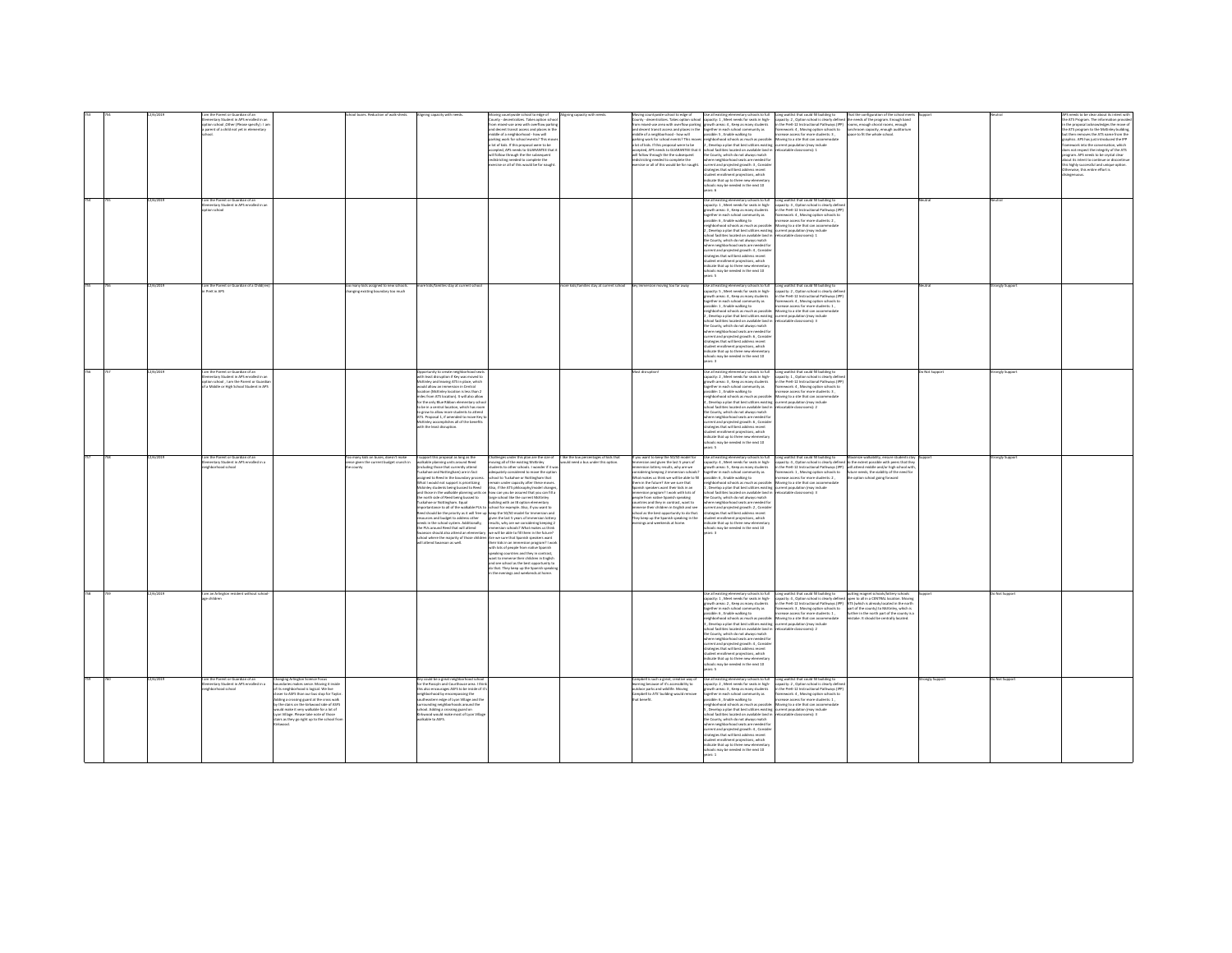|  | 2/6/2019<br>m the Parent or Guardian of an<br>ion school | mentary Student in APS enrolled in an<br>tion school .Other (Please specify) : I am<br>seent of a child not yet in elementar<br>nentary Student in APS enrolled in a |                                                                                                                                                                                                                                                                                                                                                                                                             |                                                                       |                                                                                                                                                                                                                                                                                                                                                                                                                                                                                                                                                                                            | l to edge o<br>County - decentralizes. Takes option school<br>from mixed-use area with overflow parking<br>and decent transit access and places in the<br>middle of a neighborhood - how will<br>arking work for school events? This mo<br>a lot of kids. If this proposal were to be<br>accepted, APS needs to GUARANTEE that if<br>will follow through the the subsequent<br>districting needed to complete the<br>ercise or all of this would be for naught                                                                                                                                                                                                                                                                                                                                                                                                                                                                                                                                                                                                                                              | ning capacity v                        | .<br>Moving countywide school to edge of<br>Jounty - decentralizes. Takes option school<br>om mixed-use area with overflow parking serowth areas: 4 . Keep as many students<br>and decent transit access and places in the<br>middle of a neighborhood - how will<br>sarking work for school events? This move<br>i lot of kids. If this proposal were to be<br>iccepted, APS needs to GUARANTEE that it<br>will follow through the the subsequent<br>istricting needed to complete the<br>ercise or all of this would be for naught. | capacity: 1, Meet needs for seats in high-<br>ogether in each school community as<br>ossible: 5 , Enable walking to<br>eighborhood schools as much as possibl<br>.<br>Develop a plan that best utilizes existin<br>hool facilities located on available land i<br>the County, which do not always match<br>ere neighborhood seats are needed for<br>rent and projected growth: 3 , Conside<br>tesies that will best address recent<br>dent enrollment projections, which<br>licate that up to three new elementar<br>chools may be needed in the next 10<br>ars 6<br>light of abortors element to the said to full<br>pacity: 1 . Meet needs for seats in high-<br>growth areas: 3, Keep as many students<br>together in each school community as<br>sible: 6 . Enable walking to<br>hborhood schools as much as possible<br>. Develop a plan that best utilizes existing<br>ed family<br>Incated on available land is<br>County, which do not always match<br>there neighborhood seats are needed fo<br>errent and projected growth: 4 , Conside<br>rategies that will best address recent<br>lent enrollment projections, which | Long waitlist that could fill building to That the configuration of the school mee<br>capacity: 2 , Option school is clearly defined the needs of the program. Enough band<br>in the PreK-12 Instructional Pathways (IPP) rooms, eno<br>amework: 4, Moving option schools to<br>screase access for more students: 3,<br>lunchroom capacity, enough auditorium<br>space to fit the whole school.<br>loving to a site that can accommodate<br>rent population (may include<br>scatable classrooms): 1<br>Long waitlist that could fill building to<br>capacity: 3 . Option school is clearly define<br>n the PreK-12 Instructional Pathways (IPF<br>framework: 4 . Moving option schools to<br>pasa arress for more students- 2<br>loving to a site that can accommodat<br>screent population (may include<br>pratable rlassmoms): 1 |                |                              | e ATS Program. The information provi<br>n the proposal acknowledges the move of<br>he ATS program to the McKinky building<br>sut then removes the ATS name from the<br>aphics. APS has just introduced the IPP<br>.<br>amework into the conversation, which<br>oes not respect the integrity of the ATS<br>program. APS needs to be crystal clear<br>bout its intent to continue or discontinue.<br>his highly successful and unique option.<br>therwise, this entire effort is |
|--|----------------------------------------------------------|----------------------------------------------------------------------------------------------------------------------------------------------------------------------|-------------------------------------------------------------------------------------------------------------------------------------------------------------------------------------------------------------------------------------------------------------------------------------------------------------------------------------------------------------------------------------------------------------|-----------------------------------------------------------------------|--------------------------------------------------------------------------------------------------------------------------------------------------------------------------------------------------------------------------------------------------------------------------------------------------------------------------------------------------------------------------------------------------------------------------------------------------------------------------------------------------------------------------------------------------------------------------------------------|-------------------------------------------------------------------------------------------------------------------------------------------------------------------------------------------------------------------------------------------------------------------------------------------------------------------------------------------------------------------------------------------------------------------------------------------------------------------------------------------------------------------------------------------------------------------------------------------------------------------------------------------------------------------------------------------------------------------------------------------------------------------------------------------------------------------------------------------------------------------------------------------------------------------------------------------------------------------------------------------------------------------------------------------------------------------------------------------------------------|----------------------------------------|---------------------------------------------------------------------------------------------------------------------------------------------------------------------------------------------------------------------------------------------------------------------------------------------------------------------------------------------------------------------------------------------------------------------------------------------------------------------------------------------------------------------------------------|-----------------------------------------------------------------------------------------------------------------------------------------------------------------------------------------------------------------------------------------------------------------------------------------------------------------------------------------------------------------------------------------------------------------------------------------------------------------------------------------------------------------------------------------------------------------------------------------------------------------------------------------------------------------------------------------------------------------------------------------------------------------------------------------------------------------------------------------------------------------------------------------------------------------------------------------------------------------------------------------------------------------------------------------------------------------------------------------------------------------------------------|------------------------------------------------------------------------------------------------------------------------------------------------------------------------------------------------------------------------------------------------------------------------------------------------------------------------------------------------------------------------------------------------------------------------------------------------------------------------------------------------------------------------------------------------------------------------------------------------------------------------------------------------------------------------------------------------------------------------------------------------------------------------------------------------------------------------------------|----------------|------------------------------|---------------------------------------------------------------------------------------------------------------------------------------------------------------------------------------------------------------------------------------------------------------------------------------------------------------------------------------------------------------------------------------------------------------------------------------------------------------------------------|
|  | 2/6/2019<br>PreK in APS                                  | am the Parent or Guardian of a Child                                                                                                                                 |                                                                                                                                                                                                                                                                                                                                                                                                             | many kids assigned to new schools<br>nging existing boundary too much | kids/families stay at current scho                                                                                                                                                                                                                                                                                                                                                                                                                                                                                                                                                         |                                                                                                                                                                                                                                                                                                                                                                                                                                                                                                                                                                                                                                                                                                                                                                                                                                                                                                                                                                                                                                                                                                             | e kids/families stay at current school | iv immersion moving too far away.                                                                                                                                                                                                                                                                                                                                                                                                                                                                                                     | dirate that un to three new elementar<br>hools may be needed in the next 10<br>ars: 5<br>Use all existing elementary schools to full<br>capacity: 5 , Meet needs for seats in high-<br>wth areas: 4 . Keep as many students<br>ogether in each school community as<br>rossible: 1 , Enable walking to<br>abborbood schools as much as nossible<br>Nevelop a plan that best utilizes exis<br>ool facilities located on available land is<br>County, which do not always match<br>urrent and projected growth: 6, Conside<br>strategies that will best address recent<br>student enrollment projections, which<br>indicate that up to three new elementar<br>Of trees will ni habenes a                                                                                                                                                                                                                                                                                                                                                                                                                                             | Long waitlist that could fill building to<br>capacity: 2 , Option school is clearly define<br>the Dreft, 12 Instructional Dathways (ID)<br>sework: 4, Moving option schools to<br>rease access for more students: 1<br>Moving to a site that can accommo<br>current population (may include<br>ocatable classrooms): 3                                                                                                                                                                                                                                                                                                                                                                                                                                                                                                             |                | ongly Suppe                  |                                                                                                                                                                                                                                                                                                                                                                                                                                                                                 |
|  | 2/6/2019<br>m the Parent or Guardian of an               | am the Parent or Guardian of an<br>lementary Student in APS enrolled in as<br>tion school . I am the Parent or Guardia<br>Middle or High School Student in APS       |                                                                                                                                                                                                                                                                                                                                                                                                             | many kids on buses, doesn't make                                      | sortunity to create neighborhood seat:<br>1 least disruption if Key was moved to<br>tckinley and leaving ATS in place, which<br>vould allow an immersion in Central<br>cation (McKinley location is less than 2<br>niles from ATS location). It will also allow<br>or the only Blue Ribbon elementary sch<br>be in a central location, which has ro<br>to grow to allow more students to attend<br><b>ITS.</b> Proposal 1. if amended to move Key<br>inley accomplishes all of the benefits<br>with the least disruption.<br>support this proposal as long as the                          | llenges under this plan are the size of                                                                                                                                                                                                                                                                                                                                                                                                                                                                                                                                                                                                                                                                                                                                                                                                                                                                                                                                                                                                                                                                     | like the low percentages of kids that  | fost disruption<br>ou want to keep the 50/50 model                                                                                                                                                                                                                                                                                                                                                                                                                                                                                    | rrowth areas: 3 . Keep as many students<br>rether in each school community as<br>ible: 1, Enable walking to<br>neighborhood schools as much as possible:<br>Develop a plan that best utilizes existing current population (may include<br>ilities located on available land in<br>the County, which do not always match<br>ere neighborhood seats are needed fo<br>rent and projected growth: 6, Conside<br>strategies that will best address recent<br>dent enrollment projections, which<br>icate that up to three new elements<br>looks may be needed in the next 10<br><b>Draw</b><br>ie all existing elementary schools to ful                                                                                                                                                                                                                                                                                                                                                                                                                                                                                               | Lise all existing elementary schools to full <b>Long weitlist that could fill building to</b><br>capacity: 2 , Meet needs for seats in high- capacity: 1 , Option school is clearly defin<br>in the PreK-12 Instructional Pathways (IP)<br>ramework: 4 . Moving option schools to<br>ease access for more students: 3,<br>Moving to a site that can accommodate<br>ocatable classrooms): 2<br>Long waitlist that could fill building to<br>tize walkability, ensure stud                                                                                                                                                                                                                                                                                                                                                           | Do Not Suppor  | ongly Support<br>ongly Suppo |                                                                                                                                                                                                                                                                                                                                                                                                                                                                                 |
|  | hbarhood school                                          | nentary Student in APS enrolled in a                                                                                                                                 |                                                                                                                                                                                                                                                                                                                                                                                                             | se eiven the current budget crunch in                                 | walkable planning units around Reed<br>.<br>Including those that currently attend<br>Fuckahoe and Nottingham) are in fact<br>siened to Reed in the boundary proce<br>What I would not support is prioritizing<br>Mckinley students being bussed to Reed<br>and those in the walkable planning units of<br>the north side of Reed being bussed to<br><b>Fuckahoe or Nottingham. Equal</b><br>needs in the school system. Additionally,<br>the PUs around Reed that will attend<br>anson should also attend an elementa<br>cheel where the majority of those childs<br>ttend Swanson as well | wing all of the existing McKinley<br>nts to other schools. I wonder if it wa<br>attely considered to move the optio<br>ool to Tuckahoe or Nottineham that<br>remain under capacity after these moves.<br>Also, if the ATS philosophy/model change<br>n how can you be assured that you can fill a<br>large school like the current McKinley<br>building with an IB option elementary<br>reportantance to all of the walkable PUs to school for example. Also, if you want to<br>teed should be the priority as it will free up losep the 50/50 model for immersion and<br>resources and budget to address other given the la<br>results, why are we considering keeping 2<br>nels? What makes us the<br>we will be able to fill them in the future?<br>Are we sure that Spanish speakers want<br>their kids in an immersion program? I won<br>with lots of people from native Spanish<br>speaking countries and they in contrast,<br>want to immerse their children in English<br>and see school as the best opportunity to<br>do that. They keep up the Spanish speak<br>he evenings and weekends at home. | uld need a bus under this option.      | ersion and given the last 5 years of<br>ion lottery results, why are we<br>idering keeping 2 immersion scho<br>What makes us think we will be able to fill<br>hem in the future? Are we sure that<br>panish speakers want their kids in an<br>mersion program? I work with lots of<br>ople from native Spanish speaking<br>untries and they in contrast, want to<br>nerse their children in English and see<br>chool as the best opportunity to do that.<br>They keep up the Spanish speaking in the<br>enines and weekends at home.  | sacity: 4, Meet needs for seats in high-<br>th areas: 5, Keep as many students<br>ether in each school community as<br>sible: 6 . Enable walking to<br>.<br>Whoehood schools as much as possible: Moving to a site that can accomm<br>Develop a plan that best utilizes existing current population (may include<br>ool facilities located on available land in<br>County, which do not always match<br>re neighborhood seats are needed fo<br>rrent and projected growth: 2 , Consider<br>rategies that will best address recent<br>dent enrollment projections, which<br>virute that un to three new elementar<br>seeded in the next 10                                                                                                                                                                                                                                                                                                                                                                                                                                                                                         | capacity: 4, Option school is clearly defined to the extent possible with peers that they<br>in the PreK-12 Instructional Pathways (IPP) will attend middle and/or high school with,<br>framework: 1, Moving option schools to fotur<br>rease access for more students: 2.<br>e gotion school going forward<br>foving to a site that can accommodate<br>locatable classrooms): 3                                                                                                                                                                                                                                                                                                                                                                                                                                                   |                |                              |                                                                                                                                                                                                                                                                                                                                                                                                                                                                                 |
|  | e children                                               | am an Arlington resident without sch                                                                                                                                 |                                                                                                                                                                                                                                                                                                                                                                                                             |                                                                       |                                                                                                                                                                                                                                                                                                                                                                                                                                                                                                                                                                                            |                                                                                                                                                                                                                                                                                                                                                                                                                                                                                                                                                                                                                                                                                                                                                                                                                                                                                                                                                                                                                                                                                                             |                                        |                                                                                                                                                                                                                                                                                                                                                                                                                                                                                                                                       | all existing elementary schools to full<br>pacity: 1 . Meet needs for seats in high-<br>ath areas: 2, Keep as many students<br>together in each school community as<br>ssible: 6 . Enable walking to<br>.<br>ghborhood schools as much as possible: Moving to a site that can accomr<br>Develop a plan that best utilizes existing -current population (may include<br>ool facilities located on available land is<br>e County, which do not always match<br>here neighborhood seats are needed for<br>urrent and projected erowth: 4. Conside<br>strategies that will best address recent<br>student enrollment projections, which<br>indicate that up to three new elementary<br>may be needed in the next 10<br>ars: 5                                                                                                                                                                                                                                                                                                                                                                                                         | Long waitlist that could fill building to<br>ong waitlist that could fill building to putting magnet schools/lottery schools.<br>apacity: 4 , Option school is clearly defined open to all in a CENTRAL location. Moving.<br>n the PreK-12 Instructional Pathways (IPP)<br>ATS (which is already located in the north<br>framework: 3, Moving option schools to<br>part of the county) to McKinley, which is<br>crease access for more students: 1.<br>further in the north part of the county is a<br>foving to a site that can accomm<br>stake. It should be centrally located.<br>ocatable classrooms): 2                                                                                                                                                                                                                       |                | Not Suppo                    |                                                                                                                                                                                                                                                                                                                                                                                                                                                                                 |
|  | 2/6/2019<br>Industrial boothpdfail                       | am the Parent or Guardian of an<br>Jementary Student in APS enrolled in a                                                                                            | <b>Changing Arlington Science Focus</b><br>boundaries makes sense. Moving it insic<br>its neighborhood is loaical. We live<br><b>Sover to ASFS than our bus stop for Taylor</b><br>Adding a crossing guard at the cross walk<br>w the stairs on the kirkwood side of ASFS<br>dd make it very walkable for a lot of<br>yon Village. Please take note of those<br>tairs as they go right up to the school fro |                                                                       | Ley could be a great neighborhood schoo<br>the Rossyln and Courthouse area. I this<br>his also encourages ASFS to be inside of it'<br>abbooks of here<br>orhood by encompassing the<br>astern edge of Lyon Village and th<br>urrounding neighborhoods around the<br>chool. Adding a crossing guard on<br>lirkwood would make most of Lyon Villay<br>alkable to ASFS.                                                                                                                                                                                                                       |                                                                                                                                                                                                                                                                                                                                                                                                                                                                                                                                                                                                                                                                                                                                                                                                                                                                                                                                                                                                                                                                                                             |                                        | Campbell is such a great, creative way of<br>ning because of it's accessibility to<br>utdoor parks and wildlife. Moving<br>ampbell to ATS' building would res<br>at benefit.                                                                                                                                                                                                                                                                                                                                                          | with areas: 3 . Keep as many students<br>ther in each school com<br>as vinum<br>sible: 6, Enable walking to<br>eighborhood schools as much as possible<br>.<br>Develop a plan that best utilizes existing<br>hool facilities located on available land in<br>the County, which do not always match<br>rhood seats are needed fo<br>urrent and projected growth: 4, Consider<br>rategies that will best address recent<br>ctions, which<br>student enrollment projections, which<br>indicate that up to three new elementary<br>ools may be needed in the next 10<br>are 1                                                                                                                                                                                                                                                                                                                                                                                                                                                                                                                                                         | se all existing elementary schools to full <b>Long weitlist that could fill building to</b><br>spacity: 2 , Meet needs for seats in high- capacity: 2 , Option school is clearly defir<br>in the PreK-12 Instructional Pathways (IP)<br>mework: 4, Moving option schools to<br>ease access for more students: 1,<br>Moving to a site that can accommodate<br>rrent population (may include<br>focatable classrooms): 3                                                                                                                                                                                                                                                                                                                                                                                                             | rongly Support | Not Suppor                   |                                                                                                                                                                                                                                                                                                                                                                                                                                                                                 |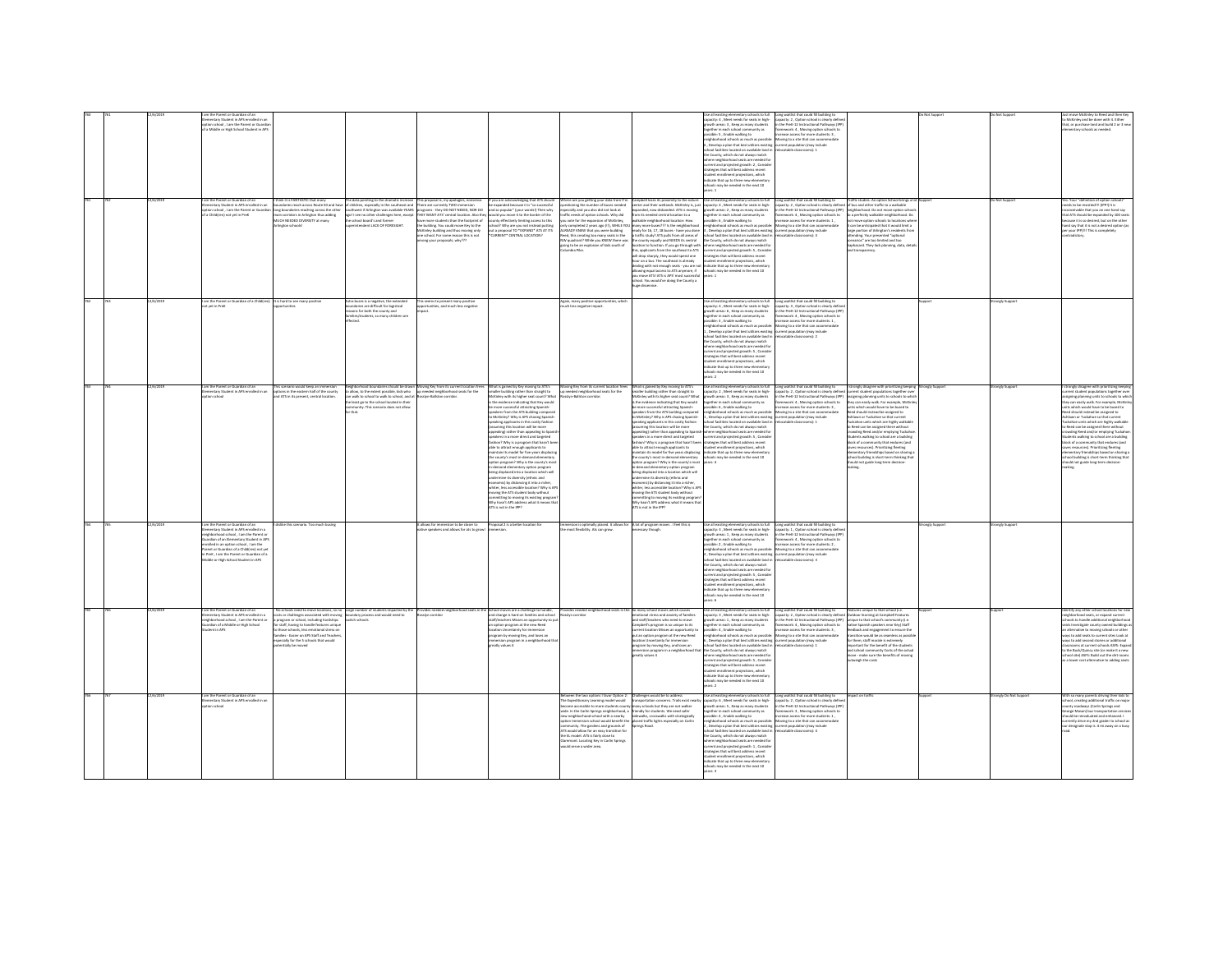|  |           | entary Student in APS enrolled in an<br>ion school, I am the Parent or Guardi<br>a Middle or High School Student in APS<br>m the Parent or Guardian of an                                                                                                                                                                                                             | hink it is FANTASTIC that many                                                                                                                                                                                                                                             |                                                                                                                                                                                                                                                    | e data pointing to the dramatic increase This proposal is, my apologies, nonsense.<br>children, especially in the southeast and There are currently TWO immersion                                                                                                                                                                                                                  | If you are acknowledging that ATS should                                                                                                                                                                                                                                                                                                                                                                                                                                                                                                                                                                                                                                                                                                                                                                                                                                                                                                                                                                                          | .<br>westioning the number of buses needed.<br>westioning the number of buses needed                                                                                                                                                                                                                                                                                       | Campbell loses its proximity to the nature                                                                                                                                                                                                                                                                                                                                                                                                                                                                                                                                                                                                                                                                                                                                                                                                                                                                                                                                                                                                                  | acity: 4, Meet needs for seats in high-<br>rowth areas: 3, Keep as many students<br>seether in each school community as<br>sible: 5 . Enable walking to<br>borhood schools as much as possible<br>Develop a plan that best utilizes existing<br>ol facilitis<br>s located on available land is<br>County, which do not always match<br>where neighborhood seats are needed for<br>current and projected growth: 2 , Conside<br><b>Magian that will hast address rerent</b><br>dent enrollment projections, which<br>icate that up to three new elementar<br>ools may be needed in the next 10<br>all existing elementary schools to full                                                                          | www.winnst snat could fill building to<br>capacity: 2 , Option school is clearly define<br>in the PreK-12 Instructional Pathways (IPP<br>ramework: 4 . Moving option schools to<br>F - Jonates for more students to<br>toving to a site that can accommodate<br>screent population (may include<br>ocatable classrooms): 1<br>Long waitlist that could fill building to Traffic studies. An option School bring<br>capacity: 2 , Option school is clearly defined of bus and other traffic to a walkable | Traffic studies. An option School brings a                                                                                                                                                                                                                                                                                                                                                                                                                                                       |             | Not Suppor                 | McKinley and be done with it. Either<br>at, or purchase land and build 2 or 3 ne<br>tentary schools as needed.<br>. Your "definition of option schoo                                                                                                                                                                                                                                                                                                                                                                                                                                                                             |
|--|-----------|-----------------------------------------------------------------------------------------------------------------------------------------------------------------------------------------------------------------------------------------------------------------------------------------------------------------------------------------------------------------------|----------------------------------------------------------------------------------------------------------------------------------------------------------------------------------------------------------------------------------------------------------------------------|----------------------------------------------------------------------------------------------------------------------------------------------------------------------------------------------------------------------------------------------------|------------------------------------------------------------------------------------------------------------------------------------------------------------------------------------------------------------------------------------------------------------------------------------------------------------------------------------------------------------------------------------|-----------------------------------------------------------------------------------------------------------------------------------------------------------------------------------------------------------------------------------------------------------------------------------------------------------------------------------------------------------------------------------------------------------------------------------------------------------------------------------------------------------------------------------------------------------------------------------------------------------------------------------------------------------------------------------------------------------------------------------------------------------------------------------------------------------------------------------------------------------------------------------------------------------------------------------------------------------------------------------------------------------------------------------|----------------------------------------------------------------------------------------------------------------------------------------------------------------------------------------------------------------------------------------------------------------------------------------------------------------------------------------------------------------------------|-------------------------------------------------------------------------------------------------------------------------------------------------------------------------------------------------------------------------------------------------------------------------------------------------------------------------------------------------------------------------------------------------------------------------------------------------------------------------------------------------------------------------------------------------------------------------------------------------------------------------------------------------------------------------------------------------------------------------------------------------------------------------------------------------------------------------------------------------------------------------------------------------------------------------------------------------------------------------------------------------------------------------------------------------------------|-------------------------------------------------------------------------------------------------------------------------------------------------------------------------------------------------------------------------------------------------------------------------------------------------------------------------------------------------------------------------------------------------------------------------------------------------------------------------------------------------------------------------------------------------------------------------------------------------------------------------------------------------------------------------------------------------------------------|----------------------------------------------------------------------------------------------------------------------------------------------------------------------------------------------------------------------------------------------------------------------------------------------------------------------------------------------------------------------------------------------------------------------------------------------------------------------------------------------------------|--------------------------------------------------------------------------------------------------------------------------------------------------------------------------------------------------------------------------------------------------------------------------------------------------------------------------------------------------------------------------------------------------------------------------------------------------------------------------------------------------|-------------|----------------------------|----------------------------------------------------------------------------------------------------------------------------------------------------------------------------------------------------------------------------------------------------------------------------------------------------------------------------------------------------------------------------------------------------------------------------------------------------------------------------------------------------------------------------------------------------------------------------------------------------------------------------------|
|  |           | mentary Student in APS enrolled in an<br>ion school . I am the Parent or Guardia<br>Child(ren) not yet in Prek                                                                                                                                                                                                                                                        | ndaries reach across Route 50 and has<br>ong boundaries reaching across the other<br>main corridors in Arlington thus adding<br>main corridors in Arlington thus adding<br>MUCH NEEDED DIVERSITY at many<br>Izloodar nation                                                | chool board's and former<br>tendent LACK OF FORESIGHT.                                                                                                                                                                                             | marren, especial y minister estable YEARS - programs - they DO NOT NEEED, NOR DO<br>Il see no other challenges here, except - THEY WANT ATS' central location. Also they<br>have more students than the footprint of<br>the building. You could move Key to the<br>McKinley building and thus moving only<br>one school. For some reason this is not<br>1997 - Whategoog huoy anom | expanded because it is "so successful<br>and so popular" (your words!) Then why<br>would you move it to the border of the<br>inty effectively limiting access to this<br>hool? Why are you not instead outting<br>out a proposal TO *EXPAND* ATS AT ITS<br>*CURRENT* CENTRAL LOCATION?                                                                                                                                                                                                                                                                                                                                                                                                                                                                                                                                                                                                                                                                                                                                            | exusting the nations of boxes needed<br>pecially and you also did not look at<br>iffic needs of option schools. Why did<br>u vote for the expansion of McKinley<br>Iv completed 2 years ago (II). WHILE YOU<br><b>READY KNEW that you were building<br/>ed, this creating too many seats in the</b><br>oing to be an explosion of kids south of                            | senter and their wetlands. McKinley is, just<br>anded, now disbanded. ATS is moving<br>m its needed central location to a<br>Ikable neighborhood location: How<br>any more buses??? Is the neighborhood<br>ready for 16, 17, 18 buses - have you done<br>a traffic study? ATS pulls from all areas of<br>WV quadrant? While you KNEW there was the county equally and NEEDS its central<br>or county equally and receive as center<br>cration to function. If you go through with<br>his, applicants from the southeast to ATS<br>will drop sharply, they would spend one<br>our on a bus. The southeast is already<br>ealing with not enough seats - you are n<br>illowing equal access to ATS anymore, if<br>you move ATSI ATS is APS' most successful<br>chool. You would've doing the County a<br>uge disservice.                                                                                                                                                                                                                                       | apacity: 4 . Meet needs for seats in high-<br>wth areas: 2, Keep as many students<br>ether in each school community as<br>isible: 6 , Enable walking to<br>iehborhood schools as much as possibl<br>.<br>Develop a plan that best utilizes existing current population (may include<br>ool facilities located on available land in refocatable classrooms): 3<br>the County, which do not always match<br>here neighborhood seats are needed for<br>rrent and projected growth: 5 , Consider<br>rategies that will best address recent<br>dent enrollment projections, which<br>finate that un to three new elementar<br>ichools may be needed in the next 10<br>vars: 1                                          | n the PreK-12 Instructional Pathways (IPP)<br>amework: 4, Moving option schools to<br>ease access for more students: 1,<br>Moving to a site that can accommodate                                                                                                                                                                                                                                                                                                                                         | hborhood. Do not move option sch<br>a perfectly walkable neighborhood. Do<br>ot move option schools to locations wh-<br>t can be anticipated that it would limit a<br>large portion of Arlington's residents fr<br>attending. Your presented "optional<br>cenarios" are too limited and too<br>hiphazard. They lack planning, data, deti<br>ind transparency.                                                                                                                                    |             |                            | eds to be revisited !!! (IPPT) It is<br>vable that you on one hand say<br>hat ATS should be expanded by 100 seats<br>ecause it is so desired, but on the other<br>and say that it is not a desired option (a<br>your IPP] III This is completely                                                                                                                                                                                                                                                                                                                                                                                 |
|  | 12/6/2010 | am the Parent or Guardian of a Childfren) It is hard to see many positive<br>Fuet in Drett                                                                                                                                                                                                                                                                            | s scenario would keep an immersio                                                                                                                                                                                                                                          | tra buses is a negative, the extender<br>oundaries are difficult for logistical<br>sons for both the county and<br>lies/students, so many children are<br>.<br>Hari                                                                                | This seems to present many positive<br>opportunities, and much less negative                                                                                                                                                                                                                                                                                                       |                                                                                                                                                                                                                                                                                                                                                                                                                                                                                                                                                                                                                                                                                                                                                                                                                                                                                                                                                                                                                                   | Again, many positive opportunities, which<br>much less negative impact.                                                                                                                                                                                                                                                                                                    |                                                                                                                                                                                                                                                                                                                                                                                                                                                                                                                                                                                                                                                                                                                                                                                                                                                                                                                                                                                                                                                             | Use all existing elementary schools to full<br>capacity: 4 , Meet needs for seats in high-<br>growth areas: 6, Keep as many students<br>ogether in each school community as<br>ssible: 3 . Enable walking to<br>i<br>hborhood schools as much as possible<br>Develop a plan that best utilizes existing<br>ool facilities located on available land is<br>.<br>County, which do not always match<br>ere neighborhood seats are needed f<br>urrent and projected growth: S., Conside<br>rategies that will best address recent<br>rtines which<br>icate that up to three new elemen<br>ools may be needed in the next 10<br>$-2$                                                                                   | Long waitlist that could fill building to<br>capacity: 3 , Option school is clearly define<br>in the PreK-12 Instructional Pathways (IPP)<br>ramework: 4, Moving option schools to<br>rease access for more students: 1.<br>oving to a site that can accome<br>rent population (may include<br>ocatable classrooms): 2                                                                                                                                                                                   | strongly disagree with prioritizing keeping                                                                                                                                                                                                                                                                                                                                                                                                                                                      | engly Suppo | ongly Suppor<br>ongly Supp | trongly disagree with prioritizing loeping                                                                                                                                                                                                                                                                                                                                                                                                                                                                                                                                                                                       |
|  |           | mentary Student in APS enrolled in an<br>inn srbood                                                                                                                                                                                                                                                                                                                   | tions in the eastern half of the county<br>d ATS in its present, central location                                                                                                                                                                                          | allow, to the extent possible, kids who up needed neighborhood seats for the<br>n walk to school to walk to school, and at Rossiyn-Ballston corridor.<br>rease to scribbe to was to scribbe, and<br>remunity. This scenario does not allow<br>that | ighborhood boundaries should be drawn Moving Key from its current location fre                                                                                                                                                                                                                                                                                                     | What is gained by Key moving to ATS's<br>smaller building rather than straight to<br>cKinley with its higher seat count? What<br>the evidence indicating that Key would<br>more successful attracting Spanish<br>eakers from the ATS building compare<br>McKinley? Why is APS chasing Spanis<br>aking applicants in this costly fashion<br>uming this location will be more<br>sealing) rather than appealing to Spa<br>eakers in a more direct and targeted<br>shion? Why is a program that hasn't b<br>able to attract enough applicants to<br>intain its model for five years disolacis<br>county's most in dan<br>tion program? Why is the county's mo<br>in-demand elementary option program<br>being displaced into a location which will<br>mine its diversity (ethnic and<br>somic) by distancing it into a richer<br>whiter, less accessible location? Why is APS<br>vine the ATS student body without<br>committing to moving its existing program<br>Why hasn't APS address what it means th<br>ATS is not in the IPP? | oving Key from its current location free<br>p needed neighborhood seats for the<br>dan Juliaten corridor                                                                                                                                                                                                                                                                   | What is gained by Key moving to ATS's<br>maller building rather than straight to<br>McKinley with its higher seat count? What<br>s the evidence indicating that Key would<br>be more successful attracting Spanish-<br>sealers from the ATS building compared<br>McKinley? Why is APS chasing Spanish-<br>seaking applicants in this costly fashion<br>ssuming this location will be more<br>cealing) rather than appealing to Spani<br>seakers in a more direct and targeted<br>shion? Why is a program that hasn't be<br>ble to attract enough applicants to<br>intain its model for five years displacing<br>county's most in-dem<br>ption program? Why is the county's most<br>demand elementary option program<br>seing displaced into a location which will<br>ermine its diversity (ethnic and<br>somic) by distancing it into a richer<br>whiter, less accessible location? Why is AF<br>wing the ATS student body without<br>committing to moving its existing program<br>Why hasn't APS address what it means th<br><b>NTS</b> is not in the IPP? | ie all existing elementary schools to ful<br>apacity: 2, Meet needs for seats in high-<br>owth areas: 3 , Keep as many students<br>gether in each school community as<br>ssible: 6 , Enable walking to<br>eighborhood schools as much as possibl<br>Develop a plan that best utilizes existing<br>ool facilities located on available land in<br>the County, which do not always match<br>here neighborhood seats are needed fo<br>orrent and projected growth: 5 , Conside<br>trategies that will best address recent<br>dent enrollment projections, which<br>dicate that up to three new elementar<br>rels may be needed in the next 10<br>ears: 4                                                             | Long waitlist that could fill building to<br>Long weitlist that could be ostwore.<br>Capacity: 2, Option school is clearly defined (current student populations togenow weit<br>Lapkelty: 2, Option school to Validaty defined (CPP) assigning planning units to schools to which<br>nework: 4, Moving option schools to<br>vase access for more students: 3,<br>Movine to a site that can accommodate<br>rrent population (may include<br>catable classrooms): 1                                        | nits which would have to be bused to<br>Reed should instead be assigned to<br>Ashlawn or Tuckahoe so that current<br>kahoe units which are highly walkable<br>o Reed can be assigned there without<br>owding Reed and/or emptying Tuckaho<br>itudents walking to school are a building<br>ilock of a community that endures (and<br>is resources). Prioritizing fleeting<br>nentary friendships based on sharing<br>col building is short-term thinking thi<br>uld not guide long-term decision- |             |                            | rent student populations together ove<br>igning planning units to schools to whic<br>y can easily walk. For example, McKinle<br>its which would have to be bused to<br>of bensizes ad besteni bloods bes<br>lawn or Tuckahoe so that current<br>kahoe units which are highly walkable<br>Reed can be assigned there without<br>wding Reed and/or emptying Tuckaho<br>udents walking to school are a building<br>ock of a community that endures (and<br>is resources). Prioritizing fleeting<br>mentary friendships based on sharing<br>hool building is short-term thinking that<br>suld not guide long-term decision-<br>abine |
|  |           | m the Parent or Guardian of an<br>imentary Student in APS enrolled in a<br>eighborhood school . I am the Parent of<br>relian of an Flamentary Student in AP<br>clied in an option school , I am the<br>offed in an option school , I am the<br>ent or Guardian of a Child(ren) not yet<br>PreK . I am the Parent or Guardian of a<br>de or High School Student in APS | like this scenario. Too much busing                                                                                                                                                                                                                                        |                                                                                                                                                                                                                                                    | allows for immersion to be closer to<br>ve speakers and allows for ats to grov                                                                                                                                                                                                                                                                                                     | oposal 2 is a better location for                                                                                                                                                                                                                                                                                                                                                                                                                                                                                                                                                                                                                                                                                                                                                                                                                                                                                                                                                                                                 | mersion is optimally placed. It all<br>e most flexibility. Ats can grow.                                                                                                                                                                                                                                                                                                   | lot of program moves . I feel this is<br>ssary though                                                                                                                                                                                                                                                                                                                                                                                                                                                                                                                                                                                                                                                                                                                                                                                                                                                                                                                                                                                                       | .<br>Use all existing elementary schools to full<br>capacity: 3 , Meet needs for seats in high-<br>rowth areas: 1, Keep as many students<br>other in each school come<br>sunity as<br>sone in each school community as<br>isible: 2 , Enable walking to<br>ghborhood schools as much as possible<br>Develop a plan that best utilizes existing<br>col facilities located on available land in<br>County, which do not always match<br>where neighborhood seats are needed fo<br>urrent and projected growth: S , Conside<br>trategies that will best address recent<br>ent enrollment projections, which<br>dicate that up to three new elementar<br>ols may be needed in the next 10<br>rs6                      | Long waitlist that could fill building to<br>capacity: 1 , Option school is clearly define<br>in the PreK-12 Instructional Pathways (IPF<br>mework: 4 . Moving option schools to<br>increase access for more students: 2,<br>Moving to a site that can accommodate<br>surrent population (may include<br>ocatable classrooms): 3                                                                                                                                                                         |                                                                                                                                                                                                                                                                                                                                                                                                                                                                                                  | angly Suppo | ongly Sup                  |                                                                                                                                                                                                                                                                                                                                                                                                                                                                                                                                                                                                                                  |
|  | 1/6/2019  | m the Parent or Guardian of an<br>entary Student in APS enrolled in a<br>d school, I am the Parent or<br>rdian of a Middle or High School<br>dent in APS                                                                                                                                                                                                              | sts or challenges associated with moving<br>program or school, including hardships<br>staff, having to handle features uniqu<br>those schools, less emotional stress or<br>lies - Faciar on APS Staff and Teache<br>cially for the 5 schools that would<br>tially be moved | No schools need to move locations, so no Large number of students impacted by the Provides needed neighborhood seats in th<br>undary process and would need to                                                                                     | dun corridor                                                                                                                                                                                                                                                                                                                                                                       | chool moves are a challenge to handle.<br>d change is hard on families and school<br>taff/teachers Misses an opportunity<br>n option program at the new Reed<br>ation Uncertainty for immersion<br>gram by moving Key, and loses an<br>rsion program in a neighborhood t<br>si zaulsv vlter                                                                                                                                                                                                                                                                                                                                                                                                                                                                                                                                                                                                                                                                                                                                       | ovides needed neighborhood seats in the So many school moves which causes                                                                                                                                                                                                                                                                                                  | emotional stress and anxiety of families<br>and staff/teachers who need to move<br>ampbell's program is so unique to its<br>rent location Misses an opportunity to<br>it an option program at the new Reed<br>cation Uncertainty for immersion<br>program by moving Key, and loses an<br>ersion program in a neighborhood th<br>atly values it                                                                                                                                                                                                                                                                                                                                                                                                                                                                                                                                                                                                                                                                                                              | se all existing elementary schools to full<br>iacity: 3 , Meet needs for seats in high-<br>wth areas: 1 , Keep as many students<br>ether in each school community as<br>sible: 4 . Enable walking to<br>thherhood schools as much as nossile<br>velop a plan that best utilizes existing current population (may include<br>ool facilities located on available land is<br>re County, which do not always match<br>e neighborhood seats are needed fo<br>rrent and projected growth: 5 , Consider<br>rategies that will best address recent<br>tudent enrollment projections, which<br>idicate that up to three new elementar<br>hools may be needed in the next 10<br>ears: 2                                    | Long waitlist that could fill building to<br>.<br>capacity: 2, Option school is clearly defined Outdoor learning at Campbell Features<br>in the PreK-12 Instructional Pathways (PP) unique to that school's community (i.e.<br>mework: 4, Moving option schools to<br>ease access for more students: 3 .<br>oving to a site that can accommo<br>ocatable classrooms): 1                                                                                                                                  | Features unique to that school (i.e.<br>utive Spanish speakers near Key) Staff<br>edback and engagement to ensure the<br>institute would be as searcless as nossi<br>them; staff morale is extremely<br>important for the benefit of the students<br>and school community Costs of the actual<br>re - make sure the benefits of moving<br>weigh the costs                                                                                                                                        |             |                            | ntify any other school locations for ner<br>the financial seats, or expand current<br>sols to handle additional neighborh<br>ts Investigate county owned buildings<br>alternative to moving schools or other<br>on to add seats to current sites I not at<br>ys to add second stories or additional<br>lassrooms at current schools ASFS: Expan<br>o the Buck/Quincy site (or make it a new<br>ool site) ASFS: Build out the dirt room<br>a lower cost alternative to adding seats                                                                                                                                               |
|  |           | n the Parent or Guardian of an<br>mentary Student in APS enrolled in a<br>nn orbonn                                                                                                                                                                                                                                                                                   |                                                                                                                                                                                                                                                                            |                                                                                                                                                                                                                                                    |                                                                                                                                                                                                                                                                                                                                                                                    |                                                                                                                                                                                                                                                                                                                                                                                                                                                                                                                                                                                                                                                                                                                                                                                                                                                                                                                                                                                                                                   | ven the two options I favor Option 2: Challenges would be to address<br>e Expeditionary Learning model would<br>come accessible to more students county m<br>emunity. The earders and erounds of Sorines Road.<br>.<br>S would allow for an easy transition for<br>e EL model. ATS is fairly close to<br>aremont. Locating Key in Carlin Springs<br>uld serve a wider area | ansportation concerns. Trails exist ne<br>nany schools but they are not walker<br>exercine accession to main accessive process and the Carlin Springs mightborhood, a friendly for students. We need safer<br>ide. In the Carlin Springs neighborhood, a friendly for students. We need safer<br>prion Immersion schoo                                                                                                                                                                                                                                                                                                                                                                                                                                                                                                                                                                                                                                                                                                                                      | ie all existing elementary schools to full<br>apacity: 6, Meet needs for seats in high-<br>wth areas: S . Keep as many students<br>ether in each school community as<br>sable: 4 , Enable walking to<br>sable: 4 , Enable walking to<br>ighborhood schools as much as possible<br>Develop a plan that best utilizes existing current population (may include<br>col facilities located on available land is<br>County, which do not always match<br>tere neighborhood seats are needed for<br>rrent and projected erowth: 1. Conside<br>regies that will best address recent<br>student enrollment projections, which<br>indicate that up to three new elementary<br>hools may be needed in the next 10<br>ars: 3 | Long waitlist that could fill building to<br>capacity: 2, Option school is clearly defin<br>n the PreK-12 Instructional Pathways (IP)<br>amework: 3, Moving option schools to<br>use access for more students: 1,<br>Moving to a site that can accommodate<br>ocatable classrooms): 4                                                                                                                                                                                                                    | ct on traffe                                                                                                                                                                                                                                                                                                                                                                                                                                                                                     |             | ongly Do Not Suppo         | th so many parents driving their kids to<br>hool, creating additional traffic on majo<br>inty roadways (Carlin Springs and<br>te Mason) bus trans<br>uid be reevaluated and enhanced. I<br>rrently drive my 2nd grader to school as<br>ur designate stop is .4 mi away on a busy                                                                                                                                                                                                                                                                                                                                                 |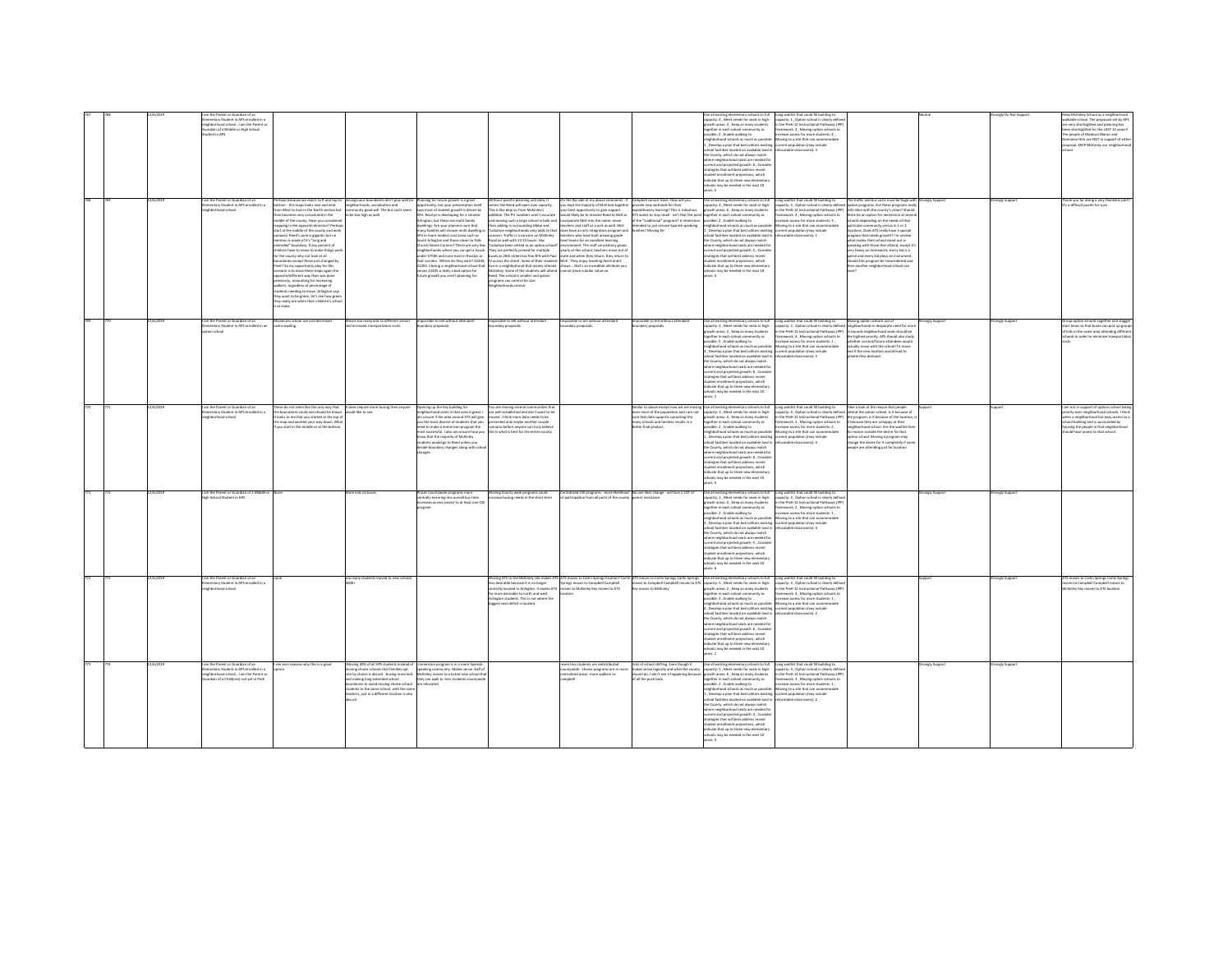|  | 12/6/2019 | the Parent or Guardian of an<br>mentary Student in APS enrolled in a<br>hborhood school, I am the Parent o<br>ardian of a Middle or High School<br>lent in APS<br>am the Parent or Guardian of an | haps because we read L to R and too to                                                                                                                                                                                                                                                                                                                                                                                                                                                                                                                                                                                                                                                                                                                                                      |                                                                                                                                                                                                                                                                                                  |                                                                                                                                                                                                                                                                                                                                                                                                                                                                                                                                                                                                                                |                                                                                                                                                                                                                                                                                                                                                                                                                                                                                                                                                                                                                                                                                                    |                                                                                                                                                                                                                                                                                                                                                                                                                                                                                                                                                                                                                                                                                                                                                    |                                                                                                                                                                                                       | tary schools to ful<br>apacity: 4 . Meet needs for seats in high-<br>wth areas: 3 , Keep as many students<br>gether in each school community as<br>sible: 2 . Enable walking to<br><i>i</i><br>hborhood schools as much as possibl<br>Develop a plan that best utilizes existing current population (may include<br>nol farilities located on available land in reforatable classrooms) 3<br>County, which do not always match<br>ere neighborhood seats are needed for<br>urrent and projected growth: 6 , Conside<br>trategies that will best address recent<br>.<br>dent enrollment projections, which<br>dicate that up to three new elementa<br>ools may be needed in the next 10 | ong waitlist that could fill building to<br>capacity: 1, Option school is clearly define<br>in the PreK-12 Instructional Pathways (IPP<br>ramework: 2, Moving option schools to<br>hase access for more students: 4.<br>oving to a site that can accomm                                                                                                                            | The traffic and bus costs must be huee with Stronely Support                                                                                                                                                                                                                                                                                                                                                                                                                                                                                                     |                | angly Do No<br>rongly Support | ep McKinley School as a neighbo<br>valisable school. The proposals set by APS<br>re very shortsighted and planning has<br>seen shortsighted for the LAST 15 years!!<br>The people of Madison Manor and<br>nion Hills are NOT in support of eithe<br>roposal, KEEP McKinley our neighborho |
|--|-----------|---------------------------------------------------------------------------------------------------------------------------------------------------------------------------------------------------|---------------------------------------------------------------------------------------------------------------------------------------------------------------------------------------------------------------------------------------------------------------------------------------------------------------------------------------------------------------------------------------------------------------------------------------------------------------------------------------------------------------------------------------------------------------------------------------------------------------------------------------------------------------------------------------------------------------------------------------------------------------------------------------------|--------------------------------------------------------------------------------------------------------------------------------------------------------------------------------------------------------------------------------------------------------------------------------------------------|--------------------------------------------------------------------------------------------------------------------------------------------------------------------------------------------------------------------------------------------------------------------------------------------------------------------------------------------------------------------------------------------------------------------------------------------------------------------------------------------------------------------------------------------------------------------------------------------------------------------------------|----------------------------------------------------------------------------------------------------------------------------------------------------------------------------------------------------------------------------------------------------------------------------------------------------------------------------------------------------------------------------------------------------------------------------------------------------------------------------------------------------------------------------------------------------------------------------------------------------------------------------------------------------------------------------------------------------|----------------------------------------------------------------------------------------------------------------------------------------------------------------------------------------------------------------------------------------------------------------------------------------------------------------------------------------------------------------------------------------------------------------------------------------------------------------------------------------------------------------------------------------------------------------------------------------------------------------------------------------------------------------------------------------------------------------------------------------------------|-------------------------------------------------------------------------------------------------------------------------------------------------------------------------------------------------------|----------------------------------------------------------------------------------------------------------------------------------------------------------------------------------------------------------------------------------------------------------------------------------------------------------------------------------------------------------------------------------------------------------------------------------------------------------------------------------------------------------------------------------------------------------------------------------------------------------------------------------------------------------------------------------------|------------------------------------------------------------------------------------------------------------------------------------------------------------------------------------------------------------------------------------------------------------------------------------------------------------------------------------------------------------------------------------|------------------------------------------------------------------------------------------------------------------------------------------------------------------------------------------------------------------------------------------------------------------------------------------------------------------------------------------------------------------------------------------------------------------------------------------------------------------------------------------------------------------------------------------------------------------|----------------|-------------------------------|-------------------------------------------------------------------------------------------------------------------------------------------------------------------------------------------------------------------------------------------------------------------------------------------|
|  |           | nentary Student in APS o<br>collect in a<br>hborhood school                                                                                                                                       | om - this maps looks nice and neat<br>West to East in the North section but<br>n becomes very convoluted in the<br>Idle of the county. Have you consider<br>apping in the opposite direction? Perha-<br>t at the middle of the county and worl<br>ward. Reed's zone is gigantic but no<br>tion is made of it's "long and<br>ded" boundary. If any percent of<br>dren have to move to make things we<br>or the county why not look at all<br>oundaries except those just changed by<br>eet? So my opportunity play for this<br>sario is to draw these maps again the<br>nario is to draw these maps again the<br>issite/different way than was done<br>viously, accounting for increasing<br>iv want to be ereen, let's see how eree<br>ry really are when their children's scho<br>at stake | incongruous boundaries don't play well for Planning for future growth is a great<br>neighborhoods, socialization and opportunity, but your presentation itse<br>nunity good will. The bus costs see<br>to be too high as well                                                                    | ويربون<br>ays most of student growth is driven by<br>.<br>VH. Rosslyn is developing for a smarter<br>Arlington, but these are multi family<br>dwellines. Are your planners sure that<br>sary families will choose multi dwelling<br>"H in more modest cost areas such as<br>outh Arlinaton and those closer to Falls<br>rch/Seven Corners? There are very few<br>eighborhoods where you can get a house<br>under \$750K and none exist in Rosslyn or<br>that corridor. Where do they exist? 22204<br>22205. Closing a neighborhood school that<br>eves 22205 is likely a bad option for<br>ure growth you aren't planning for. | ithout specific planning unit data, it<br>ems like Reed will open over capacity.<br>s is like deja vu from McKinley's<br>tion. The PU numbers aren't accura<br>oving such a large school in bulk and<br>en adding in surrounding Glebe and<br>:<br>kahoe neighborhoods only adds to that<br>scern. Traffic is a concern on McKinkry<br>Road as well with 13-15 buses. Has<br>ahoe been vetted as an option sch<br>They are perfectly primed for multiple<br>on as 76th street has few SFH with Paul<br>live in a neighborhood that mainly attends<br>McKinley. Some of the students will attend<br>Reed. The school is smaller and option<br>programs can control for size.<br>ighborhoods cannot. | On the flip side of my above comments - if Campbell cannot leave. How will you<br>you kept the majority of McK kids together provide new wetlands for their<br>r best opportunity to gain support<br>ald likely be to rename Reed to McK or<br>porate McK into the name; move<br>achers and staff as a unit as well. McK<br>es have an arts integration program and<br>achers who have built amazing grade<br>el teams for an excellent learning<br>svironment. The staff consistency grows<br>early at this school, teachers move out of<br>the and when they return they return to<br>cross the street. Some of their students McK. They enjoy teaching there and it<br>shows that's an incredible attribute vo-<br>nnot place a dollar value on | editionary learning? This is ridiculous<br>ATS wants to stay small - isn't that the poir<br>of the "traditional" program? Is Immersion<br>ntended to just service Spanish speaking<br>lies? Moving Ke | ther in each school community as<br>sible: 2, Enable walking to<br>eighborhood schools as much as possible<br>Develop a plan that best utilizes existing<br>col facilities located on available land in<br>he County, which do not always match<br>.<br>where neighborhood seats are needed for<br>urrent and projected growth: 5 , Consider<br>degies that will best address recent<br>ent enrollment projections, which<br>dicate that up to three new elementary<br>ts may be needed in the next 10                                                                                                                                                                                 | .<br>ramework: 2 , Moving option schools to<br>ncrease access for more students: 3 ,<br>Movine to a site that can accommodate<br>rrent population (may include<br>locatable classrooms): 1                                                                                                                                                                                         | option programs. Are these programs reall<br>still inline with the county's vision? Should<br>there be an ootion for immersion at sew<br>tols depending on the needs of the<br>particular community versus in 1 or 2<br>locations. Does ATS really have a special<br>program that needs growth? I'm unclear<br>hat makes their school stand out in<br>aking with those that attend, except it<br>very heavy on homework, every kid is a<br>patrol and every kid plays an instrument<br>uld this program be reconsidered and<br>n another neighborhood school can |                |                               | hank you for doing a very thankless job!!<br>'s a difficult ouzzle for sure.                                                                                                                                                                                                              |
|  | 37673019  | am the Parent or Guardian of an<br>nentary Student in APS enrolled in an<br>tion school                                                                                                           | mizes school use and decrease<br>owding.                                                                                                                                                                                                                                                                                                                                                                                                                                                                                                                                                                                                                                                                                                                                                    | Moves too many kids to different schor                                                                                                                                                                                                                                                           | ripossible to tell without attens<br>dary proposals                                                                                                                                                                                                                                                                                                                                                                                                                                                                                                                                                                            | ossible to tell without attendar<br>dary proposals                                                                                                                                                                                                                                                                                                                                                                                                                                                                                                                                                                                                                                                 | pssible to tell without attendar<br>dary proposals                                                                                                                                                                                                                                                                                                                                                                                                                                                                                                                                                                                                                                                                                                 | oossible to tell without attendar<br>lary proposals.                                                                                                                                                  | lut of doctor elementary schools to full<br>pacity: 4, Meet needs for seats in high-<br>owth areas: 2, Keep as many students<br>ether in each school community as<br>sible: S., Enable walking to<br>eighborhood schools as much as possibl<br>Develop a plan that best utilizes existing current population (may include<br>chool facilities located on available land in<br>he County, which do not always match<br>are neighborhood seats are needed for<br>rrent and projected erowth: 6. Conside<br>begies that will best address recent<br>itudent enrollment projections, which<br>sdicate that up to three new elementary<br>tols may be needed in the next 10                 | Long waitlist that could fill building to<br>capacity: 2, Option school is clearly defined meighborhoods in desperate need for mo<br>in the PreK-12 Instructional Pathways (IPP) in bounds neighborhood seats should be<br>amework: 4, Moving option schools to<br>ease access for more students: 1,<br>Noving to a site that can accommodate<br>relocatable classrooms): 3        | Moving option schools out of<br>the highest priority. APS should also study<br>hether current/future attendees would<br>ctually move with the school if it move<br>and if the new location would lead to<br>eater/less demand.                                                                                                                                                                                                                                                                                                                                   | onely Support  | rongly Suppor                 | oup option schools together and stage<br>t times so that buses can pick up gros<br>kids in the same area attending differ<br>nels in noter to minimize tra-                                                                                                                               |
|  |           | im the Parent or Guardian of an<br>ementary Student in APS enrolled in a<br><b>Montheyed</b> school                                                                                               | a do not seem like the only way that<br>the boundaries could and should be drawn. Would like to see.<br>It looks to me that you started at the top of<br>map and worked your way down. Wh<br>no start in the middle or at the hottom                                                                                                                                                                                                                                                                                                                                                                                                                                                                                                                                                        | It does require more busing then anyone                                                                                                                                                                                                                                                          | Ipening up the Key building for<br>eighborhood seats in that area is great. I<br>sule list 2TA hours area add it assem<br>ou the most diverse of students that you<br>eed to make a immersion program the<br>tost successful. I also am unsure how yo<br>now that the majority of McKinley<br>tudents would go to Reed unless you<br>cide boundary changes along with sc<br>neer                                                                                                                                                                                                                                               | fou are moving several communities th<br>are well established and don't want to be<br>want 1 think more rists nearly to her<br>ented and maybe another couple<br>marin hafnra anvenna ram trulu hallaus<br>is what is best for the entire o                                                                                                                                                                                                                                                                                                                                                                                                                                                        |                                                                                                                                                                                                                                                                                                                                                                                                                                                                                                                                                                                                                                                                                                                                                    | milar to above except now we are movi<br>ven more of the population and i am not<br>ure that data supports uprooting this<br>nany schools and families results in a<br>ther final needset             | Se all existing elementary schools to full<br>apacity: 3, Meet needs for seats in high-<br>owth areas: 4 , Keep as many students<br>gether in each school community as<br>sible 2 Footh walking to<br>lood schools as much as possibl<br>, Develop a plan that best utilizes existing current population (may include<br>nool facilities located on available land in<br>e County, which do not always match<br>here neighborhood seats are needed for<br>rrent and projected erowth: 6. Consid<br>ategies that will best address recent<br>udent enrollment projections, which<br>dicate that up to three new elementar<br>ools may be needed in the next 10                          | Long waitlist that could fill building to<br>capacity: 4, Option school is clearly defined attend the option school. Is it because of<br>in the PreK-12 Instructional Pathways (IPP) the program, is it because of the location, i<br>framework: 1, Moving option schools to<br>repasa arress for more students-2<br>loving to a site that can accom<br>relocatable classrooms): 3 | Take a look at the reason that people<br>infrastructural and are the waitfiet the<br>ason outside the desire for that<br>ption school. Moving a program may<br>hanze the desire for it completely if som<br>ple are attending just for location                                                                                                                                                                                                                                                                                                                  |                |                               | im not in support of options school taki<br>riority over neighborhood schools. I think<br>hen a neighborhood has easy access to<br>ool building and is surrounded by<br>susing the people in that neighborhoo-                                                                            |
|  | 12/6/2019 | I am the Parent or Guardian of a Middle (<br>ich School Student in APS                                                                                                                            |                                                                                                                                                                                                                                                                                                                                                                                                                                                                                                                                                                                                                                                                                                                                                                                             | ore kids on buses                                                                                                                                                                                                                                                                                | laces Countywide programs more<br>strally ensuring less overall bus time<br>sises access (seats) to at least one O                                                                                                                                                                                                                                                                                                                                                                                                                                                                                                             | foving County wide programs could<br>crease busine needs in the short-term                                                                                                                                                                                                                                                                                                                                                                                                                                                                                                                                                                                                                         | entralized CW programs - more likelihood No one likes change - will face a LOT of<br>articination from all narts of the count                                                                                                                                                                                                                                                                                                                                                                                                                                                                                                                                                                                                                      |                                                                                                                                                                                                       | Use all existing elementary schools to full<br>acity: 1, Meet needs for seats in high-<br>wth areas: 4, Keep as many students<br>pether in each school community as<br>sible: 2, Enable walking to<br>eighborhood schools as much as possible<br>.<br>Develop a plan that best utilizes existing<br>hool facilities located on available land in<br>the County, which do not always match<br>.<br>here neighborhood seats are needed fo<br>urrent and projected growth: 5 , Conside<br>atesies that will best address recent<br>tudent enrollment projections, which<br>rdicate that up to three new elementar<br>07 type adt ni habaan ad vam sin                                     | Long waitlist that could fill building to<br>capacity: 3 , Option school is clearly define<br>the PreK-12 Instructional Pathways (IPF<br>ramework: 2 Mouine ordina schools to<br>ase access for more students: 1<br>Moving to a site that can accommoda<br>rrent population (may include<br>locatable classrooms): 4                                                               |                                                                                                                                                                                                                                                                                                                                                                                                                                                                                                                                                                  | onely Support  | ongly Support                 |                                                                                                                                                                                                                                                                                           |
|  |           | im the Parent or Guardian of an<br>ementary Student in APS enrolled in a<br>loorload school                                                                                                       |                                                                                                                                                                                                                                                                                                                                                                                                                                                                                                                                                                                                                                                                                                                                                                                             | o many students moved to new scho                                                                                                                                                                                                                                                                |                                                                                                                                                                                                                                                                                                                                                                                                                                                                                                                                                                                                                                | Moving ATS to the McKinley site make<br>less desirable because it is no longer<br>intrally located in Arlinaton. It makes ATS<br>far more desirable to north and west<br>Arlington students. This is not where the<br>eest seat deficit is located                                                                                                                                                                                                                                                                                                                                                                                                                                                 | aves to McKinley Key moves to ATS                                                                                                                                                                                                                                                                                                                                                                                                                                                                                                                                                                                                                                                                                                                  | .<br>ATS moves to Carlin Springs location? Carlin ATS moves to Carlin Springs Carlin Springs<br>Springs moves to Campbell Campbell moves to Campbell Campbell moves to ATS<br>moves to McKinley       | ise all existing elementary schools to full<br>apacity: 5 , Meet needs for seats in high-<br>wth areas: 2 . Keep as many students<br>ether in each school community as<br>ssible: 3 , Enable walking to<br>hborhood schools as much as possible<br>Develop a plan that best utilizes existing<br>pol facilities located on available land in<br>County, which do not always match<br>there neighborhood seats are needed fo<br>rrent and projected erowth: 6. Conside<br>tegies that will best address recent<br>dent enrollment projections, which<br><b>Scate that up to three new elementa</b><br>chools may be needed in the next 10<br>are 1                                      | Long waitlist that could fill building to<br>capacity: 3 , Option school is clearly defin<br>n the PreK-12 Instructional Pathways (IPF<br>ramework: 4, Moving option schools to<br>tcrease access for more students: 1,<br>Moving to a site that can accomm<br>current population (may include<br>pratable classrooms): 2                                                          |                                                                                                                                                                                                                                                                                                                                                                                                                                                                                                                                                                  |                | angly Supp                    | moves to Carlin Springs Carlin Springs<br>ves to Campbell Campbell moves to<br><b>Griley Key moves to ATS location</b>                                                                                                                                                                    |
|  | 12/6/2019 | I am the Parent or Guardian of an<br>entary Student in APS enrolled in a<br>sighborhood school, I am the Parent or<br>ardian of a Childfren) not vet in PreK                                      | see zero reasons why this is a good                                                                                                                                                                                                                                                                                                                                                                                                                                                                                                                                                                                                                                                                                                                                                         | Moving 40% of all APS students instead of Himmersion program is in a more Spanish-<br>ng choice schools that families oot<br>loorlaa bebnefor snol sniden bne<br>induries to avoid moving choice school<br>dents to the same school, with the sam<br>achers, just in a different location is als | peaking community. Makes sense -half of<br>to by choice is absurd. - busing more kids McKinley moves to a brand new school that<br>they can walk to -less students countywis                                                                                                                                                                                                                                                                                                                                                                                                                                                   |                                                                                                                                                                                                                                                                                                                                                                                                                                                                                                                                                                                                                                                                                                    | iven less students are redistributed<br>intywide. -choice programs are in mor<br>tralized areas -more walkers to<br><b>Indom</b>                                                                                                                                                                                                                                                                                                                                                                                                                                                                                                                                                                                                                   | lots of school shifting. Even though it<br>akes sense loeically and what the county<br>ould do, I don't see it happening because<br>of all the push back                                              | Use all existing elementary schools to full<br>capacity: 5 , Meet needs for seats in high-<br>wth areas: 6, Keep as many students<br>arether in each school community as<br>sible: 2 . Enable walking to<br>eighborhood schools as much as possible:<br>, Develop a plan that best utilizes existing<br>tol facilities located on available land in<br>the County, which do not always match<br>ere neighborhood seats are needed for<br>rent and projected growth: 4, Conside<br>atesies that will best address recent<br>student enrollment projections, which<br>indicate that up to three new elementary<br>chools may be needed in the next 10<br>$F -$                           | Long waitlist that could fill building to<br>sacity: 4 . Option school is clearly defin<br>the PreK-12 Instructional Pathways (IPP<br>ramework: 3 . Moving option schools to<br>tase arress for more students: 1<br>Aoving to a site that can accommodat<br>rrent oopulation (may include<br>ocatable classrooms): 2                                                               |                                                                                                                                                                                                                                                                                                                                                                                                                                                                                                                                                                  | ronely Support | onely Support                 |                                                                                                                                                                                                                                                                                           |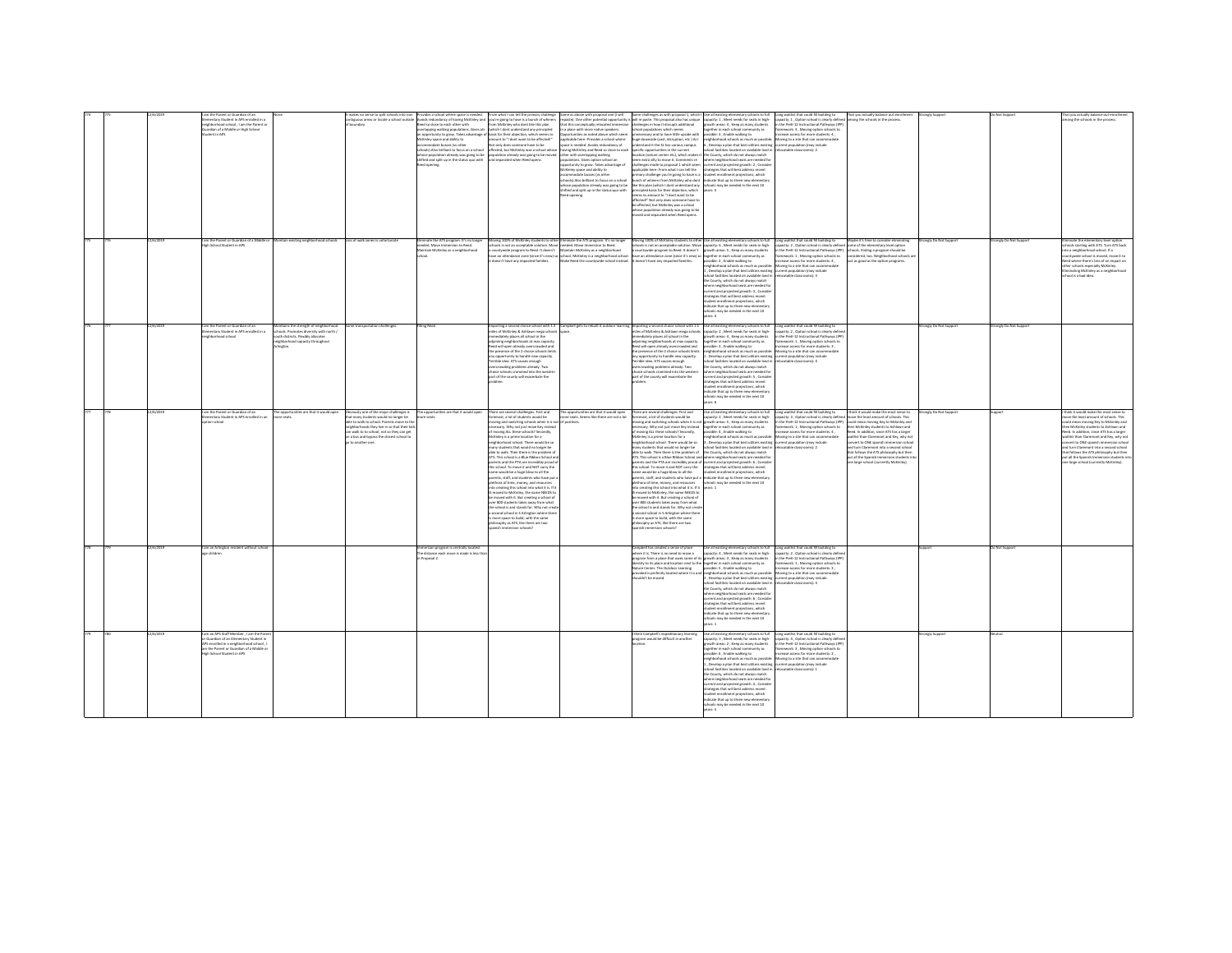|  |          | mentary Student in APS enrolled in a<br>hood school, I am the Parent o<br>ardian of a Middle or High School<br>lent in APS<br>am the Parent or Guardian of a Middle r                         | tain existing neighborhood schools                                                                                                                    | kes no sense to split schools into no<br>ritiquous areas or locate a school outside<br>Loss of walk zones is unfortunat                                                                                                                                                                   | ies a school where space is nee<br>Avoids redundancy of having McKinley and you're going to have is a bunch of whiner<br>ed so close to each other with<br>fcKinky space and ability to<br>.<br>commodate busses (vs other<br>hools).Also brilliant to focus on a scho<br>e population already was going to be<br>hifted and solit up in the status guo with<br>nate the ATS program. It's no longe | can tell the primary challeng<br>m McKinley who dont like this plan<br>rlagging walking populations. Gives ats vishich I dont understand any principled<br>rtunity to grow. Takes advantage of basis for their objection, which seems to<br>mount to "I dont want to be affected!"<br>st only does someone have to be<br>fected, but McKinley was a school whose<br>sulation already was going to be moved<br>and separated when Reed opens.<br>rene 100% of McKinley students to oth                                                                                                                                                                                                                                                                                                                                                                                                                                                                                                                                                            | me as above with proposal one (I will<br>at this conceptually relocated immersi<br>a place with more native speakers.<br>nities as noted above which seem<br>plicable here: Provides a school where<br>e is needed. Avoids redundancy of<br>iving McKinley and Reed so close to each<br>er with overlapping walking<br>sulations. Gives option school an<br>etunity to grow. Takes advantage o<br>(Kinley space and ability to<br>.<br>commodate busses (vs other<br>hook).Also brilliant to focus on a school<br>.<br>hose population already was going to be<br>hifted and split up in the status quo with<br>minate the ATS program. It's no longer | ime challenges as with proposal 1, which<br>paste). One other potential opportunity is will re paste. This proposal also has unique quacky: 1, Meet needs for seats in high- capacity: 1, Option school is clearly defined among the schools in the process.<br>at this conce<br>hallenges in how it disrupts additional<br>chool populations which seems<br>essary and to have little upside with<br>ure downside (cost, disruption, etc ) As I<br>rstand it the EL has various campus<br>ecific opportunities in the current<br>cation (nature center etc), which makes it<br>em extra silly to move it. Comments re<br>allenges made to proposal 1 which seem<br>policable here: From what I can tell the<br>like this plan (which I dont understand any<br>ncipled basis for their objection, which<br>ms to amount to "I dont want to be<br>affected!" Not only does someone have to<br>e affected, but McKinley was a school<br>hose population already was aping to be<br>ved and separated when Reed opens<br>Moving 100% of McKinky students to other Use all existing elementary schools to full | Use all existing elementary schools to full<br>arether in each school community as<br>ssible: 3, Enable walking to<br>neighborhood schools as much as possible<br>, Develop a plan that best utilizes existing current population (may include<br>school facilities located on available land in<br>the County, which do not always match<br>where neighborhood seats are needed for<br>urrent and projected growth: 2, Conside<br>trategies that will best address recent<br>.<br>Imary challenge you're going to have is a student enrollment projections, which<br>unch of whiners from McKinky who dont and cate that up to three new elementary<br>chools may be needed in the next 10<br>ears: 5                                                                                                                                                                                                                | Long waitlist that could fill building to<br>framework: 3 . Moving option schools to<br>hase access for more students: 4 .<br>Movine to a site that can accommodate<br>locatable classrooms): 2<br>Long waitlist that could fill building to                                                                          | ybe it's time to consider eliminating                                                                                                                                                                                                                                                                                                                                                                                                                               | angly Suppo<br>onaly Do Not Support | Not Suppor<br>onely Do Not Suppor | none the schools in the process<br>site the elementary level option                                                                                                                                                                                                                                                                                                                                                                                                     |
|--|----------|-----------------------------------------------------------------------------------------------------------------------------------------------------------------------------------------------|-------------------------------------------------------------------------------------------------------------------------------------------------------|-------------------------------------------------------------------------------------------------------------------------------------------------------------------------------------------------------------------------------------------------------------------------------------------|-----------------------------------------------------------------------------------------------------------------------------------------------------------------------------------------------------------------------------------------------------------------------------------------------------------------------------------------------------------------------------------------------------|--------------------------------------------------------------------------------------------------------------------------------------------------------------------------------------------------------------------------------------------------------------------------------------------------------------------------------------------------------------------------------------------------------------------------------------------------------------------------------------------------------------------------------------------------------------------------------------------------------------------------------------------------------------------------------------------------------------------------------------------------------------------------------------------------------------------------------------------------------------------------------------------------------------------------------------------------------------------------------------------------------------------------------------------------|--------------------------------------------------------------------------------------------------------------------------------------------------------------------------------------------------------------------------------------------------------------------------------------------------------------------------------------------------------------------------------------------------------------------------------------------------------------------------------------------------------------------------------------------------------------------------------------------------------------------------------------------------------|------------------------------------------------------------------------------------------------------------------------------------------------------------------------------------------------------------------------------------------------------------------------------------------------------------------------------------------------------------------------------------------------------------------------------------------------------------------------------------------------------------------------------------------------------------------------------------------------------------------------------------------------------------------------------------------------------------------------------------------------------------------------------------------------------------------------------------------------------------------------------------------------------------------------------------------------------------------------------------------------------------------------------------------------------------------------------------------------------------|-----------------------------------------------------------------------------------------------------------------------------------------------------------------------------------------------------------------------------------------------------------------------------------------------------------------------------------------------------------------------------------------------------------------------------------------------------------------------------------------------------------------------------------------------------------------------------------------------------------------------------------------------------------------------------------------------------------------------------------------------------------------------------------------------------------------------------------------------------------------------------------------------------------------------|-----------------------------------------------------------------------------------------------------------------------------------------------------------------------------------------------------------------------------------------------------------------------------------------------------------------------|---------------------------------------------------------------------------------------------------------------------------------------------------------------------------------------------------------------------------------------------------------------------------------------------------------------------------------------------------------------------------------------------------------------------------------------------------------------------|-------------------------------------|-----------------------------------|-------------------------------------------------------------------------------------------------------------------------------------------------------------------------------------------------------------------------------------------------------------------------------------------------------------------------------------------------------------------------------------------------------------------------------------------------------------------------|
|  |          | igh School Student in APS                                                                                                                                                                     |                                                                                                                                                       |                                                                                                                                                                                                                                                                                           | ded. Move Immersion to Reed.<br>ntain McKinley as a neighborhood                                                                                                                                                                                                                                                                                                                                    | ols is not an acceptable solution. Move<br>intywide program to Reed. It doesn't<br>e an attendance zone (since it's new) so<br>doesn't have any impacted families.                                                                                                                                                                                                                                                                                                                                                                                                                                                                                                                                                                                                                                                                                                                                                                                                                                                                               | eded. Move Immersion to Reed.<br>aintain McKinley as a neighborhood<br>.<br>chool. McKinley is a neighborhood school.<br>fake Reed the countywide school instead.                                                                                                                                                                                                                                                                                                                                                                                                                                                                                      | s<br>ve an attendance zone (since it's new) so together in each school con<br>t doesn't have any impacted families. [possible: 2 , Enable walking                                                                                                                                                                                                                                                                                                                                                                                                                                                                                                                                                                                                                                                                                                                                                                                                                                                                                                                                                          | ook is not an acceptable solution. Move capacity: 6 , Meet needs for seats in high-<br>cuntywide program to Reed. It doesn't growth areas: 5 , Keep as many students<br>munity as<br>ssible: 2, Enable walking to<br>. Develop a plan that best utilizes existing<br>s located on available land in<br>ed familie<br>he County, which do not always match<br>here neighborhood seats are needed for<br>rrent and projected growth: 3 , Conside<br>legies that will best address recent<br>udent enrollment projections, which<br>dicate that up to three new element<br>ools may be needed in the next 10                                                                                                                                                                                                                                                                                                             | capacity: 2, Option school is clearly define<br>the PreK-12 Instructional Pathways (IPP)<br>nework: 1, Moving option schools to<br>crease access for more students: 4,<br>phborhood schools as much as possible: Moving to a site that can accommodate<br>surrent population (may include<br>F damnensche aldeho      | e of the elementary level optio<br>ools. Ending a program should be<br>onsidered, too. Neighborhood schools i<br>ast as good as the option programs.                                                                                                                                                                                                                                                                                                                |                                     |                                   | ols starting with ATS. Turn ATS back<br>to a neighborhood school. If a<br>ountywide school is moved, move it to<br>sed where there's less of an impact on<br>her schools especially McKinley.<br>tinating McKinley as a neighborhoos<br>heed is a hart idea                                                                                                                                                                                                             |
|  |          | l am the Parent or Guardian of an<br>Elementary Student in APS enrolled in a<br><b>Innehand school</b>                                                                                        | intains the strength of neighborhood<br>iools. Promotes diversity with north /<br>th districts. Flexibly allocates<br>eighborhood capacity throughout | ome transportation challenges                                                                                                                                                                                                                                                             | ling Rose                                                                                                                                                                                                                                                                                                                                                                                           | Importing a second choice school with 1.5 Campbell gets to rebuilt it outdoor learning Importing a second choice school with 1.5 Use all existing elementary schools to full<br>miles of McKinley & Ashlawn mega schools capacity<br>nediately places all school in the<br>dioining neighborhoods at max capacity<br>Reed will open already overcrowded and<br>the presence of the 2 choice schools limits<br>y opportunity to handle new capacity.<br>rrible idea. ATS causes enough<br>rcrowding problems already. Two<br>tice schools crammed into the wester<br>irt of the county will exacerbate the                                                                                                                                                                                                                                                                                                                                                                                                                                        |                                                                                                                                                                                                                                                                                                                                                                                                                                                                                                                                                                                                                                                        | nediately places all school in the<br>dioining neighborhoods at max capacity.<br>teed will open already overcrowded and<br>he presence of the 2 choice schools limits<br>ny opportunity to handle new capacity.<br>'errible idea. ATS causes enough<br>rcrowding problems already. Two<br>toice schools crammed into the westers<br>art of the county will exacerbate the                                                                                                                                                                                                                                                                                                                                                                                                                                                                                                                                                                                                                                                                                                                                  | owth areas: 4, Keep as many students<br>together in each school community as<br>ossible: 3 . Enable walking to<br>ighborhood schools as much as possibl<br>Develop a plan that best utilizes existing current population (may include<br>ool facilities located on available land is<br>e County, which do not always match<br>tere neighborhood seats are needed fo<br>rrent and projected growth: 5, Consid<br>rategies that will best address recent<br>dant annibment necipitans which<br>dicate that up to three new elementar<br>ols may be needed in the next 10<br>ars: 6                                                                                                                                                                                                                                                                                                                                     | Long waitlist that could fill building to<br>capacity: 2, Option school is clearly defi<br>in the PreK-12 Instructional Pathways (IPP)<br>framework: 1 . Moving option schools to<br>Problem to a more students to<br>Moving to a site that can accommoda<br>catable classrooms): 4                                   |                                                                                                                                                                                                                                                                                                                                                                                                                                                                     | rangly Do Not Suppo                 | ongly Do Not Suppo                |                                                                                                                                                                                                                                                                                                                                                                                                                                                                         |
|  | 2/6/2019 | am the Parent or Guardian of an<br>a ni hallenna 204 ni trakut2 unatran<br>loorlas noit                                                                                                       | he opportunities are that it would open                                                                                                               | Obviously one of the major challenges is<br>that many students would no longer be<br>able to walk to school. Parents move to th<br>seighborhoods they live in so that their kis<br>can walk to to school, not so they can get<br>a bus and bypass the closest school to<br>to another one | The opportunities are that it would coan                                                                                                                                                                                                                                                                                                                                                            | There are several challenges. First and<br>nel blume checken's by tel a town<br>wing and switching schools when it is not of positives.<br>ecessary. Why not just move Key instea<br>I moving ALL these schools? Secondly,<br>:<br>McKinley is a prime location for a<br>seighborhood school. There would be so<br>ny students that would no longer be<br>able to walk. Then there is the problem o<br>ATS. This school is a Nua Ribbon School ar<br>rents and the PTA are incredibly proud of<br>his school. To move it and NOT carry the<br>ame would be a huge blow to all the<br>rents, staff, and students who have out<br>ethora of time, money, and resources<br>to creating this school into what it is. If it<br>moved to McKinley, the name NEEDS t<br>moved with it. But creating a school of<br>er 800 students takes away from what<br>the school is and stands for. Why not crea<br>econd school in S Arlington where the<br>more space to build, with the same<br>ilosophy as ATS, like there are two<br>snish immersion schools? | The opportunities are that it would open<br>re seats. Seems like there are not a lot                                                                                                                                                                                                                                                                                                                                                                                                                                                                                                                                                                   | There are several challenges. First and<br>set blows atested to the total compa<br>cessary. Why not just move Key instead<br>moving ALL these schools? Secondly,<br>ckinley is a prime location for a<br>eighborhood school. There would be so<br>any students that would no longer be<br>ible to walk. Then there is the problem of<br>TS. This school is a filing filibon School and subara naighborhood seats are needed for<br>.<br>his school. To move it and NOT carry the<br>name would be a huge blow to all the<br>lethora of time, money, and resources schools =<br>nto creating this school into what it is: If it years: 1<br>moved to McKinley, the name NEEDS to<br>moved with it. But creating a school of<br>er 800 students takes away from what<br>he school is and stands for. Why not crea<br>econd school in S Arlington where the<br>nore space to build, with the same<br>ilosophy as ATS, like there are two<br>nish immersion schools?                                                                                                                                           | Use all existing elementary schools to full Long weitlist that could fill building to<br>capacity: 2, Meet needs for seats in high- capacity: 3, Option school is clearly define<br>oving and switching schools when it is not growth areas: 5, Keep as many students<br>.<br>together in each school community as<br>possible: 4 , Enable walking to<br>eighborhood schools as much as possible: Moving to a site that can accomn<br>I, Develop a plan that best utilizes existing current population (may include<br>chool facilities located on available land in<br>the County, which do not always match<br>arents and the PTA are incredibly proud of current and projected growth: 6, Conside<br>strategies that will best address recent<br>student enrollment projections, which<br>ents, staff, and students who have put a indicate that up to three new elementar<br>schools may be needed in the next 10 | in the PreK-12 Instructional Pathways (IPP)<br>framework: 1, Moving option schools to<br>increase access for more students: 4,<br>wing to a site that can accommodate<br>C-famonosista elektronic                                                                                                                     | I think it would make the most sense to<br>up the least amount of schools. This<br>could mean moving Key to Mckinley and<br>en McKinley students to Ashlawn and<br>eed. In addition, since ATS has a larger<br>dist than Claremont and Key, why not<br>ert to ONE spanish immersion schoo<br>ed turn Claremont into a served school<br>hat follows the ATS philosophy but then<br>not all the Snanish Immersion students in<br>e large school (currently McKinley). | rongly Do Not Suppor                |                                   | hink it would make the most sense to<br>on the least amount of schools. This<br>ould mean moving Key to Mckinley and<br>then McKinley students to Ashlawn and<br>Iteed. In addition, since ATS has a larger<br>itlist than Claremont and Key, why not<br>vert to ONE spanish immersion school<br>ad turn Claremont into a served school<br>hat follows the ATS philosophy but then<br>un all the Snanish Immersion students in<br>ne large school (currently McKinley). |
|  |          | im an Arlington resident without sch<br>children                                                                                                                                              |                                                                                                                                                       |                                                                                                                                                                                                                                                                                           | sion program is centrally located.<br>e distance each move is made is less th<br>C lazene                                                                                                                                                                                                                                                                                                           |                                                                                                                                                                                                                                                                                                                                                                                                                                                                                                                                                                                                                                                                                                                                                                                                                                                                                                                                                                                                                                                  |                                                                                                                                                                                                                                                                                                                                                                                                                                                                                                                                                                                                                                                        | mehall has created a sense of niare<br>where it is. There is no need to move a<br>roaram from a place that owes some of its arouth areas: 3 . Keep as many students<br>identity to its place and location next to the together in each school community as<br>Vature Center. The Outdoor Learning<br>which he moved                                                                                                                                                                                                                                                                                                                                                                                                                                                                                                                                                                                                                                                                                                                                                                                        | Use all existing elementary schools to full<br>capacity: 4, Meet needs for seats in high-<br>possible: S . Enable walking to<br>wided is perfectly located where it is and meighborhood schools as much as possible<br>2. Develop a plan that best utilizes existing<br>ool facilities located on available land is<br>the County which do not always match<br>here neighborhood seats are needed fo<br>rrent and projected erowth: 6. Conside<br>ategies that will best address recent<br>.<br>udent enrollment projections, which<br>dicate that up to three new elementar<br>01 type adt ni habaan ad vam slop                                                                                                                                                                                                                                                                                                     | Long waitlist that could fill building to<br>capacity: 2, Option school is clearly defi<br>a the Dreft, 12 Instructional Dathways (IDD)<br>framework: 1, Moving option schools to<br>crease access for more students: 3 .<br>Moving to a site that can accomm<br>rent population (may include<br>catable classrooms): |                                                                                                                                                                                                                                                                                                                                                                                                                                                                     |                                     | Not Support                       |                                                                                                                                                                                                                                                                                                                                                                                                                                                                         |
|  | 1/6/201  | am an APS Staff Member , I am the Pare<br>Cuardian of an Elementary Student in<br>VS enrolled in a neighborhood school,<br>m the Parent or Guardian of a Middle o<br>th School Student in APS |                                                                                                                                                       |                                                                                                                                                                                                                                                                                           |                                                                                                                                                                                                                                                                                                                                                                                                     |                                                                                                                                                                                                                                                                                                                                                                                                                                                                                                                                                                                                                                                                                                                                                                                                                                                                                                                                                                                                                                                  |                                                                                                                                                                                                                                                                                                                                                                                                                                                                                                                                                                                                                                                        | think Campbell's expeditionary learning<br>roaram would be difficult in another                                                                                                                                                                                                                                                                                                                                                                                                                                                                                                                                                                                                                                                                                                                                                                                                                                                                                                                                                                                                                            | Use all existing elementary schools to full<br>apacity: 3 . Meet needs for seats in high-<br>wth areas: 2, Keep as many students<br>prether in each school community as<br>sible: 6, Enable walking to<br>ighborhood schools as much as nossible<br>, Develop a plan that best utilizes existing current population (may include<br>chool facilities located on available land in refocatable classrooms): 1<br>e County, which do not always match<br>ere neighborhood seats are needed fo<br>rent and projected growth: 4, Conside<br>trategies that will hast address rerent<br>Iment projections, which<br>dicate that up to three new elementary<br>ools may be needed in the next 10<br>ears: 5                                                                                                                                                                                                                 | Long waitlist that could fill building to<br>capacity: 4. Option school is clearly defin<br>in the PreK-12 Instructional Pathways (IPP<br>ramework: 3 . Moving option schools to<br>ease access for more students: 2,<br>Moving to a site that can accommodate                                                        |                                                                                                                                                                                                                                                                                                                                                                                                                                                                     | rangly Suppor                       |                                   |                                                                                                                                                                                                                                                                                                                                                                                                                                                                         |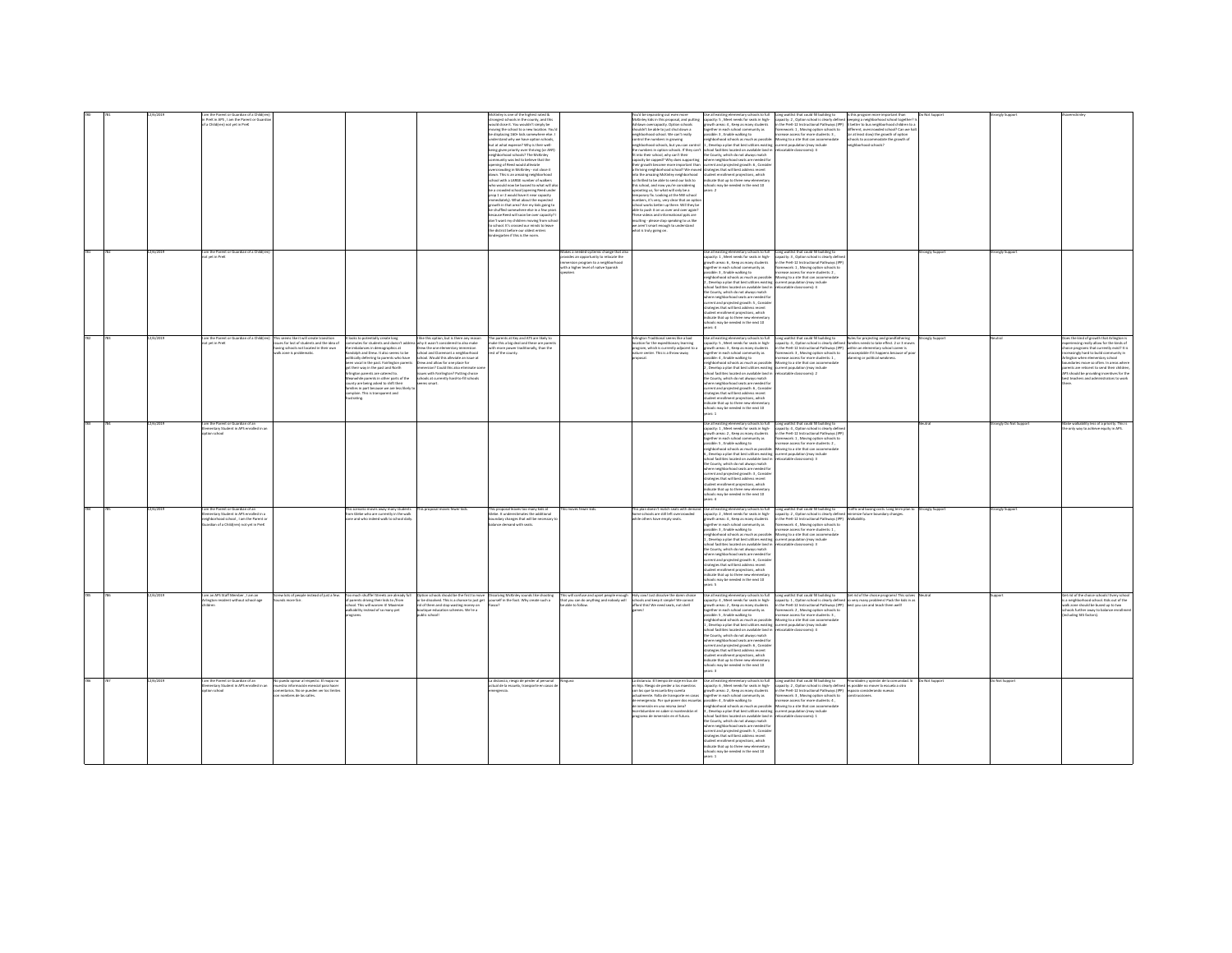|  |           | PreK in APS, I am the Parent or Guardi<br>a Childfren) not yet in PreK                                                                                     |                                                                                                                                                               |                                                                                                                                                                                                                                                                                                                                                                                                                                                                                   |                                                                                                                                                                                                                                                                                                                                                                                         | ongest schools in the county, and this<br>add close it. You wouldn't simply be<br>oving the school to a new location. You's<br>displacing 160+ kids somewhere else. I<br>derstand why we have option schools.<br>but at what expense? Why is their well-<br>being given priority over thriving (or ANY)<br>neighborhood schools? The McKinley<br>mmunity was led to believe that the<br>ening of Reed would allowate<br>prowding in McKinley - not close it<br>iown. This is an amazing neighborhood<br>chool with a LARGE number of walkers<br>who would now be bussed to what will als<br>be a crowded school (opening Reed under<br>prop 1 or 2 would have it near capacity<br>nediately). What about the expected<br>owth in that area? Are my kids going to<br>shuffled somewhere else in a few year<br>ecause Reed will soon be over capacity?<br>son't want my children moving from schor<br>school. It's crossed our minds to leave<br>the district before our oldest enters<br>dentarten if this is the norm |                                                                                                                                                            | McKinley kids in this proposal, and putting<br>shlawn overcapacity. Option schools<br>houldn't be able to just shut down a<br>reighborhood school. We can't really<br>control the numbers in erowing<br>eighborhood schools, but you can control<br>e numbers in option schools. If they can't<br>it into their school, why can't their<br>.<br>capacity be capped? Why does supporting<br>their growth become more important than<br>thriving neighborhood school? We moved strategies that will best address recent<br>into the amazing McKinley neighborhood<br>so thrilled to be able to send our kids to<br>this school, and now you're considering<br>uprooting us, for what will only be a<br>emporary fix. Looking at the NW school<br>sumbers, it's very, very clear that an optic<br>chool works better up there. Will they be<br>ble to push it on us over and over again<br>These videos and informational ppts are<br>nsulting - please stop speaking to us like<br>we aren't smart enough to understand<br>what is truly going on. | Use all existing elementary schools to full<br>capacity: 5 , Meet needs for seats in high-<br>growth areas: 4 . Keep as many students<br>wher in each school co<br>unity as<br>ible: 3, Enable walking to<br>ighborhood schools as much as possib<br>, Develop a plan that best utilizes existing<br>chool facilities located on available land is<br>the County, which do not always match<br>where neighborhood seats are needed for<br>current and projected growth: 6, Conside<br>student enrollment projections, which<br>indicate that up to three new elementar<br>hools may be needed in the next 10<br>$-2$                                                                                                                          | Long waitlist that could fill building to<br>capacity: 2 , Option school is clearly defined<br>in the PreK-12 Instructional Pathways (IPP)<br>mework: 1 , Moving option schools to<br>rease access for more students: 3 ,<br>Noving to a site that can accommodate<br>ent population (may include<br>catable classrooms): 4                                                                                                    | is progras<br>sping a neighborhood school together?<br>it better to bus neighborhood children to a<br><b>Ferent</b> , overcroy<br>wheel school? Can we had<br>t least slow) the growth of option<br>tools to accommodate the growth of<br>Sidoodsi boothodr |               |                   |                                                                                                                                                                                                                                                                                                          |
|--|-----------|------------------------------------------------------------------------------------------------------------------------------------------------------------|---------------------------------------------------------------------------------------------------------------------------------------------------------------|-----------------------------------------------------------------------------------------------------------------------------------------------------------------------------------------------------------------------------------------------------------------------------------------------------------------------------------------------------------------------------------------------------------------------------------------------------------------------------------|-----------------------------------------------------------------------------------------------------------------------------------------------------------------------------------------------------------------------------------------------------------------------------------------------------------------------------------------------------------------------------------------|-----------------------------------------------------------------------------------------------------------------------------------------------------------------------------------------------------------------------------------------------------------------------------------------------------------------------------------------------------------------------------------------------------------------------------------------------------------------------------------------------------------------------------------------------------------------------------------------------------------------------------------------------------------------------------------------------------------------------------------------------------------------------------------------------------------------------------------------------------------------------------------------------------------------------------------------------------------------------------------------------------------------------|------------------------------------------------------------------------------------------------------------------------------------------------------------|--------------------------------------------------------------------------------------------------------------------------------------------------------------------------------------------------------------------------------------------------------------------------------------------------------------------------------------------------------------------------------------------------------------------------------------------------------------------------------------------------------------------------------------------------------------------------------------------------------------------------------------------------------------------------------------------------------------------------------------------------------------------------------------------------------------------------------------------------------------------------------------------------------------------------------------------------------------------------------------------------------------------------------------------------|-----------------------------------------------------------------------------------------------------------------------------------------------------------------------------------------------------------------------------------------------------------------------------------------------------------------------------------------------------------------------------------------------------------------------------------------------------------------------------------------------------------------------------------------------------------------------------------------------------------------------------------------------------------------------------------------------------------------------------------------------|--------------------------------------------------------------------------------------------------------------------------------------------------------------------------------------------------------------------------------------------------------------------------------------------------------------------------------------------------------------------------------------------------------------------------------|-------------------------------------------------------------------------------------------------------------------------------------------------------------------------------------------------------------------------------------------------------------|---------------|-------------------|----------------------------------------------------------------------------------------------------------------------------------------------------------------------------------------------------------------------------------------------------------------------------------------------------------|
|  | 2/6/201   | m the Parent or Guardian of a Child<br>ot wet in PreK                                                                                                      |                                                                                                                                                               |                                                                                                                                                                                                                                                                                                                                                                                                                                                                                   |                                                                                                                                                                                                                                                                                                                                                                                         |                                                                                                                                                                                                                                                                                                                                                                                                                                                                                                                                                                                                                                                                                                                                                                                                                                                                                                                                                                                                                       | akes a needed systemic change that a<br>wides an opportunity to relocate the<br>mersion program to a neighborhood<br>vith a higher level of native Spanish |                                                                                                                                                                                                                                                                                                                                                                                                                                                                                                                                                                                                                                                                                                                                                                                                                                                                                                                                                                                                                                                  | all existing elementary schools to full<br>apacity: 1 . Meet needs for seats in high-<br>outh areas: 6, Keep as many students<br>together in each school community as<br>ssible: 3 . Enable walking to<br>hborhood schools as much as possible<br>, Develop a plan that best utilizes existing current population (may include<br>ool facilities located on available land in<br>e County, which do not always match<br>here neighborhood seats are needed for<br>urrent and projected arowth: S. Conside<br>ategies that will best address recent<br>adent enrollment projections, which<br>dicate that up to three new elementary<br>ols may be needed in the next 10                                                                       | Long waitlist that could fill building to<br>capacity: 3 . Option school is clearly defin<br>n the PreK-12 Instructional Pathways (IP)<br>framework: 1, Moving option schools to<br>ncrease access for more students: 2.<br>Moving to a site that can accome<br>catable classrooms): 4                                                                                                                                         |                                                                                                                                                                                                                                                             | angly Suppor  | angly Suppor      |                                                                                                                                                                                                                                                                                                          |
|  | 12/6/2019 | am the Parent or Guardian of a Child(r<br>ot yet in PreK                                                                                                   | .<br>This seems like it will create transition<br>ssues for lost of students and the idea of<br>wing schools not located in their own<br>czone is problematic | soks to potentially create long<br>mmutes for students and doesn't ad:<br>mbalances in demographics at<br>dolph and Drew. It also seems to be<br>tically deferring to parents who have<br>en yocal in the past. Fairlinaton parent<br>their way in the past and North<br>ington parents are catered to.<br>nwhile parents in other parts of the<br>unty are being asked to shift their<br>lies in part because we are less likely<br>mplain. This is transparent and<br>strating. | I like this option, but is there any reason<br>why it wasn't considered to also make<br>Drew the one elementary immersion<br>school and Claremont a neighborhood<br>school. Would this alleviate an issue at<br>Drew and allow for one place for<br>rsion? Could this also eliminate se<br>as with Fairlington? Putting choice<br>schools at currently hard-to-fill schools<br>ms smart | The parents at Key and ATS are likely to<br>make this a big deal and these are paren<br>th more power traditionally, than the<br>t of the county.                                                                                                                                                                                                                                                                                                                                                                                                                                                                                                                                                                                                                                                                                                                                                                                                                                                                     |                                                                                                                                                            | Arlington Traditional seems like a bad<br>ocation for the expeditionary learning<br>program, which is currently adjacent to a<br>ture center. This is a throw-away                                                                                                                                                                                                                                                                                                                                                                                                                                                                                                                                                                                                                                                                                                                                                                                                                                                                               | Use all existing elementary schools to full<br>capacity: S , Meet needs for seats in high-<br>buth areas: 3 . Keep as many students<br>.<br>ogether in each school commu<br>rossible: 4 , Enable walking to<br>unity as<br>eighborhood schools as much as possible: Movine to a site that can accommodate<br>Develop a plan that best utilizes existing current population (may include<br>ool facilities located on available land i<br>the County, which do not always match<br>ere neighborhood seats are needed for<br>rrent and projected growth: 6, Conside<br>strategies that will best address recent<br>udent enrollment projections, which<br>dicate that up to three new eleme<br>02 tools may be needed in the next 10<br>ers: 1  | Long waitlist that could fill building to<br>capacity: 4 , Option school is clearly defin<br>in the PreK-12 Instructional Pathways (IPP)<br>nework: 3 , Moving option schools to<br>ease access for more students: 1 ,<br>catable classrooms): 2                                                                                                                                                                               | .<br>Rules for projecting and grandfathering<br>families needs to take effect. 2 or 3 mov<br>hin an elementary school career is<br>cceptable if it happens because of pr<br>vning or political weakness.                                                    | rongly Suppor |                   | es the kind of growth that Arlington i<br>seriencing really allow for the kinds o<br>tice programs that currently exist? It is<br>undaries move so often. In areas when<br>ents are reticent to send their children<br>should be providing incentives for the<br>est teachers and administrators to work |
|  |           | n the Parent or Guardian of an<br>mentary Student in APS enrolled in an<br>on school                                                                       |                                                                                                                                                               |                                                                                                                                                                                                                                                                                                                                                                                                                                                                                   |                                                                                                                                                                                                                                                                                                                                                                                         |                                                                                                                                                                                                                                                                                                                                                                                                                                                                                                                                                                                                                                                                                                                                                                                                                                                                                                                                                                                                                       |                                                                                                                                                            |                                                                                                                                                                                                                                                                                                                                                                                                                                                                                                                                                                                                                                                                                                                                                                                                                                                                                                                                                                                                                                                  | to all existing elementary schools to fu<br>apacity: 1 . Meet needs for seats in high-<br>outh areas: 2, Keep as many students<br>ogether in each school community as<br>ssible: 5 . Enable walking to<br>eighborhood schools as much as possible: Moving to a site that can accomn<br>i, Develop a plan that best utilizes existing current population (may include<br>chool facilities located on available land in relocatable classrooms): 3<br>e County, which do not always match<br>tere neighborhood seats are needed fo<br>urrent and projected erowth: 3 . Conside<br>ategies that will best address recent<br>adent enrollment projections, which<br>indicate that up to three new elementary<br>he needed in the next 10<br>rs: 4 | Long waitlist that could fill building to<br>capacity: 4 . Option school is clearly defin<br>n the PreK-12 Instructional Pathways (IPF<br>ramework: 1 , Moving option schools to<br>rease access for more students: 2.                                                                                                                                                                                                         |                                                                                                                                                                                                                                                             |               | nely Do Not Suppe | walkability less of a priority. This i<br>e only way to achieve equity in APS.                                                                                                                                                                                                                           |
|  |           | m the Parent or Guardian of an<br>nentary Student in APS enrolled in a<br>eighborhood school . I am the Parent of<br>rdian of a Childfren) not yet in PreK |                                                                                                                                                               | scenario moves away many students<br>1 Glebe who are currently in the walk<br>ne and who indeed walk to school daily                                                                                                                                                                                                                                                                                                                                                              | connected an except figures high-                                                                                                                                                                                                                                                                                                                                                       | nonnotal leases ton many kirk at<br>be. It underestimates the additional<br>undary changes that will be necessary t<br>anno damand with seats                                                                                                                                                                                                                                                                                                                                                                                                                                                                                                                                                                                                                                                                                                                                                                                                                                                                         | is monest fessoar birti                                                                                                                                    | his olan doesn't match seats with demand<br>ome schools are still left overcrowded<br>while others have empty seats.                                                                                                                                                                                                                                                                                                                                                                                                                                                                                                                                                                                                                                                                                                                                                                                                                                                                                                                             | Ne all evicting plan<br>ardary schools to full<br>apacity: 2, Meet needs for seats in high-<br>rowth areas: 4 . Keep as many students<br>eather in each school co<br><b>HEIRING</b><br>sible: 3, Enable walking to<br>eighborhood schools as much as possibl<br>Develop a plan that best utilizes existing<br>ool facilities located on available land in<br>the County, which do not always match<br>harp naighborhood seats are needed for<br>urrent and projected growth: 6 , Conside<br>trategies that will best address recent<br>tudent enrollment projections, which<br>idicate that up to three new elementary<br>ools may be needed in the next 10<br>$2 - \alpha$                                                                   | Long waitlist that could fill building to<br>capacity: 2 , Option school is clearly defined im<br>in the PreK-12 Instructional Pathways (IPP) W<br>nework: 4 , Moving option schools to<br>ease access for more students: 1 ,<br>Moving to a site that can accommodate<br>urrent population (may include<br>catable classrooms): 3                                                                                             | Traffic and busing costs. Long term plan to Strongly Suppor<br>imize future boundary changes.<br>Walkability                                                                                                                                                |               | anely Suppo       |                                                                                                                                                                                                                                                                                                          |
|  |           | im an APS Staff Member , I am an<br>assimilation to office tradition notari                                                                                | rew lots of people<br>d of just a few<br>nds mora fair                                                                                                        | much shufflel Streets are already<br>arents driving their kids to /from<br>ool. This will worsen it! Maximize<br>kability instead of so many pet<br>erams                                                                                                                                                                                                                                                                                                                         | in schools should be the first to move<br>be dissolved. This is a chance to just get<br>id of them and stop wasting money or<br>outique education schemes. We're a<br>Hywky silver                                                                                                                                                                                                      | siving McKinley sounds like shootin<br>urself in the foot. Why create such a                                                                                                                                                                                                                                                                                                                                                                                                                                                                                                                                                                                                                                                                                                                                                                                                                                                                                                                                          | is will confuse and upset people enough<br>at you can do anything and nobody will<br>able to follow                                                        | Holy cowl Just dissolve the damn choice<br>thools and keep it simple! We cannot<br>fford this! We need seats, not shell                                                                                                                                                                                                                                                                                                                                                                                                                                                                                                                                                                                                                                                                                                                                                                                                                                                                                                                          | se all existing elementary schools to full<br>spacity: 4 , Meet needs for seats in high-<br>rowth areas: 2 , Keep as many students<br>gether in each school community as<br>ssible: 5 . Enable walking to<br>and schools as much as nossibl<br>Develop a plan that best utilizes existing current population (may include<br>nel farilities located on available land in<br>e County, which do not always match<br>here neighborhood seats are needed for<br>urrent and projected growth: 6 , Conside<br>trategies that will best address recent<br>dent enrollment projections, which<br>vicate that un to three new elementary<br>eded in the next 10<br>ars: 3                                                                             | Long waitlist that could fill building to<br>capacity: 1, Option school is clearly defined so very many problems! Pack the kids in as<br>in the PreK-12 Instructional Pathways (IPP) best you can and teach them well!<br>framework: 2, Moving option schools to<br>F - Jonateur annex Vol Joanna azant<br>foving to a site that can acco<br>ratable riassmoms): 4                                                             | Get rid of the choice programs! This so                                                                                                                                                                                                                     |               |                   | rid of the choice schools! Every scho<br>neighborhood school. Kids out of the<br>zone should be bused up to two<br>ools further away to balance<br>ncluding SES factors).                                                                                                                                |
|  | 37673010  | the Parent or Guardian of an<br>nentary Student in APS enrolled in a<br>ion school                                                                         | 'o puedo opinar al respecto. El mapa n<br>estra información esencial para hace<br>intarios. No se oueden ver los límite<br>ombres de las calles.              |                                                                                                                                                                                                                                                                                                                                                                                                                                                                                   |                                                                                                                                                                                                                                                                                                                                                                                         | a distancia, riesgo de perder al personal<br>ctual de la escuela, transporte en casos d<br>raencia.                                                                                                                                                                                                                                                                                                                                                                                                                                                                                                                                                                                                                                                                                                                                                                                                                                                                                                                   |                                                                                                                                                            | distancia. El tiempo de viale en bus de<br>ni hijo. Riesgo de perder a los maestros<br>con los que la escuela Key cuenta<br>mente. Falta de transporte en casos<br>de emergencia. Por qué poner dos escuela<br>de inmersión en una misma área?<br>certidumbre en saber si mantendrán el<br>rograma de inmersión en el futuro.                                                                                                                                                                                                                                                                                                                                                                                                                                                                                                                                                                                                                                                                                                                    | Se all existing elementary schools to full<br>apacity: 6, Meet needs for seats in high-<br>owth areas: 2 . Keep as many students<br>ether in each school community as<br>ssible: 4, Enable walking to<br>neighborhood schools as much as possible<br>, Develop a plan that best utilizes existing<br>hool facilities located on available land in<br>e County, which do not always match<br>orhood seats are needed for<br>rrent and projected growth: S, Conside<br>trategies that will best address recent<br>tudent enrollment projections, which<br>idicate that up to three new elementary<br>hools may be needed in the next 10<br>are 1                                                                                                | Long waitlist that could fill building to Prioridades y opinión de la comunidad.<br>capacity: 2 , Option school is clearly defined es posible no mover la escuela a otro<br>in the PreK-12 Instructional Pathways (IPP) espacio cons<br><b>framework: 3, Moving option schools to</b><br>ease access for more students: 4,<br>Moving to a site that can accommodate<br>rrent population (may include<br>catable classrooms): 1 | oridades y opinión de la comunidad. Si<br><b>uniones</b>                                                                                                                                                                                                    | Not Support   | Not Support       |                                                                                                                                                                                                                                                                                                          |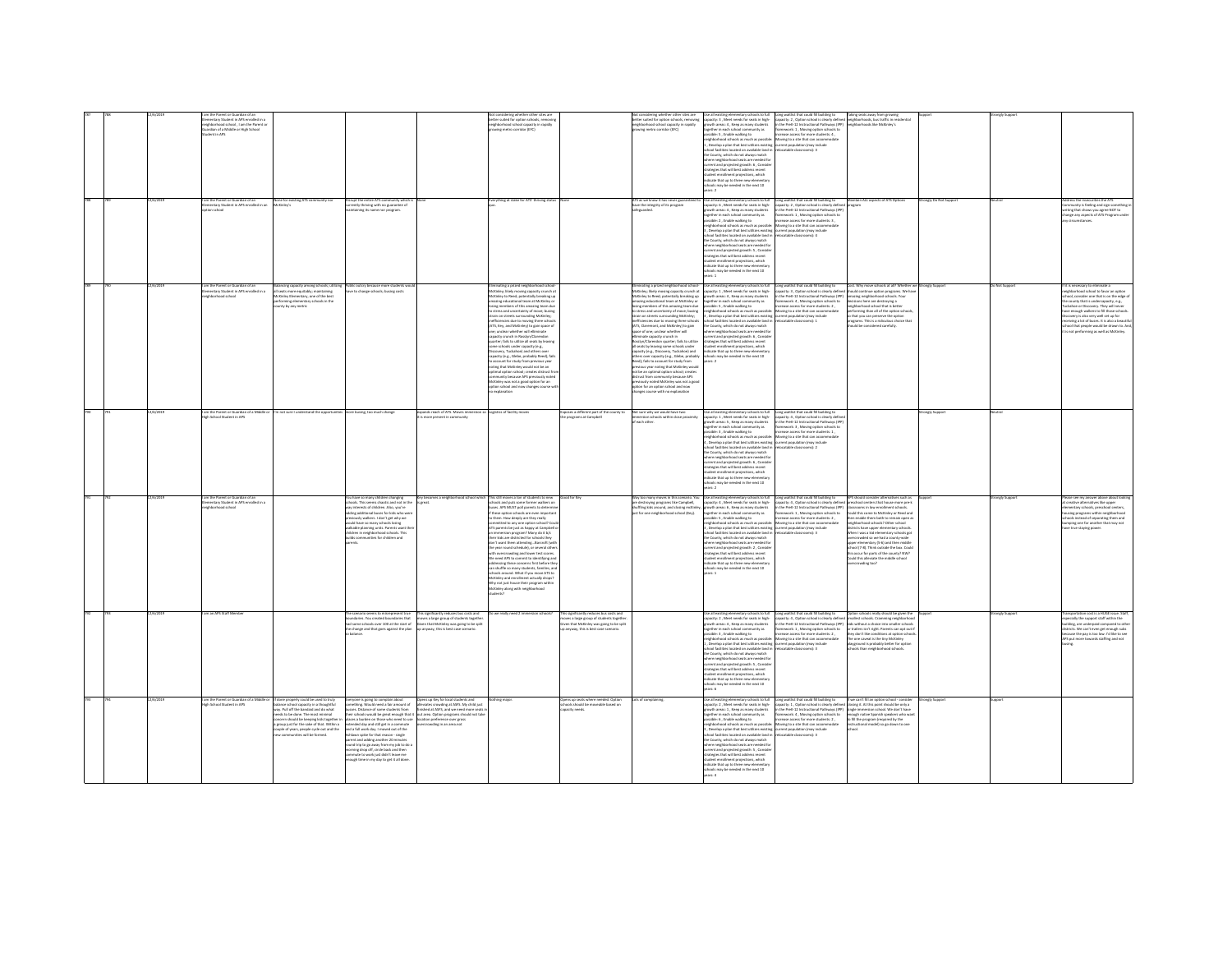|  |           |                                                                                         |                                                                                                                      |                                                                                                                                                                                 |                                                                                                                                                                                                                                      |                                                                                                                               |                                                                                   |                                                                                                                                      |                                                                                                                                                                                                                                      |                                                                                                                                            | ing seats                                                                                                                     |                    |                |                                                                                        |
|--|-----------|-----------------------------------------------------------------------------------------|----------------------------------------------------------------------------------------------------------------------|---------------------------------------------------------------------------------------------------------------------------------------------------------------------------------|--------------------------------------------------------------------------------------------------------------------------------------------------------------------------------------------------------------------------------------|-------------------------------------------------------------------------------------------------------------------------------|-----------------------------------------------------------------------------------|--------------------------------------------------------------------------------------------------------------------------------------|--------------------------------------------------------------------------------------------------------------------------------------------------------------------------------------------------------------------------------------|--------------------------------------------------------------------------------------------------------------------------------------------|-------------------------------------------------------------------------------------------------------------------------------|--------------------|----------------|----------------------------------------------------------------------------------------|
|  |           | ementary Student in APS enrolled in a<br>eighborhood school , I am the Parent or        |                                                                                                                      |                                                                                                                                                                                 |                                                                                                                                                                                                                                      | tter suited for option schools, removing                                                                                      |                                                                                   | setter suited for option schools, removing                                                                                           | capacity: 3 , Meet needs for seats in high-<br>growth areas: 4 , Keep as many students                                                                                                                                               | Long waitlist that could fill building to<br>capacity: 2 , Option school is clearly defined<br>in the PreK-12 Instructional Pathways (IPP) | king seats away from growing<br>ighborhoods, bus traffic in residential                                                       |                    |                |                                                                                        |
|  |           | ardian of a Middle or High School                                                       |                                                                                                                      |                                                                                                                                                                                 |                                                                                                                                                                                                                                      | neighborhood school capacity in rapidly<br>wine metro corridor (EFC)                                                          |                                                                                   | neighborhood school capacity in rapidly<br>Swing metro corridor (EFC)                                                                | prether in each school community as                                                                                                                                                                                                  |                                                                                                                                            | hborhoods like McKinley's                                                                                                     |                    |                |                                                                                        |
|  |           | dent in APS                                                                             |                                                                                                                      |                                                                                                                                                                                 |                                                                                                                                                                                                                                      |                                                                                                                               |                                                                                   |                                                                                                                                      | ssible: 5 . Enable walking to                                                                                                                                                                                                        | .<br>Iramework: 1, Moving option schools to<br>increase access for more students: 4.                                                       |                                                                                                                               |                    |                |                                                                                        |
|  |           |                                                                                         |                                                                                                                      |                                                                                                                                                                                 |                                                                                                                                                                                                                                      |                                                                                                                               |                                                                                   |                                                                                                                                      | borhood schools as much as possibl                                                                                                                                                                                                   | toving to a site that can accor                                                                                                            |                                                                                                                               |                    |                |                                                                                        |
|  |           |                                                                                         |                                                                                                                      |                                                                                                                                                                                 |                                                                                                                                                                                                                                      |                                                                                                                               |                                                                                   |                                                                                                                                      | , Develop a plan that best utilizes existing                                                                                                                                                                                         | current population (may include                                                                                                            |                                                                                                                               |                    |                |                                                                                        |
|  |           |                                                                                         |                                                                                                                      |                                                                                                                                                                                 |                                                                                                                                                                                                                                      |                                                                                                                               |                                                                                   |                                                                                                                                      | pol facilities located on available land is                                                                                                                                                                                          | catable classrooms): 3                                                                                                                     |                                                                                                                               |                    |                |                                                                                        |
|  |           |                                                                                         |                                                                                                                      |                                                                                                                                                                                 |                                                                                                                                                                                                                                      |                                                                                                                               |                                                                                   |                                                                                                                                      | County, which do not always match                                                                                                                                                                                                    |                                                                                                                                            |                                                                                                                               |                    |                |                                                                                        |
|  |           |                                                                                         |                                                                                                                      |                                                                                                                                                                                 |                                                                                                                                                                                                                                      |                                                                                                                               |                                                                                   |                                                                                                                                      | here neighborhood seats are needed for<br>rrent and projected growth: 6 , Conside                                                                                                                                                    |                                                                                                                                            |                                                                                                                               |                    |                |                                                                                        |
|  |           |                                                                                         |                                                                                                                      |                                                                                                                                                                                 |                                                                                                                                                                                                                                      |                                                                                                                               |                                                                                   |                                                                                                                                      | trategies that will best address recent                                                                                                                                                                                              |                                                                                                                                            |                                                                                                                               |                    |                |                                                                                        |
|  |           |                                                                                         |                                                                                                                      |                                                                                                                                                                                 |                                                                                                                                                                                                                                      |                                                                                                                               |                                                                                   |                                                                                                                                      | י השנים באי או או איז השנים במשפט המודע.<br>של של המודע של המודע במודע המודע המודע.<br>של המודע של המודע המודע המודע המודע המודע המודע המודע המודע המודע המודע.                                                                      |                                                                                                                                            |                                                                                                                               |                    |                |                                                                                        |
|  |           |                                                                                         |                                                                                                                      |                                                                                                                                                                                 |                                                                                                                                                                                                                                      |                                                                                                                               |                                                                                   |                                                                                                                                      |                                                                                                                                                                                                                                      |                                                                                                                                            |                                                                                                                               |                    |                |                                                                                        |
|  |           |                                                                                         |                                                                                                                      |                                                                                                                                                                                 |                                                                                                                                                                                                                                      |                                                                                                                               |                                                                                   |                                                                                                                                      | ools may be needed in the next 10<br>$-2$                                                                                                                                                                                            |                                                                                                                                            |                                                                                                                               |                    |                |                                                                                        |
|  |           |                                                                                         |                                                                                                                      |                                                                                                                                                                                 |                                                                                                                                                                                                                                      |                                                                                                                               |                                                                                   |                                                                                                                                      |                                                                                                                                                                                                                                      |                                                                                                                                            |                                                                                                                               |                    |                |                                                                                        |
|  |           |                                                                                         | one for existing ATS co.                                                                                             | srupt the entire ATS community which                                                                                                                                            |                                                                                                                                                                                                                                      | erything at stake for ATS' thriving statu                                                                                     |                                                                                   | ATS as we know it has never guaranteed to                                                                                            |                                                                                                                                                                                                                                      |                                                                                                                                            | tain ALL aspects of ATS Option                                                                                                | onely Do Not Suppo |                |                                                                                        |
|  |           | n the Parent or Guardian of an<br>mentary Student in APS enrolled in an                 | inter's                                                                                                              | ently thriving with no guarantee of                                                                                                                                             |                                                                                                                                                                                                                                      |                                                                                                                               |                                                                                   | have the integrity of its program                                                                                                    | Use all existing elementary schools to full<br>capacity: 6 , Meet needs for seats in high-                                                                                                                                           | Long waitlist that could fill building to<br>capacity: 2, Option school is clearly defined                                                 | orram                                                                                                                         |                    |                | nunity is feeling and sign somethin                                                    |
|  |           | ion school                                                                              |                                                                                                                      | staining its name nor program.                                                                                                                                                  |                                                                                                                                                                                                                                      |                                                                                                                               |                                                                                   | feauarded.                                                                                                                           | owth areas: 4 . Keep as many students                                                                                                                                                                                                | in the PreK-12 Instructional Pathways (IPP)                                                                                                |                                                                                                                               |                    |                | riting that shows you agree NOT to<br>sange any aspects of ATS Program und             |
|  |           |                                                                                         |                                                                                                                      |                                                                                                                                                                                 |                                                                                                                                                                                                                                      |                                                                                                                               |                                                                                   |                                                                                                                                      | together in each school community as<br>possible: 2 , Enable walking to                                                                                                                                                              | nework: 1, Moving option schools to<br>wase access for more students: 3,                                                                   |                                                                                                                               |                    |                |                                                                                        |
|  |           |                                                                                         |                                                                                                                      |                                                                                                                                                                                 |                                                                                                                                                                                                                                      |                                                                                                                               |                                                                                   |                                                                                                                                      | ighborhood schools as much as possib                                                                                                                                                                                                 | Moving to a site that can accommodate                                                                                                      |                                                                                                                               |                    |                |                                                                                        |
|  |           |                                                                                         |                                                                                                                      |                                                                                                                                                                                 |                                                                                                                                                                                                                                      |                                                                                                                               |                                                                                   |                                                                                                                                      |                                                                                                                                                                                                                                      | rrent population (may include<br>locatable classrooms): 4                                                                                  |                                                                                                                               |                    |                |                                                                                        |
|  |           |                                                                                         |                                                                                                                      |                                                                                                                                                                                 |                                                                                                                                                                                                                                      |                                                                                                                               |                                                                                   |                                                                                                                                      | , Develop a plan that best utilizes existing<br>chool facilities located on available land in                                                                                                                                        |                                                                                                                                            |                                                                                                                               |                    |                |                                                                                        |
|  |           |                                                                                         |                                                                                                                      |                                                                                                                                                                                 |                                                                                                                                                                                                                                      |                                                                                                                               |                                                                                   |                                                                                                                                      | he County, which do not always match                                                                                                                                                                                                 |                                                                                                                                            |                                                                                                                               |                    |                |                                                                                        |
|  |           |                                                                                         |                                                                                                                      |                                                                                                                                                                                 |                                                                                                                                                                                                                                      |                                                                                                                               |                                                                                   |                                                                                                                                      | where neighborhood seats are needed for<br>turrent and projected growth: S , Consider<br>strategies that will best address recent<br>student enrollment projections, which                                                           |                                                                                                                                            |                                                                                                                               |                    |                |                                                                                        |
|  |           |                                                                                         |                                                                                                                      |                                                                                                                                                                                 |                                                                                                                                                                                                                                      |                                                                                                                               |                                                                                   |                                                                                                                                      |                                                                                                                                                                                                                                      |                                                                                                                                            |                                                                                                                               |                    |                |                                                                                        |
|  |           |                                                                                         |                                                                                                                      |                                                                                                                                                                                 |                                                                                                                                                                                                                                      |                                                                                                                               |                                                                                   |                                                                                                                                      |                                                                                                                                                                                                                                      |                                                                                                                                            |                                                                                                                               |                    |                |                                                                                        |
|  |           |                                                                                         |                                                                                                                      |                                                                                                                                                                                 |                                                                                                                                                                                                                                      |                                                                                                                               |                                                                                   |                                                                                                                                      | dicate that up to three new elementary                                                                                                                                                                                               |                                                                                                                                            |                                                                                                                               |                    |                |                                                                                        |
|  |           |                                                                                         |                                                                                                                      |                                                                                                                                                                                 |                                                                                                                                                                                                                                      |                                                                                                                               |                                                                                   |                                                                                                                                      | Is may be needed in the next 10                                                                                                                                                                                                      |                                                                                                                                            |                                                                                                                               |                    |                |                                                                                        |
|  |           |                                                                                         |                                                                                                                      |                                                                                                                                                                                 |                                                                                                                                                                                                                                      |                                                                                                                               |                                                                                   |                                                                                                                                      |                                                                                                                                                                                                                                      |                                                                                                                                            |                                                                                                                               |                    |                |                                                                                        |
|  | 15073019  |                                                                                         |                                                                                                                      |                                                                                                                                                                                 |                                                                                                                                                                                                                                      |                                                                                                                               |                                                                                   |                                                                                                                                      |                                                                                                                                                                                                                                      |                                                                                                                                            |                                                                                                                               | rnealy Sunnor      | Net Sunner     | Fis neressary to eliminate a                                                           |
|  |           | im the Parent or Guardian of an<br>ementary Student in APS enrolled<br>.<br>Heliottin e | iancing capacity among schools; utiliz<br>seats more equitably; maintaining                                          | .<br>Jolic outcry because more students<br>we to chanze schools; busing costs                                                                                                   |                                                                                                                                                                                                                                      | ninating a prized neighborhood school-<br>Kiršey, likely moving capacity crunch at<br>Kiršey to Reed; potentially breaking up |                                                                                   | Eliminating a prized meighborhood school-<br>McKinley; likely moving capacity crunch at<br>McKinley to Reed; potentially breaking up | Use all existing elementary schools to full<br>capacity: 1 , Meet needs for seats in high-<br>growth areas: 4 , Keep as many students                                                                                                | Long waitlist that could fill building to<br>capacity: 3 , Option school is clearly defined<br>in the PreK-12 Instructional Pathways (IPP) | Cost. Why move schools at all? Whether we S<br>should continue option programs. We have<br>amazing neighborhood schools. Your |                    |                | thood school to favor an ontine                                                        |
|  |           | rhood school                                                                            | ets more equinectory, one of the best<br>nley Elementary, one of the best                                            |                                                                                                                                                                                 |                                                                                                                                                                                                                                      |                                                                                                                               |                                                                                   |                                                                                                                                      |                                                                                                                                                                                                                                      |                                                                                                                                            |                                                                                                                               |                    |                | ol, consider one that is on the edge o                                                 |
|  |           |                                                                                         | forming elementary schools in the                                                                                    |                                                                                                                                                                                 |                                                                                                                                                                                                                                      | azing educational team at McKinky or                                                                                          |                                                                                   | mazing educational team at McKinley or                                                                                               | together in each school community as                                                                                                                                                                                                 | framework: 4 . Moving option schools to                                                                                                    | sions here are destroving a                                                                                                   |                    |                | he county that is undercapacity, e.g.,<br>luckahoe or Discovery. They will never       |
|  |           |                                                                                         | anty by any metric                                                                                                   |                                                                                                                                                                                 |                                                                                                                                                                                                                                      | ne members of this amazine team du                                                                                            |                                                                                   | osing members of this amazing team due                                                                                               | ossible: 5 . Enable walking to                                                                                                                                                                                                       | ease access for more students: 2.                                                                                                          | rhborhood school that is bette                                                                                                |                    |                |                                                                                        |
|  |           |                                                                                         |                                                                                                                      |                                                                                                                                                                                 |                                                                                                                                                                                                                                      | stress and uncertainty of move; busing<br>ain on streets surrounding McKinley;                                                |                                                                                   | stress and uncertainty of move; busing<br>train on streets surrounding McKinley;                                                     | possues - a , sueure was much as possible: Moving to a site that can accommodate<br>its photophood schools as much as possible: Moving to a site that can accommodate<br>is, Develop a plan that best utilizes existing current popu |                                                                                                                                            | rforming than all of the option school<br>that you can preserve the option                                                    |                    |                | e enough walkers to fill those schools<br>covery is also very well set up for          |
|  |           |                                                                                         |                                                                                                                      |                                                                                                                                                                                 |                                                                                                                                                                                                                                      | efficiencies due to moving three school                                                                                       |                                                                                   | nefficiencies due to moving three schools                                                                                            | school facilities located on available land in                                                                                                                                                                                       |                                                                                                                                            | programs. This is a ridiculous choice that                                                                                    |                    |                | ceiving a lot of buses. It is also a beautifi                                          |
|  |           |                                                                                         |                                                                                                                      |                                                                                                                                                                                 |                                                                                                                                                                                                                                      |                                                                                                                               |                                                                                   |                                                                                                                                      |                                                                                                                                                                                                                                      |                                                                                                                                            | wild he considered carefully                                                                                                  |                    |                |                                                                                        |
|  |           |                                                                                         |                                                                                                                      |                                                                                                                                                                                 |                                                                                                                                                                                                                                      | (ATS, Key, and McKinley) to gain space of<br>one; unclear whether will elliminate                                             |                                                                                   | (ATS, Claremont, and McKinley) to gain<br>space of one; unclear whether will                                                         | the County, which do not always match<br>where neighborhood seats are needed fo                                                                                                                                                      |                                                                                                                                            |                                                                                                                               |                    |                | .<br>hool that people would be drawn to. And<br>is not performing as well as McKinley. |
|  |           |                                                                                         |                                                                                                                      |                                                                                                                                                                                 |                                                                                                                                                                                                                                      | pacity crunch in Rosslyn/Clarendo                                                                                             |                                                                                   | inate capacity crunch in                                                                                                             | rrent and projected growth: 6, Conside                                                                                                                                                                                               |                                                                                                                                            |                                                                                                                               |                    |                |                                                                                        |
|  |           |                                                                                         |                                                                                                                      |                                                                                                                                                                                 |                                                                                                                                                                                                                                      | arter: fails to utilize all seats by leaving<br>re schools under capacity (e.e.                                               |                                                                                   | tosslyn/Clarendon quarter: fails to utilize<br>I seats by leaving some schools under                                                 | strategies that will best address recent<br>tudent enrollment projections, which                                                                                                                                                     |                                                                                                                                            |                                                                                                                               |                    |                |                                                                                        |
|  |           |                                                                                         |                                                                                                                      |                                                                                                                                                                                 |                                                                                                                                                                                                                                      |                                                                                                                               |                                                                                   | spacity (e.g., Discovery, Tuckahoe) and                                                                                              | dicate that up to three new elem                                                                                                                                                                                                     |                                                                                                                                            |                                                                                                                               |                    |                |                                                                                        |
|  |           |                                                                                         |                                                                                                                      |                                                                                                                                                                                 |                                                                                                                                                                                                                                      |                                                                                                                               |                                                                                   |                                                                                                                                      | schools may be needed in the next 10                                                                                                                                                                                                 |                                                                                                                                            |                                                                                                                               |                    |                |                                                                                        |
|  |           |                                                                                         |                                                                                                                      |                                                                                                                                                                                 |                                                                                                                                                                                                                                      | account for study from previous year                                                                                          |                                                                                   | others over capacity (e.g., Glebe, probably<br>Reed); fails to account for study from                                                | ears: 2                                                                                                                                                                                                                              |                                                                                                                                            |                                                                                                                               |                    |                |                                                                                        |
|  |           |                                                                                         |                                                                                                                      |                                                                                                                                                                                 |                                                                                                                                                                                                                                      | ting that McKinley would not be an                                                                                            |                                                                                   | previous year noting that McKinley would<br>not be an optimal option school; creates<br>distrust from community because APS          |                                                                                                                                                                                                                                      |                                                                                                                                            |                                                                                                                               |                    |                |                                                                                        |
|  |           |                                                                                         |                                                                                                                      |                                                                                                                                                                                 |                                                                                                                                                                                                                                      | mal option school; creates distrust fr                                                                                        |                                                                                   |                                                                                                                                      |                                                                                                                                                                                                                                      |                                                                                                                                            |                                                                                                                               |                    |                |                                                                                        |
|  |           |                                                                                         |                                                                                                                      |                                                                                                                                                                                 |                                                                                                                                                                                                                                      | nunity because APS previously note                                                                                            |                                                                                   |                                                                                                                                      |                                                                                                                                                                                                                                      |                                                                                                                                            |                                                                                                                               |                    |                |                                                                                        |
|  |           |                                                                                         |                                                                                                                      |                                                                                                                                                                                 |                                                                                                                                                                                                                                      | Ninley was not a good option for an<br>tion school and now changes course w                                                   |                                                                                   | previously noted McKinley was not a good<br>ption for an option school and now                                                       |                                                                                                                                                                                                                                      |                                                                                                                                            |                                                                                                                               |                    |                |                                                                                        |
|  |           |                                                                                         |                                                                                                                      |                                                                                                                                                                                 |                                                                                                                                                                                                                                      | explanation                                                                                                                   |                                                                                   | anges course with no explanation                                                                                                     |                                                                                                                                                                                                                                      |                                                                                                                                            |                                                                                                                               |                    |                |                                                                                        |
|  |           |                                                                                         |                                                                                                                      |                                                                                                                                                                                 |                                                                                                                                                                                                                                      |                                                                                                                               |                                                                                   |                                                                                                                                      |                                                                                                                                                                                                                                      |                                                                                                                                            |                                                                                                                               |                    |                |                                                                                        |
|  |           |                                                                                         |                                                                                                                      |                                                                                                                                                                                 |                                                                                                                                                                                                                                      |                                                                                                                               |                                                                                   |                                                                                                                                      |                                                                                                                                                                                                                                      |                                                                                                                                            |                                                                                                                               |                    |                |                                                                                        |
|  | 2/6/2019  |                                                                                         | m not sure I understand the opportunitie                                                                             |                                                                                                                                                                                 |                                                                                                                                                                                                                                      | Logistics of facility move                                                                                                    |                                                                                   |                                                                                                                                      |                                                                                                                                                                                                                                      |                                                                                                                                            |                                                                                                                               |                    |                |                                                                                        |
|  |           | am the Parent or Guardian of a Middle o<br>eh School Student in AP                      |                                                                                                                      | tore busing; too much change                                                                                                                                                    | expands reach of ATS. Moves immersion so<br>sone pres                                                                                                                                                                                |                                                                                                                               | poses a different part of the county to<br>programs at Campb                      | Not sure why we would have two<br>ersion schools within close proximit                                                               | Use all existing elementary schools to full<br>capacity: 1 , Meet needs for seats in high-                                                                                                                                           | Long waitlist that could fill building to<br>capacity: 4, Option school is clearly defi                                                    |                                                                                                                               | onaly Suppo        |                |                                                                                        |
|  |           |                                                                                         |                                                                                                                      |                                                                                                                                                                                 |                                                                                                                                                                                                                                      |                                                                                                                               |                                                                                   | each other.                                                                                                                          | owth areas: 5 . Keep as many students                                                                                                                                                                                                | in the PreK-12 Instructional Pathways (IPF                                                                                                 |                                                                                                                               |                    |                |                                                                                        |
|  |           |                                                                                         |                                                                                                                      |                                                                                                                                                                                 |                                                                                                                                                                                                                                      |                                                                                                                               |                                                                                   |                                                                                                                                      |                                                                                                                                                                                                                                      |                                                                                                                                            |                                                                                                                               |                    |                |                                                                                        |
|  |           |                                                                                         |                                                                                                                      |                                                                                                                                                                                 |                                                                                                                                                                                                                                      |                                                                                                                               |                                                                                   |                                                                                                                                      | ether in each school community as<br>isible: 3 , Enable walking to                                                                                                                                                                   | mework: 3 , Moving option schools to<br>rease access for more students: 1 ,                                                                |                                                                                                                               |                    |                |                                                                                        |
|  |           |                                                                                         |                                                                                                                      |                                                                                                                                                                                 |                                                                                                                                                                                                                                      |                                                                                                                               |                                                                                   |                                                                                                                                      | eighborhood schools as much as possible: Movine to a site that can accommodate                                                                                                                                                       |                                                                                                                                            |                                                                                                                               |                    |                |                                                                                        |
|  |           |                                                                                         |                                                                                                                      |                                                                                                                                                                                 |                                                                                                                                                                                                                                      |                                                                                                                               |                                                                                   |                                                                                                                                      | Develop a plan that best utilizes existing current population (may include                                                                                                                                                           | catable classrooms): 2                                                                                                                     |                                                                                                                               |                    |                |                                                                                        |
|  |           |                                                                                         |                                                                                                                      |                                                                                                                                                                                 |                                                                                                                                                                                                                                      |                                                                                                                               |                                                                                   |                                                                                                                                      | chool facilities located on available land in<br>the County, which do not always match                                                                                                                                               |                                                                                                                                            |                                                                                                                               |                    |                |                                                                                        |
|  |           |                                                                                         |                                                                                                                      |                                                                                                                                                                                 |                                                                                                                                                                                                                                      |                                                                                                                               |                                                                                   |                                                                                                                                      | ere neighborhood seats are needed fo                                                                                                                                                                                                 |                                                                                                                                            |                                                                                                                               |                    |                |                                                                                        |
|  |           |                                                                                         |                                                                                                                      |                                                                                                                                                                                 |                                                                                                                                                                                                                                      |                                                                                                                               |                                                                                   |                                                                                                                                      | rrent and projected arowth: 6. Conside                                                                                                                                                                                               |                                                                                                                                            |                                                                                                                               |                    |                |                                                                                        |
|  |           |                                                                                         |                                                                                                                      |                                                                                                                                                                                 |                                                                                                                                                                                                                                      |                                                                                                                               |                                                                                   |                                                                                                                                      | trategies that will best address recent<br>tudent enrollment projections, which<br>ndicate that up to three new elementary                                                                                                           |                                                                                                                                            |                                                                                                                               |                    |                |                                                                                        |
|  |           |                                                                                         |                                                                                                                      |                                                                                                                                                                                 |                                                                                                                                                                                                                                      |                                                                                                                               |                                                                                   |                                                                                                                                      |                                                                                                                                                                                                                                      |                                                                                                                                            |                                                                                                                               |                    |                |                                                                                        |
|  |           |                                                                                         |                                                                                                                      |                                                                                                                                                                                 |                                                                                                                                                                                                                                      |                                                                                                                               |                                                                                   |                                                                                                                                      | ools may be needed in the next 10                                                                                                                                                                                                    |                                                                                                                                            |                                                                                                                               |                    |                |                                                                                        |
|  |           |                                                                                         |                                                                                                                      |                                                                                                                                                                                 |                                                                                                                                                                                                                                      |                                                                                                                               |                                                                                   |                                                                                                                                      |                                                                                                                                                                                                                                      |                                                                                                                                            |                                                                                                                               |                    |                |                                                                                        |
|  |           |                                                                                         |                                                                                                                      |                                                                                                                                                                                 |                                                                                                                                                                                                                                      |                                                                                                                               |                                                                                   |                                                                                                                                      |                                                                                                                                                                                                                                      |                                                                                                                                            |                                                                                                                               |                    |                |                                                                                        |
|  | 12/6/2019 | am the Parent or Guardian of an                                                         |                                                                                                                      | a have so many children changing<br>look. This seems chaotic and not in the                                                                                                     |                                                                                                                                                                                                                                      | Key becomes a neighborhood school which This still moves a ton of students to new                                             | lood for Key                                                                      | Way too many moyes in this scenario. You                                                                                             | Use all existing elementary schools to full                                                                                                                                                                                          | Long waitlist that could fill building to                                                                                                  | S should consider alternatives such as                                                                                        |                    | ongly Support  | ase see my answer above about look                                                     |
|  |           | entary Student in APS enrolled in a                                                     |                                                                                                                      |                                                                                                                                                                                 |                                                                                                                                                                                                                                      | nels and ruts some fremer walkers re                                                                                          |                                                                                   | re destroying propraes it uses demonstrated<br>huffling kids around, and closing mcKinley,<br>ist for one neighborhood school (Key). | capacity: 4 , Meet needs for seats in high-<br>growth areas: 6 , Keep as many students                                                                                                                                               | capacity: 4 . Option school is clearly define                                                                                              | wheel context that heuse more needs                                                                                           |                    |                | eative alternatives like upper                                                         |
|  |           | rhood school                                                                            |                                                                                                                      | .<br>ay interests of children. Also, you're<br>Iding additional buses for kids who we                                                                                           |                                                                                                                                                                                                                                      | es. APS MUST poll parents to deter<br>these option schools are even impo                                                      |                                                                                   |                                                                                                                                      | ogether in each school community as                                                                                                                                                                                                  | Lapacity. 4 , option school is county detries<br>in the PreK-12 Instructional Pathways (IPP)<br>framework: 1 , Moving option schools to    | secons in low enrolment schools.<br>Id this come to McKinley or Reed and                                                      |                    |                | intary schools, preschool centers,<br>using programs within neighborhood               |
|  |           |                                                                                         |                                                                                                                      | lously walkers. I don't get why we                                                                                                                                              |                                                                                                                                                                                                                                      | them. How deeply are they really                                                                                              |                                                                                   |                                                                                                                                      | ssible: 5 . Enable walking to                                                                                                                                                                                                        | crease access for more students: 2.                                                                                                        | in enable them both to remain open as                                                                                         |                    |                | ools instead of separating them and                                                    |
|  |           |                                                                                         |                                                                                                                      |                                                                                                                                                                                 |                                                                                                                                                                                                                                      | committed to any one option school? Coul<br>STS parents be just as happy at Campbell                                          |                                                                                   |                                                                                                                                      | ighborhood schools as much as possible<br>Develop a plan that best utilizes existing                                                                                                                                                 | Moving to a site that can accomm<br>current population (may include                                                                        | .<br>hbarhood schools? Other school<br>ricts have upper elementary schools                                                    |                    |                | mping one for another that may not<br>we true staying power.                           |
|  |           |                                                                                         |                                                                                                                      | suld have so many schools losing<br>alkable planning units. Parents want t                                                                                                      |                                                                                                                                                                                                                                      |                                                                                                                               |                                                                                   |                                                                                                                                      |                                                                                                                                                                                                                                      |                                                                                                                                            |                                                                                                                               |                    |                |                                                                                        |
|  |           |                                                                                         |                                                                                                                      | ildren in neighborhood schools. This                                                                                                                                            |                                                                                                                                                                                                                                      | mmersion program? Many do it b/c                                                                                              |                                                                                   |                                                                                                                                      | ool facilities located on available land i                                                                                                                                                                                           | atable classrooms): 3                                                                                                                      | en I was a kid elementary schools got                                                                                         |                    |                |                                                                                        |
|  |           |                                                                                         |                                                                                                                      | lds communities for children and                                                                                                                                                |                                                                                                                                                                                                                                      | heir kids are districted for schools they                                                                                     |                                                                                   |                                                                                                                                      | he County, which do not always match                                                                                                                                                                                                 |                                                                                                                                            | rowded so we had a county-wide                                                                                                |                    |                |                                                                                        |
|  |           |                                                                                         |                                                                                                                      |                                                                                                                                                                                 |                                                                                                                                                                                                                                      | don't want them attendingBarcroft (with<br>the year round schedule), or several other                                         |                                                                                   |                                                                                                                                      | vere neighborhood seats are needed fo<br>rrent and projected growth: 2 , Conside                                                                                                                                                     |                                                                                                                                            | per elementary (5-6) and then middle<br>100l (7-8). Think outside the box. Could                                              |                    |                |                                                                                        |
|  |           |                                                                                         |                                                                                                                      |                                                                                                                                                                                 |                                                                                                                                                                                                                                      |                                                                                                                               |                                                                                   |                                                                                                                                      | trategies that will best address recent                                                                                                                                                                                              |                                                                                                                                            | this occur for parts of the county? NW?                                                                                       |                    |                |                                                                                        |
|  |           |                                                                                         |                                                                                                                      |                                                                                                                                                                                 |                                                                                                                                                                                                                                      | with overcrowding and lower test scores.<br>We need APS to commit to identifying and                                          |                                                                                   |                                                                                                                                      | fent enrollment projections, which                                                                                                                                                                                                   |                                                                                                                                            | ould this alleviate the middle school                                                                                         |                    |                |                                                                                        |
|  |           |                                                                                         |                                                                                                                      |                                                                                                                                                                                 |                                                                                                                                                                                                                                      | dressing these concerns first before the<br>in shuffle so many students, families, as                                         |                                                                                   |                                                                                                                                      | dicate that up to three new element<br>hools may be needed in the next 10                                                                                                                                                            |                                                                                                                                            | <b>Foot</b> gribwo                                                                                                            |                    |                |                                                                                        |
|  |           |                                                                                         |                                                                                                                      |                                                                                                                                                                                 |                                                                                                                                                                                                                                      |                                                                                                                               |                                                                                   |                                                                                                                                      | ers: 1                                                                                                                                                                                                                               |                                                                                                                                            |                                                                                                                               |                    |                |                                                                                        |
|  |           |                                                                                         |                                                                                                                      |                                                                                                                                                                                 |                                                                                                                                                                                                                                      | ools around. What if you move ATS to<br>Kinley and entrillment articular drops?                                               |                                                                                   |                                                                                                                                      |                                                                                                                                                                                                                                      |                                                                                                                                            |                                                                                                                               |                    |                |                                                                                        |
|  |           |                                                                                         |                                                                                                                      |                                                                                                                                                                                 |                                                                                                                                                                                                                                      | Why not just house their program with                                                                                         |                                                                                   |                                                                                                                                      |                                                                                                                                                                                                                                      |                                                                                                                                            |                                                                                                                               |                    |                |                                                                                        |
|  |           |                                                                                         |                                                                                                                      |                                                                                                                                                                                 |                                                                                                                                                                                                                                      | Kinley along with neighborhood                                                                                                |                                                                                   |                                                                                                                                      |                                                                                                                                                                                                                                      |                                                                                                                                            |                                                                                                                               |                    |                |                                                                                        |
|  |           |                                                                                         |                                                                                                                      |                                                                                                                                                                                 |                                                                                                                                                                                                                                      | تسبه                                                                                                                          |                                                                                   |                                                                                                                                      |                                                                                                                                                                                                                                      |                                                                                                                                            |                                                                                                                               |                    |                |                                                                                        |
|  |           |                                                                                         |                                                                                                                      |                                                                                                                                                                                 |                                                                                                                                                                                                                                      |                                                                                                                               |                                                                                   |                                                                                                                                      |                                                                                                                                                                                                                                      |                                                                                                                                            |                                                                                                                               |                    |                |                                                                                        |
|  |           |                                                                                         |                                                                                                                      |                                                                                                                                                                                 |                                                                                                                                                                                                                                      |                                                                                                                               |                                                                                   |                                                                                                                                      |                                                                                                                                                                                                                                      |                                                                                                                                            |                                                                                                                               |                    |                |                                                                                        |
|  | 12/6/2019 | im an APS Staff Membi                                                                   |                                                                                                                      | scenario seems to misrepresent true                                                                                                                                             | his significantly reduces bus costs and                                                                                                                                                                                              | we really need 2 immersion scho                                                                                               | is significantly reduces bus costs an                                             |                                                                                                                                      | se all existing elementary schools to full                                                                                                                                                                                           | Long waitlist that could fill building to                                                                                                  | tion schools really should be given the                                                                                       |                    | rongly Support | sportation cost is a HUGE issue. Staff                                                 |
|  |           |                                                                                         |                                                                                                                      |                                                                                                                                                                                 | <b>Example 19 and 19 and 19 and 19 and 19 and 19 and 19 and 19 and 19 and 19 and 19 and 19 and 19 and 19 and 19 and 19 and 19 and 19 and 19 and 19 and 19 and 19 and 19 and 19 and 19 and 19 and 19 and 19 and 19 and 19 and 19 </b> |                                                                                                                               | oves a large group of students togethe<br>ven that McKinley was going to be split |                                                                                                                                      | apacity: 2 , Meet needs for seats in high-<br>rowth areas: 4 , Keep as many students                                                                                                                                                 | capacity: 4 , Option school is clearly defined<br>in the PreK-12 Instructional Pathways (IPP)<br>framework: 1 , Moving option schools to   | tion schools there are a series of the<br>salest schools. Cramming neighborhoods<br>is without a choice into smaller school   |                    |                | cially the support staff within the                                                    |
|  |           |                                                                                         |                                                                                                                      |                                                                                                                                                                                 |                                                                                                                                                                                                                                      |                                                                                                                               |                                                                                   |                                                                                                                                      |                                                                                                                                                                                                                                      |                                                                                                                                            |                                                                                                                               |                    |                | Iding, are underpaid compared to othe                                                  |
|  |           |                                                                                         |                                                                                                                      | e change and that goes against the plan                                                                                                                                         |                                                                                                                                                                                                                                      |                                                                                                                               | myway, this is best case scenario                                                 |                                                                                                                                      | ogether in each school community as                                                                                                                                                                                                  |                                                                                                                                            | railers isn't right. Parents can opt out                                                                                      |                    |                | itricts. We can't even get enough subs                                                 |
|  |           |                                                                                         |                                                                                                                      |                                                                                                                                                                                 |                                                                                                                                                                                                                                      |                                                                                                                               |                                                                                   |                                                                                                                                      | ssible: 3 . Enable walking to<br>ighborhood schools as much as possible: Moving to a site that can accome                                                                                                                            | ncrease access for more students: 2.                                                                                                       | iy don't like conditions at option schoe<br>e one caveat is the tiny McKinley                                                 |                    |                | because the pay is too low. I'd like to see<br>US out more towards staffing and not    |
|  |           |                                                                                         |                                                                                                                      |                                                                                                                                                                                 |                                                                                                                                                                                                                                      |                                                                                                                               |                                                                                   |                                                                                                                                      | Develop a plan that best utilizes existing                                                                                                                                                                                           | ent population (may include                                                                                                                | ground is probably better for optio                                                                                           |                    |                |                                                                                        |
|  |           |                                                                                         |                                                                                                                      |                                                                                                                                                                                 |                                                                                                                                                                                                                                      |                                                                                                                               |                                                                                   |                                                                                                                                      | hool facilities located on available land in                                                                                                                                                                                         | catable classrooms): 3                                                                                                                     | is than neighborhood schools.                                                                                                 |                    |                |                                                                                        |
|  |           |                                                                                         |                                                                                                                      |                                                                                                                                                                                 |                                                                                                                                                                                                                                      |                                                                                                                               |                                                                                   |                                                                                                                                      | he County, which do not always match                                                                                                                                                                                                 |                                                                                                                                            |                                                                                                                               |                    |                |                                                                                        |
|  |           |                                                                                         |                                                                                                                      |                                                                                                                                                                                 |                                                                                                                                                                                                                                      |                                                                                                                               |                                                                                   |                                                                                                                                      |                                                                                                                                                                                                                                      |                                                                                                                                            |                                                                                                                               |                    |                |                                                                                        |
|  |           |                                                                                         |                                                                                                                      |                                                                                                                                                                                 |                                                                                                                                                                                                                                      |                                                                                                                               |                                                                                   |                                                                                                                                      | where neighborhood seats are needed for<br>current and projected growth: 5 , Consider<br>strategies that will best address recent                                                                                                    |                                                                                                                                            |                                                                                                                               |                    |                |                                                                                        |
|  |           |                                                                                         |                                                                                                                      |                                                                                                                                                                                 |                                                                                                                                                                                                                                      |                                                                                                                               |                                                                                   |                                                                                                                                      | tudent enrollment projections, which                                                                                                                                                                                                 |                                                                                                                                            |                                                                                                                               |                    |                |                                                                                        |
|  |           |                                                                                         |                                                                                                                      |                                                                                                                                                                                 |                                                                                                                                                                                                                                      |                                                                                                                               |                                                                                   |                                                                                                                                      |                                                                                                                                                                                                                                      |                                                                                                                                            |                                                                                                                               |                    |                |                                                                                        |
|  |           |                                                                                         |                                                                                                                      |                                                                                                                                                                                 |                                                                                                                                                                                                                                      |                                                                                                                               |                                                                                   |                                                                                                                                      | dicate that up to three new element<br>chools may be needed in the next 10                                                                                                                                                           |                                                                                                                                            |                                                                                                                               |                    |                |                                                                                        |
|  |           |                                                                                         |                                                                                                                      |                                                                                                                                                                                 |                                                                                                                                                                                                                                      |                                                                                                                               |                                                                                   |                                                                                                                                      | ars: 6                                                                                                                                                                                                                               |                                                                                                                                            |                                                                                                                               |                    |                |                                                                                        |
|  |           |                                                                                         |                                                                                                                      |                                                                                                                                                                                 |                                                                                                                                                                                                                                      |                                                                                                                               |                                                                                   |                                                                                                                                      |                                                                                                                                                                                                                                      |                                                                                                                                            |                                                                                                                               |                    |                |                                                                                        |
|  |           |                                                                                         | w properly could be used to                                                                                          | yone is going to complain about<br>ething. Would need a fair amount of                                                                                                          |                                                                                                                                                                                                                                      |                                                                                                                               | pens up seats where needed. Option<br>hools should be moveable based on           |                                                                                                                                      | ise all existing elementary schools to full<br>apacity: 2 , Meet needs for seats in high-                                                                                                                                            | Long waitlist that could fill building to<br>capacity: 1 , Option school is clearly defined<br>in the PreK-12 Instructional Pathways (IPP) | can't fill an option schoo<br>closing it. At this point should be only a                                                      |                    |                |                                                                                        |
|  |           |                                                                                         |                                                                                                                      |                                                                                                                                                                                 |                                                                                                                                                                                                                                      |                                                                                                                               |                                                                                   |                                                                                                                                      |                                                                                                                                                                                                                                      |                                                                                                                                            |                                                                                                                               |                    |                |                                                                                        |
|  |           | am the Parent or Guardian of a 1<br>Iigh School Student in APS                          |                                                                                                                      |                                                                                                                                                                                 |                                                                                                                                                                                                                                      |                                                                                                                               |                                                                                   |                                                                                                                                      |                                                                                                                                                                                                                                      |                                                                                                                                            |                                                                                                                               |                    |                |                                                                                        |
|  |           |                                                                                         | salance school capacity in a thoughtful<br>way. Pull off the bandaid and do what<br>eds to be done. The most minimal | sses. Distance of some students from                                                                                                                                            | .<br>alleviates crowding at ASFS. My child just<br>finished at ASFS, and we need more seats                                                                                                                                          |                                                                                                                               | city needs.                                                                       |                                                                                                                                      | owth areas: 1, Keep as many students<br>eether in each school community as                                                                                                                                                           |                                                                                                                                            | single immersion school. We don't have<br>such native Spanish speakers who wa                                                 |                    |                |                                                                                        |
|  |           |                                                                                         |                                                                                                                      |                                                                                                                                                                                 | eir schools would be great enough that it out area. Option programs should not tak                                                                                                                                                   |                                                                                                                               |                                                                                   |                                                                                                                                      |                                                                                                                                                                                                                                      | ramework: 4, Moving option schools to                                                                                                      |                                                                                                                               |                    |                |                                                                                        |
|  |           |                                                                                         | incern should be keeping kids together i<br>group just for the sake of that. Within a                                |                                                                                                                                                                                 |                                                                                                                                                                                                                                      |                                                                                                                               |                                                                                   |                                                                                                                                      |                                                                                                                                                                                                                                      |                                                                                                                                            | s fill the program (required by the<br>istructional model) so go down to one                                                  |                    |                |                                                                                        |
|  |           |                                                                                         | able of years, people cycle out and the                                                                              | es a burden on those who need to use<br>more preference over gross<br>more day and still get in a commute overcrowding in an area not<br>nd a full work day. I moved out of the |                                                                                                                                                                                                                                      |                                                                                                                               |                                                                                   |                                                                                                                                      | ssible: 6 , Enable walking to<br>ighborhood schools as much as possib<br>. Develop a plan that best utilizes existing current population (may include                                                                                | increase access for more students: 2<br>increase access for more students: 2<br>Moving to a site that can accommodate                      |                                                                                                                               |                    |                |                                                                                        |
|  |           |                                                                                         | will be formed                                                                                                       |                                                                                                                                                                                 |                                                                                                                                                                                                                                      |                                                                                                                               |                                                                                   |                                                                                                                                      |                                                                                                                                                                                                                                      | $F$ -lame                                                                                                                                  |                                                                                                                               |                    |                |                                                                                        |
|  |           |                                                                                         |                                                                                                                      | lawn spike for that reason - single<br>ent and adding another 20 minute                                                                                                         |                                                                                                                                                                                                                                      |                                                                                                                               |                                                                                   |                                                                                                                                      | chool facilities located on available land in<br>the County, which do not always match                                                                                                                                               |                                                                                                                                            |                                                                                                                               |                    |                |                                                                                        |
|  |           |                                                                                         |                                                                                                                      | und trip to go away from my job to do                                                                                                                                           |                                                                                                                                                                                                                                      |                                                                                                                               |                                                                                   |                                                                                                                                      | here neighborhood seats are needed for<br>urrent and projected growth: 5, Conside                                                                                                                                                    |                                                                                                                                            |                                                                                                                               |                    |                |                                                                                        |
|  |           |                                                                                         |                                                                                                                      | ming drop off, circle back and then<br>nmute to work just didn't leave me                                                                                                       |                                                                                                                                                                                                                                      |                                                                                                                               |                                                                                   |                                                                                                                                      | degies that will best address recen                                                                                                                                                                                                  |                                                                                                                                            |                                                                                                                               |                    |                |                                                                                        |
|  |           |                                                                                         |                                                                                                                      | bugh time in my day to get it all don                                                                                                                                           |                                                                                                                                                                                                                                      |                                                                                                                               |                                                                                   |                                                                                                                                      |                                                                                                                                                                                                                                      |                                                                                                                                            |                                                                                                                               |                    |                |                                                                                        |
|  |           |                                                                                         |                                                                                                                      |                                                                                                                                                                                 |                                                                                                                                                                                                                                      |                                                                                                                               |                                                                                   |                                                                                                                                      | subject enrollment projections, which<br>idicate that up to three new elementary                                                                                                                                                     |                                                                                                                                            |                                                                                                                               |                    |                |                                                                                        |
|  |           |                                                                                         |                                                                                                                      |                                                                                                                                                                                 |                                                                                                                                                                                                                                      |                                                                                                                               |                                                                                   |                                                                                                                                      | hools may be needed in the next 10<br>we a                                                                                                                                                                                           |                                                                                                                                            |                                                                                                                               |                    |                |                                                                                        |